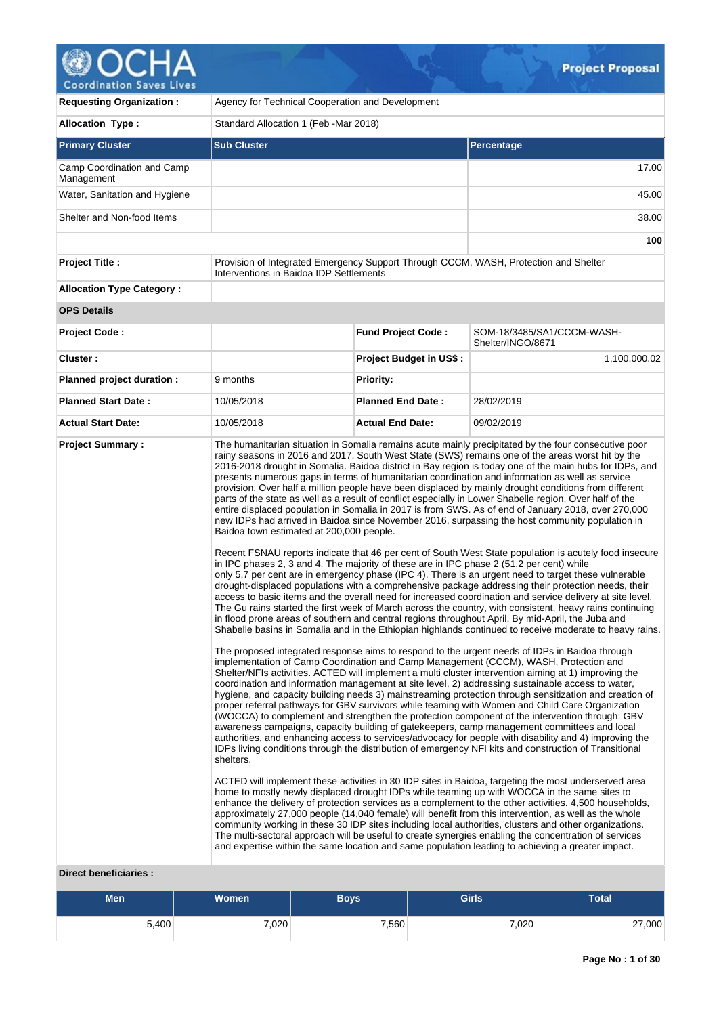# Â oordination Saves Lives

| <b>Requesting Organization:</b>                         | Agency for Technical Cooperation and Development                                                                                                  |                                |                                                                                                                                                                                                                                                                                                                                                                                                                                                                                                                                                                                                                                                                                                                                                                                                                                                                                                                                                                                                                                                                                                                                                                                                                                                                                                                                                                                                                                                                                                                                                                                                                                                                                                                                                                                                                                                                                                                                                                                                                                                                                                                                                                                                                                                                                                                                                                                                                                                                                                                                                                                                                                                                                                                                                                                                                                                                                                                                                                                                                                                                                                                                                                                                                                                                                                                                                                                                                      |  |  |  |
|---------------------------------------------------------|---------------------------------------------------------------------------------------------------------------------------------------------------|--------------------------------|----------------------------------------------------------------------------------------------------------------------------------------------------------------------------------------------------------------------------------------------------------------------------------------------------------------------------------------------------------------------------------------------------------------------------------------------------------------------------------------------------------------------------------------------------------------------------------------------------------------------------------------------------------------------------------------------------------------------------------------------------------------------------------------------------------------------------------------------------------------------------------------------------------------------------------------------------------------------------------------------------------------------------------------------------------------------------------------------------------------------------------------------------------------------------------------------------------------------------------------------------------------------------------------------------------------------------------------------------------------------------------------------------------------------------------------------------------------------------------------------------------------------------------------------------------------------------------------------------------------------------------------------------------------------------------------------------------------------------------------------------------------------------------------------------------------------------------------------------------------------------------------------------------------------------------------------------------------------------------------------------------------------------------------------------------------------------------------------------------------------------------------------------------------------------------------------------------------------------------------------------------------------------------------------------------------------------------------------------------------------------------------------------------------------------------------------------------------------------------------------------------------------------------------------------------------------------------------------------------------------------------------------------------------------------------------------------------------------------------------------------------------------------------------------------------------------------------------------------------------------------------------------------------------------------------------------------------------------------------------------------------------------------------------------------------------------------------------------------------------------------------------------------------------------------------------------------------------------------------------------------------------------------------------------------------------------------------------------------------------------------------------------------------------------|--|--|--|
| <b>Allocation Type:</b>                                 | Standard Allocation 1 (Feb -Mar 2018)                                                                                                             |                                |                                                                                                                                                                                                                                                                                                                                                                                                                                                                                                                                                                                                                                                                                                                                                                                                                                                                                                                                                                                                                                                                                                                                                                                                                                                                                                                                                                                                                                                                                                                                                                                                                                                                                                                                                                                                                                                                                                                                                                                                                                                                                                                                                                                                                                                                                                                                                                                                                                                                                                                                                                                                                                                                                                                                                                                                                                                                                                                                                                                                                                                                                                                                                                                                                                                                                                                                                                                                                      |  |  |  |
| <b>Primary Cluster</b>                                  | <b>Sub Cluster</b>                                                                                                                                | Percentage                     |                                                                                                                                                                                                                                                                                                                                                                                                                                                                                                                                                                                                                                                                                                                                                                                                                                                                                                                                                                                                                                                                                                                                                                                                                                                                                                                                                                                                                                                                                                                                                                                                                                                                                                                                                                                                                                                                                                                                                                                                                                                                                                                                                                                                                                                                                                                                                                                                                                                                                                                                                                                                                                                                                                                                                                                                                                                                                                                                                                                                                                                                                                                                                                                                                                                                                                                                                                                                                      |  |  |  |
| Camp Coordination and Camp<br>Management                |                                                                                                                                                   |                                | 17.00                                                                                                                                                                                                                                                                                                                                                                                                                                                                                                                                                                                                                                                                                                                                                                                                                                                                                                                                                                                                                                                                                                                                                                                                                                                                                                                                                                                                                                                                                                                                                                                                                                                                                                                                                                                                                                                                                                                                                                                                                                                                                                                                                                                                                                                                                                                                                                                                                                                                                                                                                                                                                                                                                                                                                                                                                                                                                                                                                                                                                                                                                                                                                                                                                                                                                                                                                                                                                |  |  |  |
| Water, Sanitation and Hygiene                           |                                                                                                                                                   |                                | 45.00                                                                                                                                                                                                                                                                                                                                                                                                                                                                                                                                                                                                                                                                                                                                                                                                                                                                                                                                                                                                                                                                                                                                                                                                                                                                                                                                                                                                                                                                                                                                                                                                                                                                                                                                                                                                                                                                                                                                                                                                                                                                                                                                                                                                                                                                                                                                                                                                                                                                                                                                                                                                                                                                                                                                                                                                                                                                                                                                                                                                                                                                                                                                                                                                                                                                                                                                                                                                                |  |  |  |
| Shelter and Non-food Items                              | 38.00                                                                                                                                             |                                |                                                                                                                                                                                                                                                                                                                                                                                                                                                                                                                                                                                                                                                                                                                                                                                                                                                                                                                                                                                                                                                                                                                                                                                                                                                                                                                                                                                                                                                                                                                                                                                                                                                                                                                                                                                                                                                                                                                                                                                                                                                                                                                                                                                                                                                                                                                                                                                                                                                                                                                                                                                                                                                                                                                                                                                                                                                                                                                                                                                                                                                                                                                                                                                                                                                                                                                                                                                                                      |  |  |  |
|                                                         |                                                                                                                                                   |                                | 100                                                                                                                                                                                                                                                                                                                                                                                                                                                                                                                                                                                                                                                                                                                                                                                                                                                                                                                                                                                                                                                                                                                                                                                                                                                                                                                                                                                                                                                                                                                                                                                                                                                                                                                                                                                                                                                                                                                                                                                                                                                                                                                                                                                                                                                                                                                                                                                                                                                                                                                                                                                                                                                                                                                                                                                                                                                                                                                                                                                                                                                                                                                                                                                                                                                                                                                                                                                                                  |  |  |  |
| <b>Project Title:</b>                                   | Interventions in Baidoa IDP Settlements                                                                                                           |                                | Provision of Integrated Emergency Support Through CCCM, WASH, Protection and Shelter                                                                                                                                                                                                                                                                                                                                                                                                                                                                                                                                                                                                                                                                                                                                                                                                                                                                                                                                                                                                                                                                                                                                                                                                                                                                                                                                                                                                                                                                                                                                                                                                                                                                                                                                                                                                                                                                                                                                                                                                                                                                                                                                                                                                                                                                                                                                                                                                                                                                                                                                                                                                                                                                                                                                                                                                                                                                                                                                                                                                                                                                                                                                                                                                                                                                                                                                 |  |  |  |
| <b>Allocation Type Category:</b>                        |                                                                                                                                                   |                                |                                                                                                                                                                                                                                                                                                                                                                                                                                                                                                                                                                                                                                                                                                                                                                                                                                                                                                                                                                                                                                                                                                                                                                                                                                                                                                                                                                                                                                                                                                                                                                                                                                                                                                                                                                                                                                                                                                                                                                                                                                                                                                                                                                                                                                                                                                                                                                                                                                                                                                                                                                                                                                                                                                                                                                                                                                                                                                                                                                                                                                                                                                                                                                                                                                                                                                                                                                                                                      |  |  |  |
| <b>OPS Details</b>                                      |                                                                                                                                                   |                                |                                                                                                                                                                                                                                                                                                                                                                                                                                                                                                                                                                                                                                                                                                                                                                                                                                                                                                                                                                                                                                                                                                                                                                                                                                                                                                                                                                                                                                                                                                                                                                                                                                                                                                                                                                                                                                                                                                                                                                                                                                                                                                                                                                                                                                                                                                                                                                                                                                                                                                                                                                                                                                                                                                                                                                                                                                                                                                                                                                                                                                                                                                                                                                                                                                                                                                                                                                                                                      |  |  |  |
| <b>Project Code:</b>                                    |                                                                                                                                                   | <b>Fund Project Code:</b>      | SOM-18/3485/SA1/CCCM-WASH-<br>Shelter/INGO/8671                                                                                                                                                                                                                                                                                                                                                                                                                                                                                                                                                                                                                                                                                                                                                                                                                                                                                                                                                                                                                                                                                                                                                                                                                                                                                                                                                                                                                                                                                                                                                                                                                                                                                                                                                                                                                                                                                                                                                                                                                                                                                                                                                                                                                                                                                                                                                                                                                                                                                                                                                                                                                                                                                                                                                                                                                                                                                                                                                                                                                                                                                                                                                                                                                                                                                                                                                                      |  |  |  |
| Cluster:                                                |                                                                                                                                                   | <b>Project Budget in US\$:</b> | 1,100,000.02                                                                                                                                                                                                                                                                                                                                                                                                                                                                                                                                                                                                                                                                                                                                                                                                                                                                                                                                                                                                                                                                                                                                                                                                                                                                                                                                                                                                                                                                                                                                                                                                                                                                                                                                                                                                                                                                                                                                                                                                                                                                                                                                                                                                                                                                                                                                                                                                                                                                                                                                                                                                                                                                                                                                                                                                                                                                                                                                                                                                                                                                                                                                                                                                                                                                                                                                                                                                         |  |  |  |
| Planned project duration :                              | 9 months                                                                                                                                          | Priority:                      |                                                                                                                                                                                                                                                                                                                                                                                                                                                                                                                                                                                                                                                                                                                                                                                                                                                                                                                                                                                                                                                                                                                                                                                                                                                                                                                                                                                                                                                                                                                                                                                                                                                                                                                                                                                                                                                                                                                                                                                                                                                                                                                                                                                                                                                                                                                                                                                                                                                                                                                                                                                                                                                                                                                                                                                                                                                                                                                                                                                                                                                                                                                                                                                                                                                                                                                                                                                                                      |  |  |  |
| <b>Planned Start Date:</b>                              | 10/05/2018                                                                                                                                        | <b>Planned End Date:</b>       | 28/02/2019                                                                                                                                                                                                                                                                                                                                                                                                                                                                                                                                                                                                                                                                                                                                                                                                                                                                                                                                                                                                                                                                                                                                                                                                                                                                                                                                                                                                                                                                                                                                                                                                                                                                                                                                                                                                                                                                                                                                                                                                                                                                                                                                                                                                                                                                                                                                                                                                                                                                                                                                                                                                                                                                                                                                                                                                                                                                                                                                                                                                                                                                                                                                                                                                                                                                                                                                                                                                           |  |  |  |
| <b>Actual Start Date:</b>                               | 10/05/2018                                                                                                                                        | <b>Actual End Date:</b>        | 09/02/2019                                                                                                                                                                                                                                                                                                                                                                                                                                                                                                                                                                                                                                                                                                                                                                                                                                                                                                                                                                                                                                                                                                                                                                                                                                                                                                                                                                                                                                                                                                                                                                                                                                                                                                                                                                                                                                                                                                                                                                                                                                                                                                                                                                                                                                                                                                                                                                                                                                                                                                                                                                                                                                                                                                                                                                                                                                                                                                                                                                                                                                                                                                                                                                                                                                                                                                                                                                                                           |  |  |  |
| <b>Project Summary:</b><br><b>Direct beneficiaries:</b> | Baidoa town estimated at 200,000 people.<br>in IPC phases 2, 3 and 4. The majority of these are in IPC phase 2 (51,2 per cent) while<br>shelters. |                                | The humanitarian situation in Somalia remains acute mainly precipitated by the four consecutive poor<br>rainy seasons in 2016 and 2017. South West State (SWS) remains one of the areas worst hit by the<br>2016-2018 drought in Somalia. Baidoa district in Bay region is today one of the main hubs for IDPs, and<br>presents numerous gaps in terms of humanitarian coordination and information as well as service<br>provision. Over half a million people have been displaced by mainly drought conditions from different<br>parts of the state as well as a result of conflict especially in Lower Shabelle region. Over half of the<br>entire displaced population in Somalia in 2017 is from SWS. As of end of January 2018, over 270,000<br>new IDPs had arrived in Baidoa since November 2016, surpassing the host community population in<br>Recent FSNAU reports indicate that 46 per cent of South West State population is acutely food insecure<br>only 5,7 per cent are in emergency phase (IPC 4). There is an urgent need to target these vulnerable<br>drought-displaced populations with a comprehensive package addressing their protection needs, their<br>access to basic items and the overall need for increased coordination and service delivery at site level.<br>The Gu rains started the first week of March across the country, with consistent, heavy rains continuing<br>in flood prone areas of southern and central regions throughout April. By mid-April, the Juba and<br>Shabelle basins in Somalia and in the Ethiopian highlands continued to receive moderate to heavy rains.<br>The proposed integrated response aims to respond to the urgent needs of IDPs in Baidoa through<br>implementation of Camp Coordination and Camp Management (CCCM), WASH, Protection and<br>Shelter/NFIs activities. ACTED will implement a multi cluster intervention aiming at 1) improving the<br>coordination and information management at site level, 2) addressing sustainable access to water,<br>hygiene, and capacity building needs 3) mainstreaming protection through sensitization and creation of<br>proper referral pathways for GBV survivors while teaming with Women and Child Care Organization<br>(WOCCA) to complement and strengthen the protection component of the intervention through: GBV<br>awareness campaigns, capacity building of gatekeepers, camp management committees and local<br>authorities, and enhancing access to services/advocacy for people with disability and 4) improving the<br>IDPs living conditions through the distribution of emergency NFI kits and construction of Transitional<br>ACTED will implement these activities in 30 IDP sites in Baidoa, targeting the most underserved area<br>home to mostly newly displaced drought IDPs while teaming up with WOCCA in the same sites to<br>enhance the delivery of protection services as a complement to the other activities. 4,500 households,<br>approximately 27,000 people (14,040 female) will benefit from this intervention, as well as the whole<br>community working in these 30 IDP sites including local authorities, clusters and other organizations.<br>The multi-sectoral approach will be useful to create synergies enabling the concentration of services<br>and expertise within the same location and same population leading to achieving a greater impact. |  |  |  |

 $\mathcal{G}_1$ 

# **Men Women Boys Girls Total** 5,400 7,020 7,560 7,020 27,000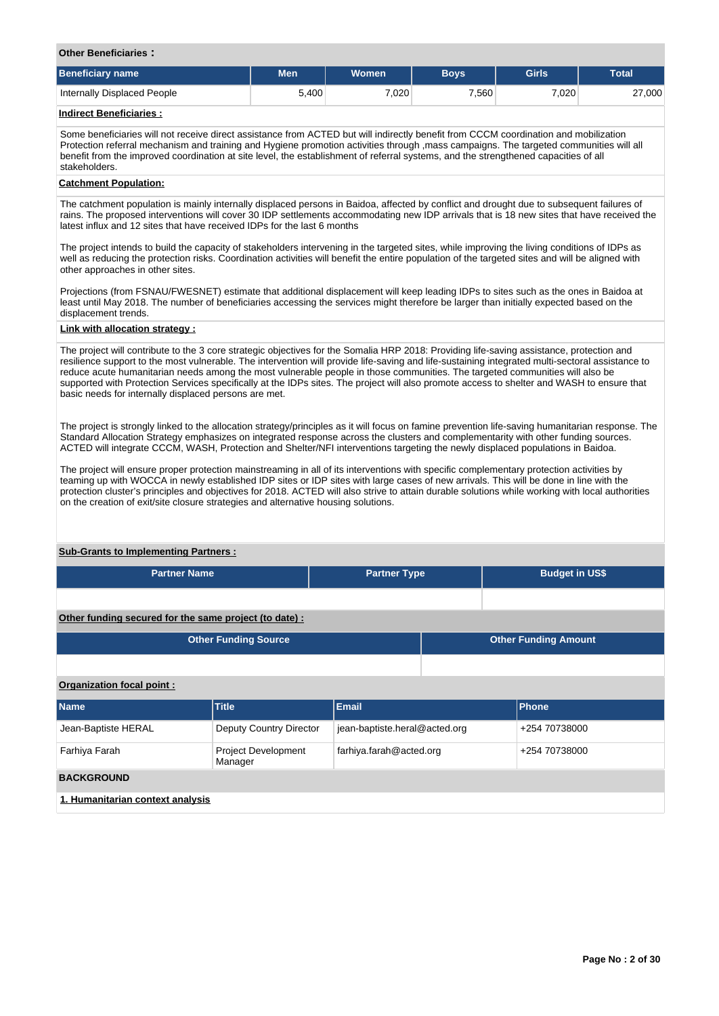#### **Other Beneficiaries :**

| Beneficiary name            | Men   | <b>Women</b> | <b>Bovs</b> | <b>Girls</b> | <b>Total</b> |  |
|-----------------------------|-------|--------------|-------------|--------------|--------------|--|
| Internally Displaced People | 5,400 | .020         | 560         | 7.020        | 27,000       |  |
| Indiraat Danafiaiariaa :    |       |              |             |              |              |  |

#### **Indirect Beneficiaries :**

Some beneficiaries will not receive direct assistance from ACTED but will indirectly benefit from CCCM coordination and mobilization Protection referral mechanism and training and Hygiene promotion activities through ,mass campaigns. The targeted communities will all benefit from the improved coordination at site level, the establishment of referral systems, and the strengthened capacities of all stakeholders.

## **Catchment Population:**

The catchment population is mainly internally displaced persons in Baidoa, affected by conflict and drought due to subsequent failures of rains. The proposed interventions will cover 30 IDP settlements accommodating new IDP arrivals that is 18 new sites that have received the latest influx and 12 sites that have received IDPs for the last 6 months

The project intends to build the capacity of stakeholders intervening in the targeted sites, while improving the living conditions of IDPs as well as reducing the protection risks. Coordination activities will benefit the entire population of the targeted sites and will be aligned with other approaches in other sites.

Projections (from FSNAU/FWESNET) estimate that additional displacement will keep leading IDPs to sites such as the ones in Baidoa at least until May 2018. The number of beneficiaries accessing the services might therefore be larger than initially expected based on the displacement trends.

## **Link with allocation strategy :**

The project will contribute to the 3 core strategic objectives for the Somalia HRP 2018: Providing life-saving assistance, protection and resilience support to the most vulnerable. The intervention will provide life-saving and life-sustaining integrated multi-sectoral assistance to reduce acute humanitarian needs among the most vulnerable people in those communities. The targeted communities will also be supported with Protection Services specifically at the IDPs sites. The project will also promote access to shelter and WASH to ensure that basic needs for internally displaced persons are met.

The project is strongly linked to the allocation strategy/principles as it will focus on famine prevention life-saving humanitarian response. The Standard Allocation Strategy emphasizes on integrated response across the clusters and complementarity with other funding sources. ACTED will integrate CCCM, WASH, Protection and Shelter/NFI interventions targeting the newly displaced populations in Baidoa.

The project will ensure proper protection mainstreaming in all of its interventions with specific complementary protection activities by teaming up with WOCCA in newly established IDP sites or IDP sites with large cases of new arrivals. This will be done in line with the protection cluster's principles and objectives for 2018. ACTED will also strive to attain durable solutions while working with local authorities on the creation of exit/site closure strategies and alternative housing solutions.

## **Sub-Grants to Implementing Partners :**

| <b>Partner Name</b> | <b>Partner Type</b> | <b>Budget in US\$</b> |
|---------------------|---------------------|-----------------------|
|                     |                     |                       |

**Other funding secured for the same project (to date) :**

| <b>Other Funding Source</b> | <b>Other Funding Amount</b> |
|-----------------------------|-----------------------------|
|                             |                             |
| Organization focal point:   |                             |

| <b>Name</b>                      | <b>Title</b>                          | Email                         | <b>Phone</b>  |  |  |  |
|----------------------------------|---------------------------------------|-------------------------------|---------------|--|--|--|
| Jean-Baptiste HERAL              | Deputy Country Director               | jean-baptiste.heral@acted.org | +254 70738000 |  |  |  |
| Farhiya Farah                    | <b>Project Development</b><br>Manager | farhiya.farah@acted.org       | +254 70738000 |  |  |  |
| <b>BACKGROUND</b>                |                                       |                               |               |  |  |  |
| 1. Humanitarian context analysis |                                       |                               |               |  |  |  |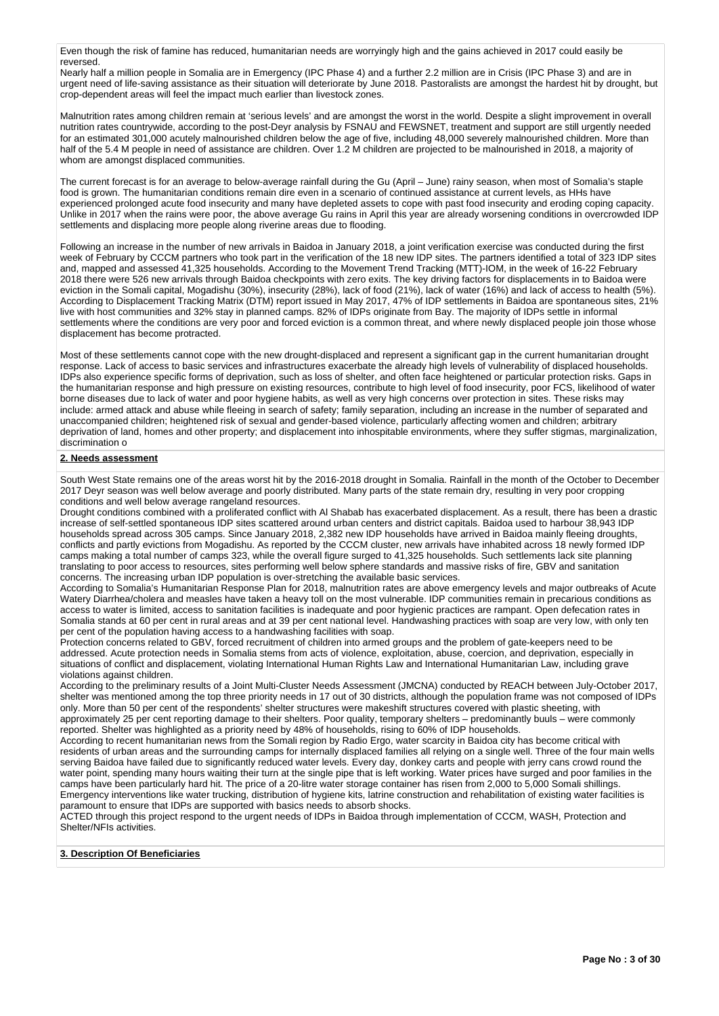Even though the risk of famine has reduced, humanitarian needs are worryingly high and the gains achieved in 2017 could easily be reversed.

Nearly half a million people in Somalia are in Emergency (IPC Phase 4) and a further 2.2 million are in Crisis (IPC Phase 3) and are in urgent need of life-saving assistance as their situation will deteriorate by June 2018. Pastoralists are amongst the hardest hit by drought, but crop-dependent areas will feel the impact much earlier than livestock zones.

Malnutrition rates among children remain at 'serious levels' and are amongst the worst in the world. Despite a slight improvement in overall nutrition rates countrywide, according to the post-Deyr analysis by FSNAU and FEWSNET, treatment and support are still urgently needed for an estimated 301,000 acutely malnourished children below the age of five, including 48,000 severely malnourished children. More than half of the 5.4 M people in need of assistance are children. Over 1.2 M children are projected to be malnourished in 2018, a majority of whom are amongst displaced communities.

The current forecast is for an average to below-average rainfall during the Gu (April – June) rainy season, when most of Somalia's staple food is grown. The humanitarian conditions remain dire even in a scenario of continued assistance at current levels, as HHs have experienced prolonged acute food insecurity and many have depleted assets to cope with past food insecurity and eroding coping capacity. Unlike in 2017 when the rains were poor, the above average Gu rains in April this year are already worsening conditions in overcrowded IDP settlements and displacing more people along riverine areas due to flooding.

Following an increase in the number of new arrivals in Baidoa in January 2018, a joint verification exercise was conducted during the first week of February by CCCM partners who took part in the verification of the 18 new IDP sites. The partners identified a total of 323 IDP sites and, mapped and assessed 41,325 households. According to the Movement Trend Tracking (MTT)-IOM, in the week of 16-22 February 2018 there were 526 new arrivals through Baidoa checkpoints with zero exits. The key driving factors for displacements in to Baidoa were eviction in the Somali capital, Mogadishu (30%), insecurity (28%), lack of food (21%), lack of water (16%) and lack of access to health (5%). According to Displacement Tracking Matrix (DTM) report issued in May 2017, 47% of IDP settlements in Baidoa are spontaneous sites, 21% live with host communities and 32% stay in planned camps. 82% of IDPs originate from Bay. The majority of IDPs settle in informal settlements where the conditions are very poor and forced eviction is a common threat, and where newly displaced people join those whose displacement has become protracted.

Most of these settlements cannot cope with the new drought-displaced and represent a significant gap in the current humanitarian drought response. Lack of access to basic services and infrastructures exacerbate the already high levels of vulnerability of displaced households. IDPs also experience specific forms of deprivation, such as loss of shelter, and often face heightened or particular protection risks. Gaps in the humanitarian response and high pressure on existing resources, contribute to high level of food insecurity, poor FCS, likelihood of water borne diseases due to lack of water and poor hygiene habits, as well as very high concerns over protection in sites. These risks may include: armed attack and abuse while fleeing in search of safety; family separation, including an increase in the number of separated and unaccompanied children; heightened risk of sexual and gender-based violence, particularly affecting women and children; arbitrary deprivation of land, homes and other property; and displacement into inhospitable environments, where they suffer stigmas, marginalization, discrimination o

## **2. Needs assessment**

South West State remains one of the areas worst hit by the 2016-2018 drought in Somalia. Rainfall in the month of the October to December 2017 Deyr season was well below average and poorly distributed. Many parts of the state remain dry, resulting in very poor cropping conditions and well below average rangeland resources.

Drought conditions combined with a proliferated conflict with Al Shabab has exacerbated displacement. As a result, there has been a drastic increase of self-settled spontaneous IDP sites scattered around urban centers and district capitals. Baidoa used to harbour 38,943 IDP households spread across 305 camps. Since January 2018, 2,382 new IDP households have arrived in Baidoa mainly fleeing droughts, conflicts and partly evictions from Mogadishu. As reported by the CCCM cluster, new arrivals have inhabited across 18 newly formed IDP camps making a total number of camps 323, while the overall figure surged to 41,325 households. Such settlements lack site planning translating to poor access to resources, sites performing well below sphere standards and massive risks of fire, GBV and sanitation concerns. The increasing urban IDP population is over-stretching the available basic services.

According to Somalia's Humanitarian Response Plan for 2018, malnutrition rates are above emergency levels and major outbreaks of Acute Watery Diarrhea/cholera and measles have taken a heavy toll on the most vulnerable. IDP communities remain in precarious conditions as access to water is limited, access to sanitation facilities is inadequate and poor hygienic practices are rampant. Open defecation rates in Somalia stands at 60 per cent in rural areas and at 39 per cent national level. Handwashing practices with soap are very low, with only ten per cent of the population having access to a handwashing facilities with soap.

Protection concerns related to GBV, forced recruitment of children into armed groups and the problem of gate-keepers need to be addressed. Acute protection needs in Somalia stems from acts of violence, exploitation, abuse, coercion, and deprivation, especially in situations of conflict and displacement, violating International Human Rights Law and International Humanitarian Law, including grave violations against children.

According to the preliminary results of a Joint Multi-Cluster Needs Assessment (JMCNA) conducted by REACH between July-October 2017, shelter was mentioned among the top three priority needs in 17 out of 30 districts, although the population frame was not composed of IDPs only. More than 50 per cent of the respondents' shelter structures were makeshift structures covered with plastic sheeting, with approximately 25 per cent reporting damage to their shelters. Poor quality, temporary shelters – predominantly buuls – were commonly reported. Shelter was highlighted as a priority need by 48% of households, rising to 60% of IDP households.

According to recent humanitarian news from the Somali region by Radio Ergo, water scarcity in Baidoa city has become critical with residents of urban areas and the surrounding camps for internally displaced families all relying on a single well. Three of the four main wells serving Baidoa have failed due to significantly reduced water levels. Every day, donkey carts and people with jerry cans crowd round the water point, spending many hours waiting their turn at the single pipe that is left working. Water prices have surged and poor families in the camps have been particularly hard hit. The price of a 20-litre water storage container has risen from 2,000 to 5,000 Somali shillings. Emergency interventions like water trucking, distribution of hygiene kits, latrine construction and rehabilitation of existing water facilities is paramount to ensure that IDPs are supported with basics needs to absorb shocks.

ACTED through this project respond to the urgent needs of IDPs in Baidoa through implementation of CCCM, WASH, Protection and Shelter/NFIs activities.

## **3. Description Of Beneficiaries**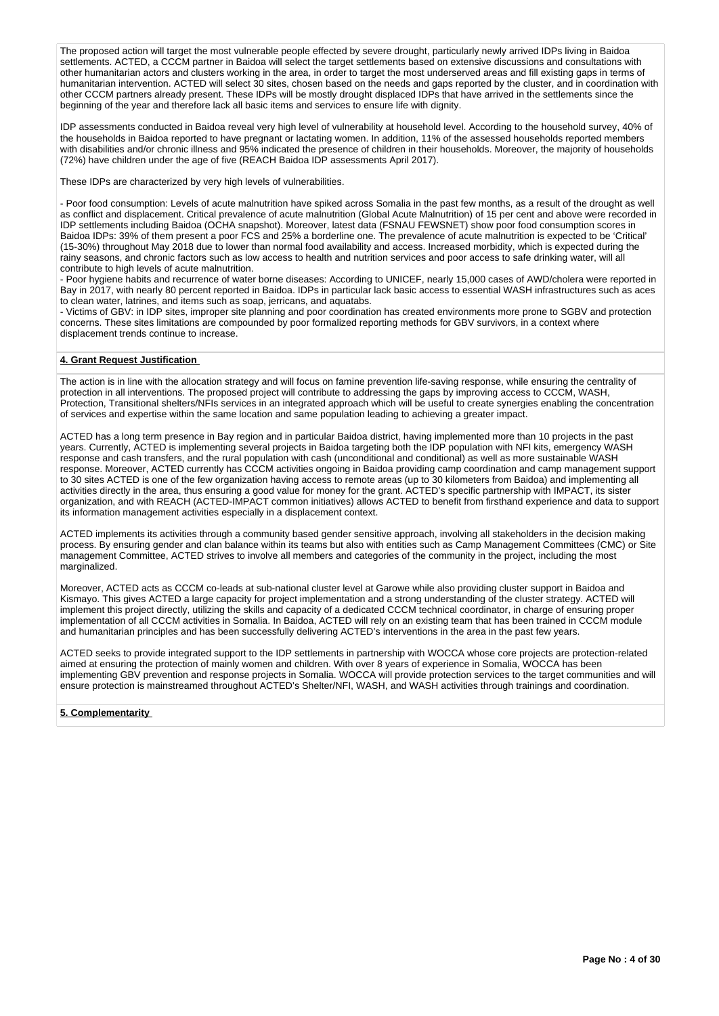The proposed action will target the most vulnerable people effected by severe drought, particularly newly arrived IDPs living in Baidoa settlements. ACTED, a CCCM partner in Baidoa will select the target settlements based on extensive discussions and consultations with other humanitarian actors and clusters working in the area, in order to target the most underserved areas and fill existing gaps in terms of humanitarian intervention. ACTED will select 30 sites, chosen based on the needs and gaps reported by the cluster, and in coordination with other CCCM partners already present. These IDPs will be mostly drought displaced IDPs that have arrived in the settlements since the beginning of the year and therefore lack all basic items and services to ensure life with dignity.

IDP assessments conducted in Baidoa reveal very high level of vulnerability at household level. According to the household survey, 40% of the households in Baidoa reported to have pregnant or lactating women. In addition, 11% of the assessed households reported members with disabilities and/or chronic illness and 95% indicated the presence of children in their households. Moreover, the majority of households (72%) have children under the age of five (REACH Baidoa IDP assessments April 2017).

These IDPs are characterized by very high levels of vulnerabilities.

- Poor food consumption: Levels of acute malnutrition have spiked across Somalia in the past few months, as a result of the drought as well as conflict and displacement. Critical prevalence of acute malnutrition (Global Acute Malnutrition) of 15 per cent and above were recorded in IDP settlements including Baidoa (OCHA snapshot). Moreover, latest data (FSNAU FEWSNET) show poor food consumption scores in Baidoa IDPs: 39% of them present a poor FCS and 25% a borderline one. The prevalence of acute malnutrition is expected to be 'Critical' (15-30%) throughout May 2018 due to lower than normal food availability and access. Increased morbidity, which is expected during the rainy seasons, and chronic factors such as low access to health and nutrition services and poor access to safe drinking water, will all contribute to high levels of acute malnutrition.

- Poor hygiene habits and recurrence of water borne diseases: According to UNICEF, nearly 15,000 cases of AWD/cholera were reported in Bay in 2017, with nearly 80 percent reported in Baidoa. IDPs in particular lack basic access to essential WASH infrastructures such as aces to clean water, latrines, and items such as soap, jerricans, and aquatabs.

- Victims of GBV: in IDP sites, improper site planning and poor coordination has created environments more prone to SGBV and protection concerns. These sites limitations are compounded by poor formalized reporting methods for GBV survivors, in a context where displacement trends continue to increase.

## **4. Grant Request Justification**

The action is in line with the allocation strategy and will focus on famine prevention life-saving response, while ensuring the centrality of protection in all interventions. The proposed project will contribute to addressing the gaps by improving access to CCCM, WASH, Protection, Transitional shelters/NFIs services in an integrated approach which will be useful to create synergies enabling the concentration of services and expertise within the same location and same population leading to achieving a greater impact.

ACTED has a long term presence in Bay region and in particular Baidoa district, having implemented more than 10 projects in the past years. Currently, ACTED is implementing several projects in Baidoa targeting both the IDP population with NFI kits, emergency WASH response and cash transfers, and the rural population with cash (unconditional and conditional) as well as more sustainable WASH response. Moreover, ACTED currently has CCCM activities ongoing in Baidoa providing camp coordination and camp management support to 30 sites ACTED is one of the few organization having access to remote areas (up to 30 kilometers from Baidoa) and implementing all activities directly in the area, thus ensuring a good value for money for the grant. ACTED's specific partnership with IMPACT, its sister organization, and with REACH (ACTED-IMPACT common initiatives) allows ACTED to benefit from firsthand experience and data to support its information management activities especially in a displacement context.

ACTED implements its activities through a community based gender sensitive approach, involving all stakeholders in the decision making process. By ensuring gender and clan balance within its teams but also with entities such as Camp Management Committees (CMC) or Site management Committee, ACTED strives to involve all members and categories of the community in the project, including the most marginalized.

Moreover, ACTED acts as CCCM co-leads at sub-national cluster level at Garowe while also providing cluster support in Baidoa and Kismayo. This gives ACTED a large capacity for project implementation and a strong understanding of the cluster strategy. ACTED will implement this project directly, utilizing the skills and capacity of a dedicated CCCM technical coordinator, in charge of ensuring proper implementation of all CCCM activities in Somalia. In Baidoa, ACTED will rely on an existing team that has been trained in CCCM module and humanitarian principles and has been successfully delivering ACTED's interventions in the area in the past few years.

ACTED seeks to provide integrated support to the IDP settlements in partnership with WOCCA whose core projects are protection-related aimed at ensuring the protection of mainly women and children. With over 8 years of experience in Somalia, WOCCA has been implementing GBV prevention and response projects in Somalia. WOCCA will provide protection services to the target communities and will ensure protection is mainstreamed throughout ACTED's Shelter/NFI, WASH, and WASH activities through trainings and coordination.

## **5. Complementarity**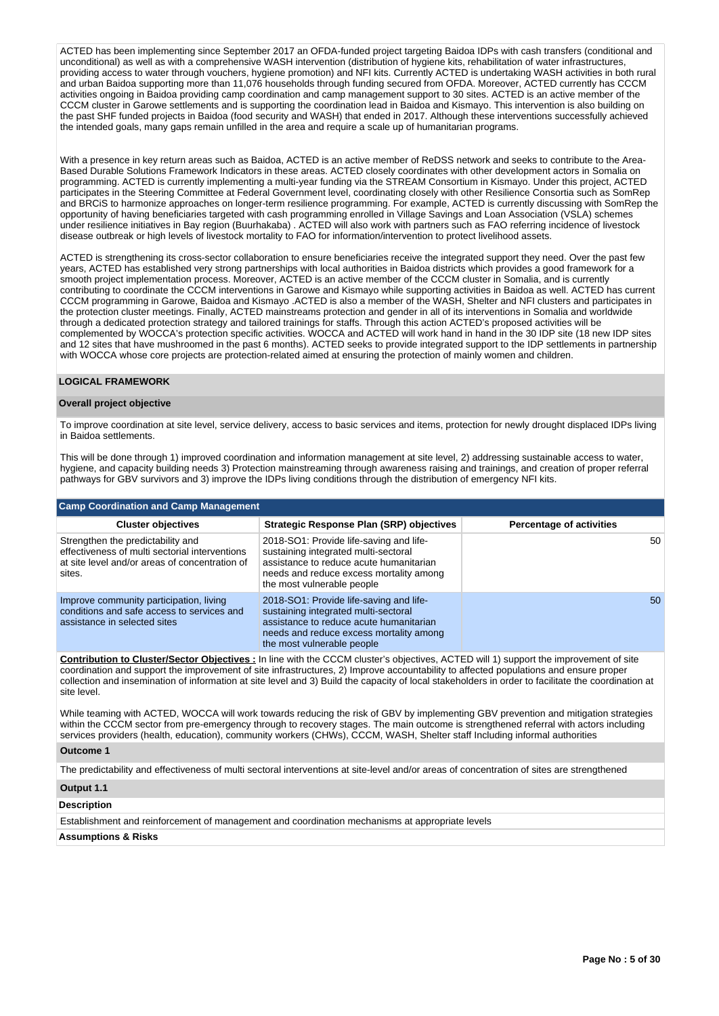ACTED has been implementing since September 2017 an OFDA-funded project targeting Baidoa IDPs with cash transfers (conditional and unconditional) as well as with a comprehensive WASH intervention (distribution of hygiene kits, rehabilitation of water infrastructures, providing access to water through vouchers, hygiene promotion) and NFI kits. Currently ACTED is undertaking WASH activities in both rural and urban Baidoa supporting more than 11,076 households through funding secured from OFDA. Moreover, ACTED currently has CCCM activities ongoing in Baidoa providing camp coordination and camp management support to 30 sites. ACTED is an active member of the CCCM cluster in Garowe settlements and is supporting the coordination lead in Baidoa and Kismayo. This intervention is also building on the past SHF funded projects in Baidoa (food security and WASH) that ended in 2017. Although these interventions successfully achieved the intended goals, many gaps remain unfilled in the area and require a scale up of humanitarian programs.

With a presence in key return areas such as Baidoa, ACTED is an active member of ReDSS network and seeks to contribute to the Area-Based Durable Solutions Framework Indicators in these areas. ACTED closely coordinates with other development actors in Somalia on programming. ACTED is currently implementing a multi-year funding via the STREAM Consortium in Kismayo. Under this project, ACTED participates in the Steering Committee at Federal Government level, coordinating closely with other Resilience Consortia such as SomRep and BRCiS to harmonize approaches on longer-term resilience programming. For example, ACTED is currently discussing with SomRep the opportunity of having beneficiaries targeted with cash programming enrolled in Village Savings and Loan Association (VSLA) schemes under resilience initiatives in Bay region (Buurhakaba) . ACTED will also work with partners such as FAO referring incidence of livestock disease outbreak or high levels of livestock mortality to FAO for information/intervention to protect livelihood assets.

ACTED is strengthening its cross-sector collaboration to ensure beneficiaries receive the integrated support they need. Over the past few years, ACTED has established very strong partnerships with local authorities in Baidoa districts which provides a good framework for a smooth project implementation process. Moreover, ACTED is an active member of the CCCM cluster in Somalia, and is currently contributing to coordinate the CCCM interventions in Garowe and Kismayo while supporting activities in Baidoa as well. ACTED has current CCCM programming in Garowe, Baidoa and Kismayo .ACTED is also a member of the WASH, Shelter and NFI clusters and participates in the protection cluster meetings. Finally, ACTED mainstreams protection and gender in all of its interventions in Somalia and worldwide through a dedicated protection strategy and tailored trainings for staffs. Through this action ACTED's proposed activities will be complemented by WOCCA's protection specific activities. WOCCA and ACTED will work hand in hand in the 30 IDP site (18 new IDP sites and 12 sites that have mushroomed in the past 6 months). ACTED seeks to provide integrated support to the IDP settlements in partnership with WOCCA whose core projects are protection-related aimed at ensuring the protection of mainly women and children.

## **LOGICAL FRAMEWORK**

#### **Overall project objective**

To improve coordination at site level, service delivery, access to basic services and items, protection for newly drought displaced IDPs living in Baidoa settlements.

This will be done through 1) improved coordination and information management at site level, 2) addressing sustainable access to water, hygiene, and capacity building needs 3) Protection mainstreaming through awareness raising and trainings, and creation of proper referral pathways for GBV survivors and 3) improve the IDPs living conditions through the distribution of emergency NFI kits.

| <b>Camp Coordination and Camp Management</b>                                                                                                    |                                                                                                                                                                                                     |                                 |  |  |  |  |  |
|-------------------------------------------------------------------------------------------------------------------------------------------------|-----------------------------------------------------------------------------------------------------------------------------------------------------------------------------------------------------|---------------------------------|--|--|--|--|--|
| <b>Cluster objectives</b>                                                                                                                       | Strategic Response Plan (SRP) objectives                                                                                                                                                            | <b>Percentage of activities</b> |  |  |  |  |  |
| Strengthen the predictability and<br>effectiveness of multi sectorial interventions<br>at site level and/or areas of concentration of<br>sites. | 2018-SO1: Provide life-saving and life-<br>sustaining integrated multi-sectoral<br>assistance to reduce acute humanitarian<br>needs and reduce excess mortality among<br>the most vulnerable people | 50                              |  |  |  |  |  |
| Improve community participation, living<br>conditions and safe access to services and<br>assistance in selected sites                           | 2018-SO1: Provide life-saving and life-<br>sustaining integrated multi-sectoral<br>assistance to reduce acute humanitarian<br>needs and reduce excess mortality among<br>the most vulnerable people | 50                              |  |  |  |  |  |

**Contribution to Cluster/Sector Objectives :** In line with the CCCM cluster's objectives, ACTED will 1) support the improvement of site coordination and support the improvement of site infrastructures, 2) Improve accountability to affected populations and ensure proper collection and insemination of information at site level and 3) Build the capacity of local stakeholders in order to facilitate the coordination at site level.

While teaming with ACTED, WOCCA will work towards reducing the risk of GBV by implementing GBV prevention and mitigation strategies within the CCCM sector from pre-emergency through to recovery stages. The main outcome is strengthened referral with actors including services providers (health, education), community workers (CHWs), CCCM, WASH, Shelter staff Including informal authorities

#### **Outcome 1**

The predictability and effectiveness of multi sectoral interventions at site-level and/or areas of concentration of sites are strengthened

#### **Output 1.1**

#### **Description**

Establishment and reinforcement of management and coordination mechanisms at appropriate levels

## **Assumptions & Risks**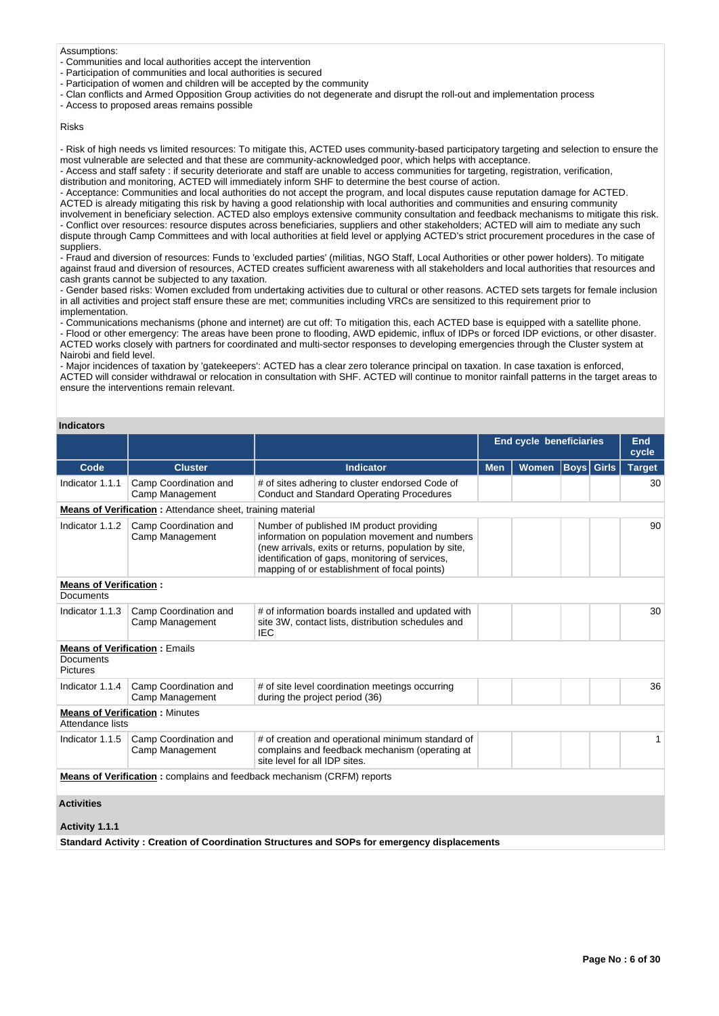#### Assumptions:

- Communities and local authorities accept the intervention
- Participation of communities and local authorities is secured
- Participation of women and children will be accepted by the community
- Clan conflicts and Armed Opposition Group activities do not degenerate and disrupt the roll-out and implementation process

- Access to proposed areas remains possible

## Risks

- Risk of high needs vs limited resources: To mitigate this, ACTED uses community-based participatory targeting and selection to ensure the most vulnerable are selected and that these are community-acknowledged poor, which helps with acceptance.

- Access and staff safety : if security deteriorate and staff are unable to access communities for targeting, registration, verification, distribution and monitoring, ACTED will immediately inform SHF to determine the best course of action.

- Acceptance: Communities and local authorities do not accept the program, and local disputes cause reputation damage for ACTED. ACTED is already mitigating this risk by having a good relationship with local authorities and communities and ensuring community involvement in beneficiary selection. ACTED also employs extensive community consultation and feedback mechanisms to mitigate this risk. - Conflict over resources: resource disputes across beneficiaries, suppliers and other stakeholders; ACTED will aim to mediate any such dispute through Camp Committees and with local authorities at field level or applying ACTED's strict procurement procedures in the case of suppliers.

- Fraud and diversion of resources: Funds to 'excluded parties' (militias, NGO Staff, Local Authorities or other power holders). To mitigate against fraud and diversion of resources, ACTED creates sufficient awareness with all stakeholders and local authorities that resources and cash grants cannot be subjected to any taxation.

- Gender based risks: Women excluded from undertaking activities due to cultural or other reasons. ACTED sets targets for female inclusion in all activities and project staff ensure these are met; communities including VRCs are sensitized to this requirement prior to implementation.

- Communications mechanisms (phone and internet) are cut off: To mitigation this, each ACTED base is equipped with a satellite phone. - Flood or other emergency: The areas have been prone to flooding, AWD epidemic, influx of IDPs or forced IDP evictions, or other disaster. ACTED works closely with partners for coordinated and multi-sector responses to developing emergencies through the Cluster system at Nairobi and field level.

- Major incidences of taxation by 'gatekeepers': ACTED has a clear zero tolerance principal on taxation. In case taxation is enforced, ACTED will consider withdrawal or relocation in consultation with SHF. ACTED will continue to monitor rainfall patterns in the target areas to ensure the interventions remain relevant.

# **Indicators**

|                                                                               |                                                                   |                                                                                                                                                                                                                                                       | <b>End cycle beneficiaries</b> |              |                   | <b>End</b><br>cycle |               |  |
|-------------------------------------------------------------------------------|-------------------------------------------------------------------|-------------------------------------------------------------------------------------------------------------------------------------------------------------------------------------------------------------------------------------------------------|--------------------------------|--------------|-------------------|---------------------|---------------|--|
| Code                                                                          | <b>Cluster</b>                                                    | <b>Indicator</b>                                                                                                                                                                                                                                      | <b>Men</b>                     | <b>Women</b> | <b>Boys</b> Girls |                     | <b>Target</b> |  |
| Indicator 1.1.1                                                               | Camp Coordination and<br>Camp Management                          | # of sites adhering to cluster endorsed Code of<br><b>Conduct and Standard Operating Procedures</b>                                                                                                                                                   |                                |              |                   |                     | 30            |  |
|                                                                               | <b>Means of Verification:</b> Attendance sheet, training material |                                                                                                                                                                                                                                                       |                                |              |                   |                     |               |  |
| Indicator 1.1.2                                                               | Camp Coordination and<br>Camp Management                          | Number of published IM product providing<br>information on population movement and numbers<br>(new arrivals, exits or returns, population by site,<br>identification of gaps, monitoring of services,<br>mapping of or establishment of focal points) |                                |              |                   |                     | 90            |  |
| <b>Means of Verification:</b><br>Documents                                    |                                                                   |                                                                                                                                                                                                                                                       |                                |              |                   |                     |               |  |
| Indicator 1.1.3                                                               | Camp Coordination and<br>Camp Management                          | # of information boards installed and updated with<br>site 3W, contact lists, distribution schedules and<br><b>IEC</b>                                                                                                                                |                                |              |                   |                     | 30            |  |
| Documents<br><b>Pictures</b>                                                  | <b>Means of Verification: Emails</b>                              |                                                                                                                                                                                                                                                       |                                |              |                   |                     |               |  |
| Indicator 1.1.4                                                               | Camp Coordination and<br>Camp Management                          | # of site level coordination meetings occurring<br>during the project period (36)                                                                                                                                                                     |                                |              |                   |                     | 36            |  |
| Attendance lists                                                              | <b>Means of Verification: Minutes</b>                             |                                                                                                                                                                                                                                                       |                                |              |                   |                     |               |  |
| Indicator 1.1.5                                                               | Camp Coordination and<br>Camp Management                          | # of creation and operational minimum standard of<br>complains and feedback mechanism (operating at<br>site level for all IDP sites.                                                                                                                  |                                |              |                   |                     | $\mathbf{1}$  |  |
| <b>Means of Verification:</b> complains and feedback mechanism (CRFM) reports |                                                                   |                                                                                                                                                                                                                                                       |                                |              |                   |                     |               |  |
| <b>Activities</b>                                                             |                                                                   |                                                                                                                                                                                                                                                       |                                |              |                   |                     |               |  |
| Activity 1.1.1                                                                |                                                                   |                                                                                                                                                                                                                                                       |                                |              |                   |                     |               |  |
|                                                                               |                                                                   | Standard Activity: Creation of Coordination Structures and SOPs for emergency displacements                                                                                                                                                           |                                |              |                   |                     |               |  |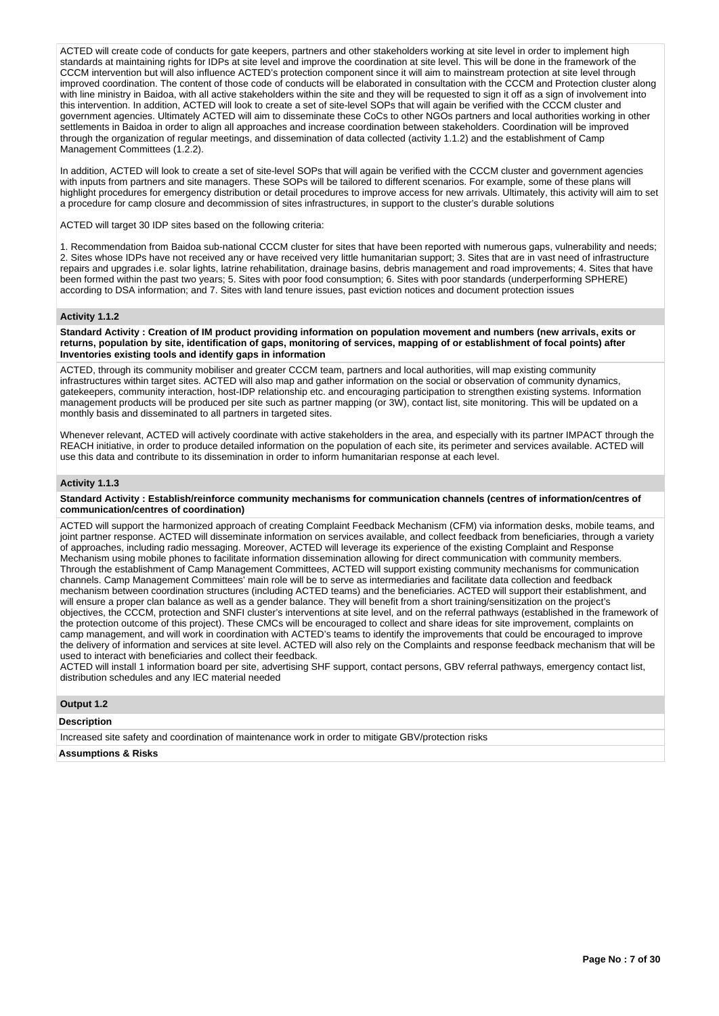ACTED will create code of conducts for gate keepers, partners and other stakeholders working at site level in order to implement high standards at maintaining rights for IDPs at site level and improve the coordination at site level. This will be done in the framework of the CCCM intervention but will also influence ACTED's protection component since it will aim to mainstream protection at site level through improved coordination. The content of those code of conducts will be elaborated in consultation with the CCCM and Protection cluster along with line ministry in Baidoa, with all active stakeholders within the site and they will be requested to sign it off as a sign of involvement into this intervention. In addition, ACTED will look to create a set of site-level SOPs that will again be verified with the CCCM cluster and government agencies. Ultimately ACTED will aim to disseminate these CoCs to other NGOs partners and local authorities working in other settlements in Baidoa in order to align all approaches and increase coordination between stakeholders. Coordination will be improved through the organization of regular meetings, and dissemination of data collected (activity 1.1.2) and the establishment of Camp Management Committees (1.2.2).

In addition, ACTED will look to create a set of site-level SOPs that will again be verified with the CCCM cluster and government agencies with inputs from partners and site managers. These SOPs will be tailored to different scenarios. For example, some of these plans will highlight procedures for emergency distribution or detail procedures to improve access for new arrivals. Ultimately, this activity will aim to set a procedure for camp closure and decommission of sites infrastructures, in support to the cluster's durable solutions

ACTED will target 30 IDP sites based on the following criteria:

1. Recommendation from Baidoa sub-national CCCM cluster for sites that have been reported with numerous gaps, vulnerability and needs; 2. Sites whose IDPs have not received any or have received very little humanitarian support; 3. Sites that are in vast need of infrastructure repairs and upgrades i.e. solar lights, latrine rehabilitation, drainage basins, debris management and road improvements; 4. Sites that have been formed within the past two years; 5. Sites with poor food consumption; 6. Sites with poor standards (underperforming SPHERE) according to DSA information; and 7. Sites with land tenure issues, past eviction notices and document protection issues

#### **Activity 1.1.2**

**Standard Activity : Creation of IM product providing information on population movement and numbers (new arrivals, exits or returns, population by site, identification of gaps, monitoring of services, mapping of or establishment of focal points) after Inventories existing tools and identify gaps in information**

ACTED, through its community mobiliser and greater CCCM team, partners and local authorities, will map existing community infrastructures within target sites. ACTED will also map and gather information on the social or observation of community dynamics, gatekeepers, community interaction, host-IDP relationship etc. and encouraging participation to strengthen existing systems. Information management products will be produced per site such as partner mapping (or 3W), contact list, site monitoring. This will be updated on a monthly basis and disseminated to all partners in targeted sites.

Whenever relevant, ACTED will actively coordinate with active stakeholders in the area, and especially with its partner IMPACT through the REACH initiative, in order to produce detailed information on the population of each site, its perimeter and services available. ACTED will use this data and contribute to its dissemination in order to inform humanitarian response at each level.

#### **Activity 1.1.3**

#### **Standard Activity : Establish/reinforce community mechanisms for communication channels (centres of information/centres of communication/centres of coordination)**

ACTED will support the harmonized approach of creating Complaint Feedback Mechanism (CFM) via information desks, mobile teams, and joint partner response. ACTED will disseminate information on services available, and collect feedback from beneficiaries, through a variety of approaches, including radio messaging. Moreover, ACTED will leverage its experience of the existing Complaint and Response Mechanism using mobile phones to facilitate information dissemination allowing for direct communication with community members. Through the establishment of Camp Management Committees, ACTED will support existing community mechanisms for communication channels. Camp Management Committees' main role will be to serve as intermediaries and facilitate data collection and feedback mechanism between coordination structures (including ACTED teams) and the beneficiaries. ACTED will support their establishment, and will ensure a proper clan balance as well as a gender balance. They will benefit from a short training/sensitization on the project's objectives, the CCCM, protection and SNFI cluster's interventions at site level, and on the referral pathways (established in the framework of the protection outcome of this project). These CMCs will be encouraged to collect and share ideas for site improvement, complaints on camp management, and will work in coordination with ACTED's teams to identify the improvements that could be encouraged to improve the delivery of information and services at site level. ACTED will also rely on the Complaints and response feedback mechanism that will be used to interact with beneficiaries and collect their feedback.

ACTED will install 1 information board per site, advertising SHF support, contact persons, GBV referral pathways, emergency contact list, distribution schedules and any IEC material needed

## **Output 1.2**

# **Description**

Increased site safety and coordination of maintenance work in order to mitigate GBV/protection risks

## **Assumptions & Risks**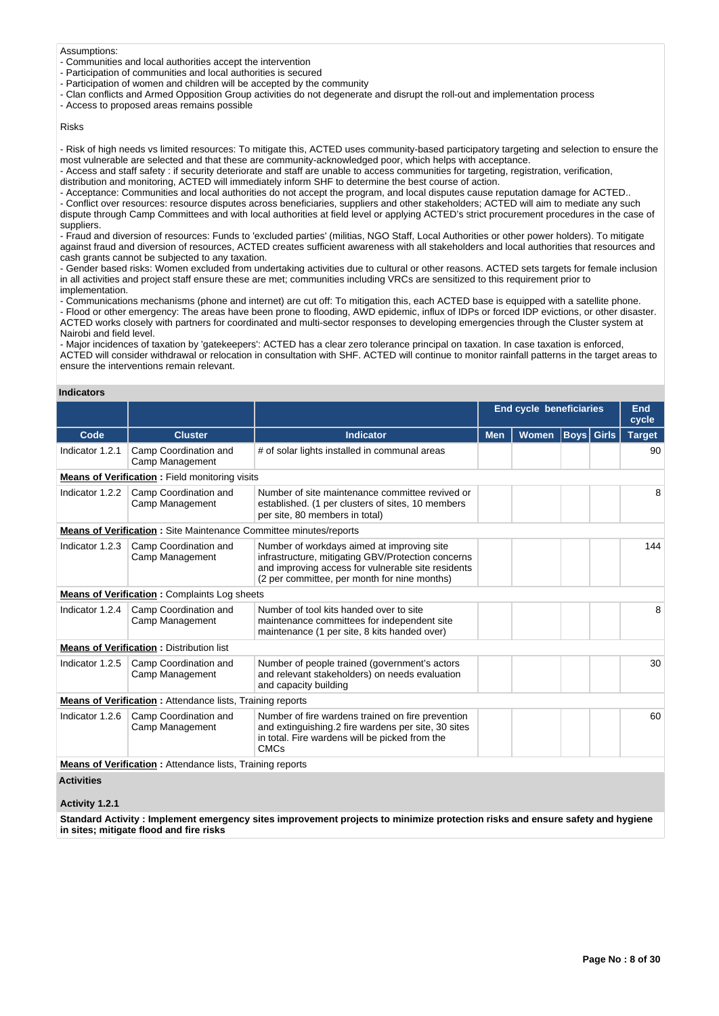#### Assumptions:

- Communities and local authorities accept the intervention
- Participation of communities and local authorities is secured
- Participation of women and children will be accepted by the community
- Clan conflicts and Armed Opposition Group activities do not degenerate and disrupt the roll-out and implementation process

- Access to proposed areas remains possible

## Risks

- Risk of high needs vs limited resources: To mitigate this, ACTED uses community-based participatory targeting and selection to ensure the most vulnerable are selected and that these are community-acknowledged poor, which helps with acceptance.

- Access and staff safety : if security deteriorate and staff are unable to access communities for targeting, registration, verification, distribution and monitoring, ACTED will immediately inform SHF to determine the best course of action.

- Acceptance: Communities and local authorities do not accept the program, and local disputes cause reputation damage for ACTED..

- Conflict over resources: resource disputes across beneficiaries, suppliers and other stakeholders; ACTED will aim to mediate any such dispute through Camp Committees and with local authorities at field level or applying ACTED's strict procurement procedures in the case of suppliers.

- Fraud and diversion of resources: Funds to 'excluded parties' (militias, NGO Staff, Local Authorities or other power holders). To mitigate against fraud and diversion of resources, ACTED creates sufficient awareness with all stakeholders and local authorities that resources and cash grants cannot be subjected to any taxation.

- Gender based risks: Women excluded from undertaking activities due to cultural or other reasons. ACTED sets targets for female inclusion in all activities and project staff ensure these are met; communities including VRCs are sensitized to this requirement prior to implementation.

- Communications mechanisms (phone and internet) are cut off: To mitigation this, each ACTED base is equipped with a satellite phone.

- Flood or other emergency: The areas have been prone to flooding, AWD epidemic, influx of IDPs or forced IDP evictions, or other disaster. ACTED works closely with partners for coordinated and multi-sector responses to developing emergencies through the Cluster system at Nairobi and field level.

- Major incidences of taxation by 'gatekeepers': ACTED has a clear zero tolerance principal on taxation. In case taxation is enforced, ACTED will consider withdrawal or relocation in consultation with SHF. ACTED will continue to monitor rainfall patterns in the target areas to ensure the interventions remain relevant.

#### **Indicators**

|                   |                                                                          |                                                                                                                                                                                                        | <b>End cycle beneficiaries</b> |              |                   | End<br>cycle |               |
|-------------------|--------------------------------------------------------------------------|--------------------------------------------------------------------------------------------------------------------------------------------------------------------------------------------------------|--------------------------------|--------------|-------------------|--------------|---------------|
| Code              | <b>Cluster</b>                                                           | <b>Indicator</b>                                                                                                                                                                                       | <b>Men</b>                     | <b>Women</b> | <b>Boys Girls</b> |              | <b>Target</b> |
| Indicator 1.2.1   | Camp Coordination and<br>Camp Management                                 | # of solar lights installed in communal areas                                                                                                                                                          |                                |              |                   |              | 90            |
|                   | <b>Means of Verification:</b> Field monitoring visits                    |                                                                                                                                                                                                        |                                |              |                   |              |               |
| Indicator 1.2.2   | Camp Coordination and<br>Camp Management                                 | Number of site maintenance committee revived or<br>established. (1 per clusters of sites, 10 members<br>per site, 80 members in total)                                                                 |                                |              |                   |              | 8             |
|                   | <b>Means of Verification:</b> Site Maintenance Committee minutes/reports |                                                                                                                                                                                                        |                                |              |                   |              |               |
| Indicator 1.2.3   | Camp Coordination and<br>Camp Management                                 | Number of workdays aimed at improving site<br>infrastructure, mitigating GBV/Protection concerns<br>and improving access for vulnerable site residents<br>(2 per committee, per month for nine months) |                                |              |                   |              | 144           |
|                   | <b>Means of Verification:</b> Complaints Log sheets                      |                                                                                                                                                                                                        |                                |              |                   |              |               |
| Indicator 1.2.4   | Camp Coordination and<br>Camp Management                                 | Number of tool kits handed over to site<br>maintenance committees for independent site<br>maintenance (1 per site, 8 kits handed over)                                                                 |                                |              |                   |              | 8             |
|                   | <b>Means of Verification: Distribution list</b>                          |                                                                                                                                                                                                        |                                |              |                   |              |               |
| Indicator 1.2.5   | Camp Coordination and<br>Camp Management                                 | Number of people trained (government's actors<br>and relevant stakeholders) on needs evaluation<br>and capacity building                                                                               |                                |              |                   |              | 30            |
|                   | <b>Means of Verification:</b> Attendance lists, Training reports         |                                                                                                                                                                                                        |                                |              |                   |              |               |
| Indicator 1.2.6   | Camp Coordination and<br>Camp Management                                 | Number of fire wardens trained on fire prevention<br>and extinguishing.2 fire wardens per site, 30 sites<br>in total. Fire wardens will be picked from the<br><b>CMCs</b>                              |                                |              |                   |              | 60            |
|                   | <b>Means of Verification:</b> Attendance lists, Training reports         |                                                                                                                                                                                                        |                                |              |                   |              |               |
| <b>Activities</b> |                                                                          |                                                                                                                                                                                                        |                                |              |                   |              |               |

## **Activity 1.2.1**

**Standard Activity : Implement emergency sites improvement projects to minimize protection risks and ensure safety and hygiene in sites; mitigate flood and fire risks**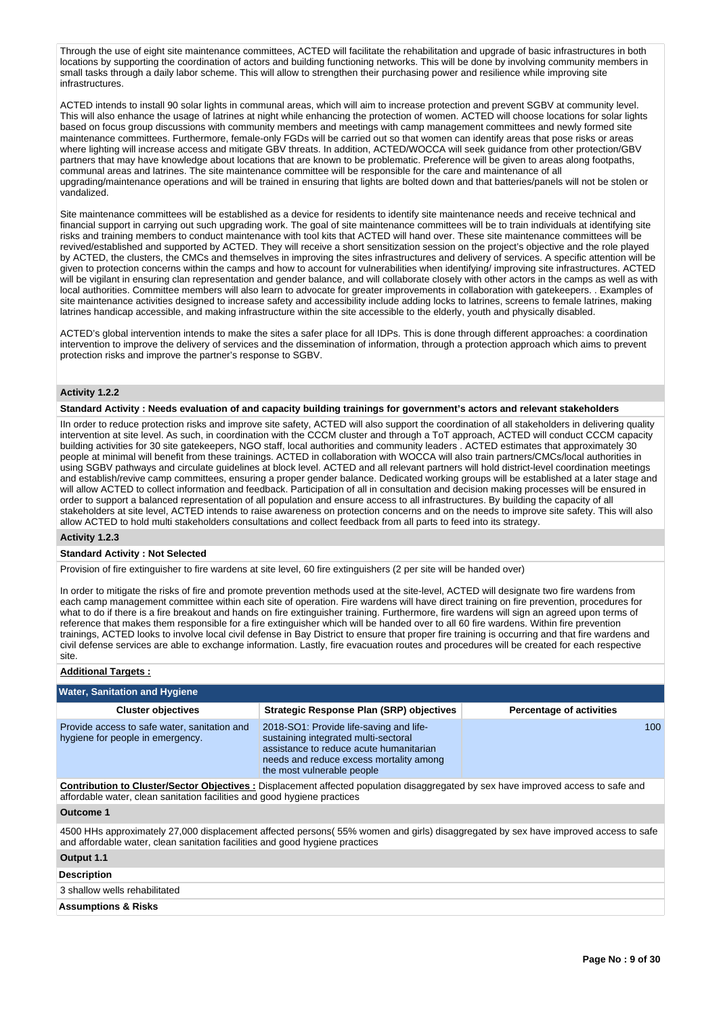Through the use of eight site maintenance committees, ACTED will facilitate the rehabilitation and upgrade of basic infrastructures in both locations by supporting the coordination of actors and building functioning networks. This will be done by involving community members in small tasks through a daily labor scheme. This will allow to strengthen their purchasing power and resilience while improving site infrastructures.

ACTED intends to install 90 solar lights in communal areas, which will aim to increase protection and prevent SGBV at community level. This will also enhance the usage of latrines at night while enhancing the protection of women. ACTED will choose locations for solar lights based on focus group discussions with community members and meetings with camp management committees and newly formed site maintenance committees. Furthermore, female-only FGDs will be carried out so that women can identify areas that pose risks or areas where lighting will increase access and mitigate GBV threats. In addition, ACTED/WOCCA will seek guidance from other protection/GBV partners that may have knowledge about locations that are known to be problematic. Preference will be given to areas along footpaths, communal areas and latrines. The site maintenance committee will be responsible for the care and maintenance of all upgrading/maintenance operations and will be trained in ensuring that lights are bolted down and that batteries/panels will not be stolen or vandalized.

Site maintenance committees will be established as a device for residents to identify site maintenance needs and receive technical and financial support in carrying out such upgrading work. The goal of site maintenance committees will be to train individuals at identifying site risks and training members to conduct maintenance with tool kits that ACTED will hand over. These site maintenance committees will be revived/established and supported by ACTED. They will receive a short sensitization session on the project's objective and the role played by ACTED, the clusters, the CMCs and themselves in improving the sites infrastructures and delivery of services. A specific attention will be given to protection concerns within the camps and how to account for vulnerabilities when identifying/ improving site infrastructures. ACTED will be vigilant in ensuring clan representation and gender balance, and will collaborate closely with other actors in the camps as well as with local authorities. Committee members will also learn to advocate for greater improvements in collaboration with gatekeepers. . Examples of site maintenance activities designed to increase safety and accessibility include adding locks to latrines, screens to female latrines, making latrines handicap accessible, and making infrastructure within the site accessible to the elderly, youth and physically disabled.

ACTED's global intervention intends to make the sites a safer place for all IDPs. This is done through different approaches: a coordination intervention to improve the delivery of services and the dissemination of information, through a protection approach which aims to prevent protection risks and improve the partner's response to SGBV.

## **Activity 1.2.2**

**Standard Activity : Needs evaluation of and capacity building trainings for government's actors and relevant stakeholders**

IIn order to reduce protection risks and improve site safety, ACTED will also support the coordination of all stakeholders in delivering quality intervention at site level. As such, in coordination with the CCCM cluster and through a ToT approach, ACTED will conduct CCCM capacity building activities for 30 site gatekeepers, NGO staff, local authorities and community leaders . ACTED estimates that approximately 30 people at minimal will benefit from these trainings. ACTED in collaboration with WOCCA will also train partners/CMCs/local authorities in using SGBV pathways and circulate guidelines at block level. ACTED and all relevant partners will hold district-level coordination meetings and establish/revive camp committees, ensuring a proper gender balance. Dedicated working groups will be established at a later stage and will allow ACTED to collect information and feedback. Participation of all in consultation and decision making processes will be ensured in order to support a balanced representation of all population and ensure access to all infrastructures. By building the capacity of all stakeholders at site level, ACTED intends to raise awareness on protection concerns and on the needs to improve site safety. This will also allow ACTED to hold multi stakeholders consultations and collect feedback from all parts to feed into its strategy.

#### **Activity 1.2.3**

#### **Standard Activity : Not Selected**

Provision of fire extinguisher to fire wardens at site level, 60 fire extinguishers (2 per site will be handed over)

In order to mitigate the risks of fire and promote prevention methods used at the site-level, ACTED will designate two fire wardens from each camp management committee within each site of operation. Fire wardens will have direct training on fire prevention, procedures for what to do if there is a fire breakout and hands on fire extinguisher training. Furthermore, fire wardens will sign an agreed upon terms of reference that makes them responsible for a fire extinguisher which will be handed over to all 60 fire wardens. Within fire prevention trainings, ACTED looks to involve local civil defense in Bay District to ensure that proper fire training is occurring and that fire wardens and civil defense services are able to exchange information. Lastly, fire evacuation routes and procedures will be created for each respective site.

# **Additional Targets :**

| <b>Water, Sanitation and Hygiene</b>                                             |                                                                                                                                                                                                     |                                 |  |  |  |  |
|----------------------------------------------------------------------------------|-----------------------------------------------------------------------------------------------------------------------------------------------------------------------------------------------------|---------------------------------|--|--|--|--|
| <b>Cluster objectives</b>                                                        | <b>Strategic Response Plan (SRP) objectives</b>                                                                                                                                                     | <b>Percentage of activities</b> |  |  |  |  |
| Provide access to safe water, sanitation and<br>hygiene for people in emergency. | 2018-SO1: Provide life-saving and life-<br>sustaining integrated multi-sectoral<br>assistance to reduce acute humanitarian<br>needs and reduce excess mortality among<br>the most vulnerable people | 100                             |  |  |  |  |
| affordable water, clean sanitation facilities and good hygiene practices         | <b>Contribution to Cluster/Sector Objectives</b> : Displacement affected population disaggregated by sex have improved access to safe and                                                           |                                 |  |  |  |  |
| Outcome 1                                                                        |                                                                                                                                                                                                     |                                 |  |  |  |  |
| and affordable water, clean sanitation facilities and good hygiene practices     | 4500 HHs approximately 27,000 displacement affected persons(55% women and girls) disaggregated by sex have improved access to safe                                                                  |                                 |  |  |  |  |
| Output 1.1                                                                       |                                                                                                                                                                                                     |                                 |  |  |  |  |
| <b>Description</b>                                                               |                                                                                                                                                                                                     |                                 |  |  |  |  |
| 3 shallow wells rehabilitated                                                    |                                                                                                                                                                                                     |                                 |  |  |  |  |
| <b>Assumptions &amp; Risks</b>                                                   |                                                                                                                                                                                                     |                                 |  |  |  |  |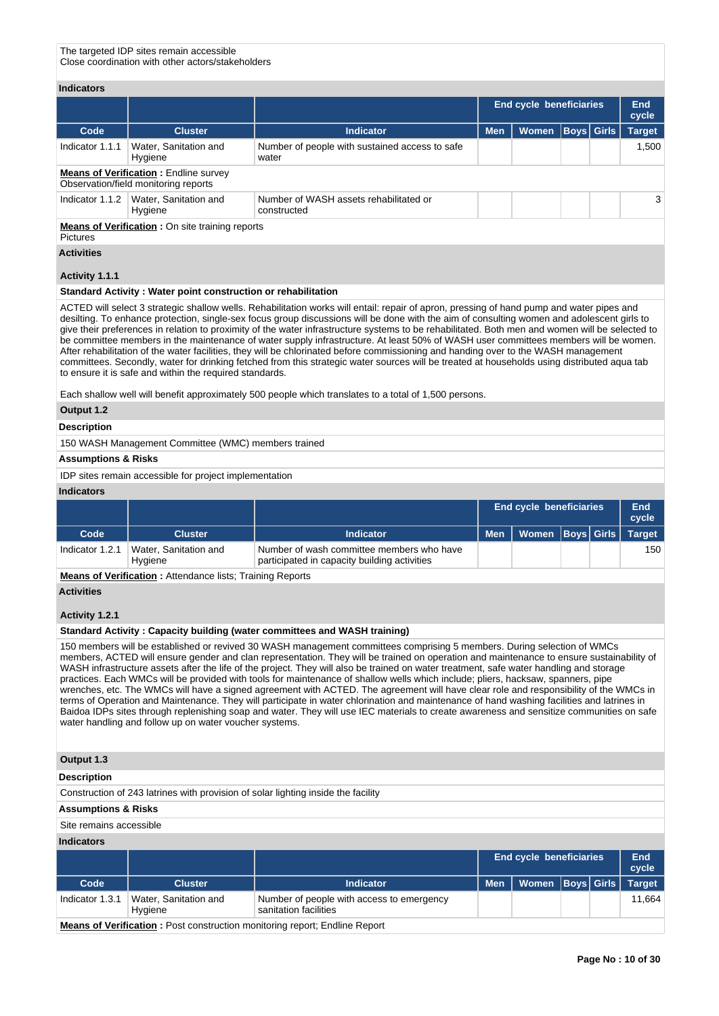The targeted IDP sites remain accessible Close coordination with other actors/stakeholders

## **Indicators**

|                                                                           |                                                                                      |                                                         | End cycle beneficiaries |              |                   | <b>End</b><br>cycle |               |
|---------------------------------------------------------------------------|--------------------------------------------------------------------------------------|---------------------------------------------------------|-------------------------|--------------|-------------------|---------------------|---------------|
| Code                                                                      | <b>Cluster</b>                                                                       | <b>Indicator</b>                                        | <b>Men</b>              | <b>Women</b> | <b>Boys</b> Girls |                     | <b>Target</b> |
| Indicator 1.1.1                                                           | Water, Sanitation and<br>Hygiene                                                     | Number of people with sustained access to safe<br>water |                         |              |                   |                     | 1,500         |
|                                                                           | <b>Means of Verification: Endline survey</b><br>Observation/field monitoring reports |                                                         |                         |              |                   |                     |               |
| Indicator 1.1.2                                                           | Water, Sanitation and<br>Hygiene                                                     | Number of WASH assets rehabilitated or<br>constructed   |                         |              |                   |                     | 3             |
| <b>Means of Verification: On site training reports</b><br><b>Pictures</b> |                                                                                      |                                                         |                         |              |                   |                     |               |

**Activities**

#### **Activity 1.1.1**

#### **Standard Activity : Water point construction or rehabilitation**

ACTED will select 3 strategic shallow wells. Rehabilitation works will entail: repair of apron, pressing of hand pump and water pipes and desilting. To enhance protection, single-sex focus group discussions will be done with the aim of consulting women and adolescent girls to give their preferences in relation to proximity of the water infrastructure systems to be rehabilitated. Both men and women will be selected to be committee members in the maintenance of water supply infrastructure. At least 50% of WASH user committees members will be women. After rehabilitation of the water facilities, they will be chlorinated before commissioning and handing over to the WASH management committees. Secondly, water for drinking fetched from this strategic water sources will be treated at households using distributed aqua tab to ensure it is safe and within the required standards.

Each shallow well will benefit approximately 500 people which translates to a total of 1,500 persons.

## **Output 1.2**

## **Description**

150 WASH Management Committee (WMC) members trained

## **Assumptions & Risks**

IDP sites remain accessible for project implementation

#### **Indicators**

|                 |                                  |                                                                                           | <b>End cycle beneficiaries</b> |                      |  | End<br>cycle |               |
|-----------------|----------------------------------|-------------------------------------------------------------------------------------------|--------------------------------|----------------------|--|--------------|---------------|
| Code            | <b>Cluster</b>                   | <b>Indicator</b>                                                                          | <b>Men</b>                     | Women   Boys   Girls |  |              | <b>Target</b> |
| Indicator 1.2.1 | Water, Sanitation and<br>Hygiene | Number of wash committee members who have<br>participated in capacity building activities |                                |                      |  |              | 150           |
| $-$             |                                  |                                                                                           |                                |                      |  |              |               |

**Means of Verification :** Attendance lists; Training Reports

## **Activities**

## **Activity 1.2.1**

## **Standard Activity : Capacity building (water committees and WASH training)**

150 members will be established or revived 30 WASH management committees comprising 5 members. During selection of WMCs members, ACTED will ensure gender and clan representation. They will be trained on operation and maintenance to ensure sustainability of WASH infrastructure assets after the life of the project. They will also be trained on water treatment, safe water handling and storage practices. Each WMCs will be provided with tools for maintenance of shallow wells which include; pliers, hacksaw, spanners, pipe wrenches, etc. The WMCs will have a signed agreement with ACTED. The agreement will have clear role and responsibility of the WMCs in terms of Operation and Maintenance. They will participate in water chlorination and maintenance of hand washing facilities and latrines in Baidoa IDPs sites through replenishing soap and water. They will use IEC materials to create awareness and sensitize communities on safe water handling and follow up on water voucher systems.

#### **Output 1.3**

#### **Description**

Construction of 243 latrines with provision of solar lighting inside the facility

## **Assumptions & Risks**

#### Site remains accessible

#### **Indicators**

|                                                                                   |                                  |                                                                    | <b>End cycle beneficiaries</b> |                      |  | End<br>cycle |               |
|-----------------------------------------------------------------------------------|----------------------------------|--------------------------------------------------------------------|--------------------------------|----------------------|--|--------------|---------------|
| Code                                                                              | <b>Cluster</b>                   | Indicator                                                          | <b>Men</b>                     | Women   Boys   Girls |  |              | <b>Target</b> |
| Indicator 1.3.1                                                                   | Water, Sanitation and<br>Hygiene | Number of people with access to emergency<br>sanitation facilities |                                |                      |  |              | 11.664        |
| <b>Means of Verification:</b> Post construction monitoring report; Endline Report |                                  |                                                                    |                                |                      |  |              |               |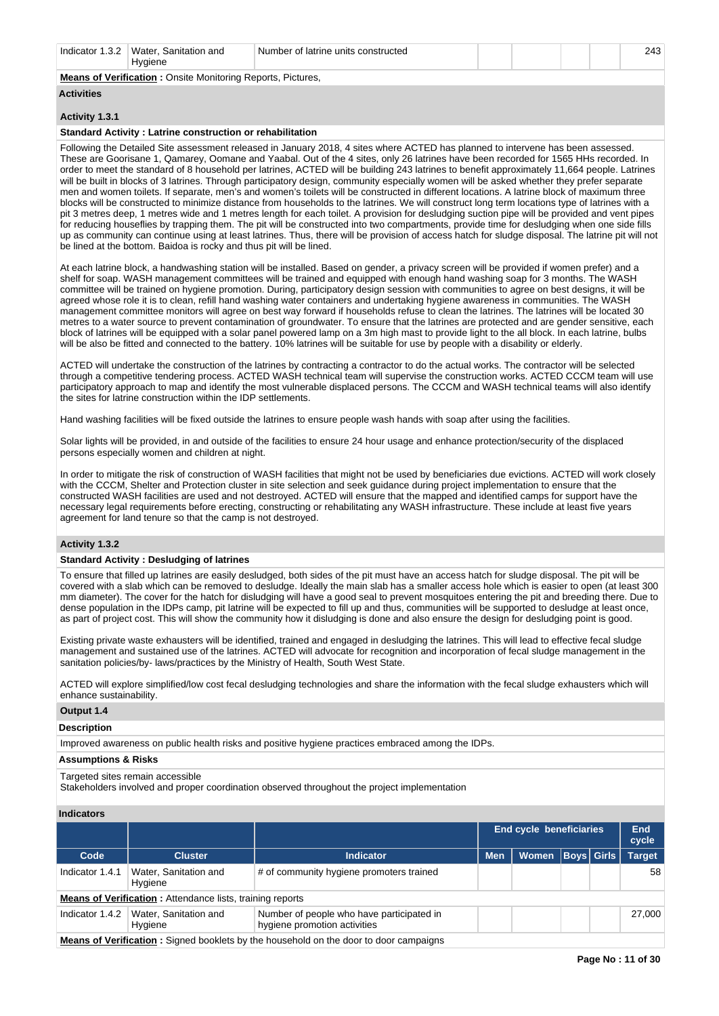| Indicator 1.3.2 | Water.<br>. Sanitation and | f latrine units constructed<br>Number |  |  | $\ddot{\phantom{0}}$<br><u>т.</u> |
|-----------------|----------------------------|---------------------------------------|--|--|-----------------------------------|
|                 | Hvaiene                    |                                       |  |  |                                   |

## **Means of Verification :** Onsite Monitoring Reports, Pictures,

# **Activities**

## **Activity 1.3.1**

#### **Standard Activity : Latrine construction or rehabilitation**

Following the Detailed Site assessment released in January 2018, 4 sites where ACTED has planned to intervene has been assessed. These are Goorisane 1, Qamarey, Oomane and Yaabal. Out of the 4 sites, only 26 latrines have been recorded for 1565 HHs recorded. In order to meet the standard of 8 household per latrines, ACTED will be building 243 latrines to benefit approximately 11,664 people. Latrines will be built in blocks of 3 latrines. Through participatory design, community especially women will be asked whether they prefer separate men and women toilets. If separate, men's and women's toilets will be constructed in different locations. A latrine block of maximum three blocks will be constructed to minimize distance from households to the latrines. We will construct long term locations type of latrines with a pit 3 metres deep, 1 metres wide and 1 metres length for each toilet. A provision for desludging suction pipe will be provided and vent pipes for reducing houseflies by trapping them. The pit will be constructed into two compartments, provide time for desludging when one side fills up as community can continue using at least latrines. Thus, there will be provision of access hatch for sludge disposal. The latrine pit will not be lined at the bottom. Baidoa is rocky and thus pit will be lined.

At each latrine block, a handwashing station will be installed. Based on gender, a privacy screen will be provided if women prefer) and a shelf for soap. WASH management committees will be trained and equipped with enough hand washing soap for 3 months. The WASH committee will be trained on hygiene promotion. During, participatory design session with communities to agree on best designs, it will be agreed whose role it is to clean, refill hand washing water containers and undertaking hygiene awareness in communities. The WASH management committee monitors will agree on best way forward if households refuse to clean the latrines. The latrines will be located 30 metres to a water source to prevent contamination of groundwater. To ensure that the latrines are protected and are gender sensitive, each block of latrines will be equipped with a solar panel powered lamp on a 3m high mast to provide light to the all block. In each latrine, bulbs will be also be fitted and connected to the battery. 10% latrines will be suitable for use by people with a disability or elderly.

ACTED will undertake the construction of the latrines by contracting a contractor to do the actual works. The contractor will be selected through a competitive tendering process. ACTED WASH technical team will supervise the construction works. ACTED CCCM team will use participatory approach to map and identify the most vulnerable displaced persons. The CCCM and WASH technical teams will also identify the sites for latrine construction within the IDP settlements.

Hand washing facilities will be fixed outside the latrines to ensure people wash hands with soap after using the facilities.

Solar lights will be provided, in and outside of the facilities to ensure 24 hour usage and enhance protection/security of the displaced persons especially women and children at night.

In order to mitigate the risk of construction of WASH facilities that might not be used by beneficiaries due evictions. ACTED will work closely with the CCCM, Shelter and Protection cluster in site selection and seek guidance during project implementation to ensure that the constructed WASH facilities are used and not destroyed. ACTED will ensure that the mapped and identified camps for support have the necessary legal requirements before erecting, constructing or rehabilitating any WASH infrastructure. These include at least five years agreement for land tenure so that the camp is not destroyed.

## **Activity 1.3.2**

#### **Standard Activity : Desludging of latrines**

To ensure that filled up latrines are easily desludged, both sides of the pit must have an access hatch for sludge disposal. The pit will be covered with a slab which can be removed to desludge. Ideally the main slab has a smaller access hole which is easier to open (at least 300 mm diameter). The cover for the hatch for disludging will have a good seal to prevent mosquitoes entering the pit and breeding there. Due to dense population in the IDPs camp, pit latrine will be expected to fill up and thus, communities will be supported to desludge at least once, as part of project cost. This will show the community how it disludging is done and also ensure the design for desludging point is good.

Existing private waste exhausters will be identified, trained and engaged in desludging the latrines. This will lead to effective fecal sludge management and sustained use of the latrines. ACTED will advocate for recognition and incorporation of fecal sludge management in the sanitation policies/by- laws/practices by the Ministry of Health, South West State.

ACTED will explore simplified/low cost fecal desludging technologies and share the information with the fecal sludge exhausters which will enhance sustainability.

## **Output 1.4**

#### **Description**

Improved awareness on public health risks and positive hygiene practices embraced among the IDPs.

# **Assumptions & Risks**

#### Targeted sites remain accessible

Stakeholders involved and proper coordination observed throughout the project implementation

## **Indicators**

|                                                                                        |                                                                  |                                                                           |                     | <b>End cycle beneficiaries</b> |  |  | End<br>cycle |  |  |  |
|----------------------------------------------------------------------------------------|------------------------------------------------------------------|---------------------------------------------------------------------------|---------------------|--------------------------------|--|--|--------------|--|--|--|
| Code                                                                                   | <b>Cluster</b>                                                   | <b>Indicator</b>                                                          | Women<br><b>Men</b> |                                |  |  |              |  |  |  |
| Indicator 1.4.1                                                                        | Water, Sanitation and<br>Hygiene                                 | # of community hygiene promoters trained                                  |                     |                                |  |  | 58           |  |  |  |
|                                                                                        | <b>Means of Verification:</b> Attendance lists, training reports |                                                                           |                     |                                |  |  |              |  |  |  |
| Indicator 1.4.2                                                                        | Water, Sanitation and<br>Hygiene                                 | Number of people who have participated in<br>hygiene promotion activities |                     |                                |  |  | 27,000       |  |  |  |
| Moone of Verification + Cignad booklets by the bouncheld on the dear to dear compoison |                                                                  |                                                                           |                     |                                |  |  |              |  |  |  |

**Means of Verification :** Signed booklets by the household on the door to door campaigns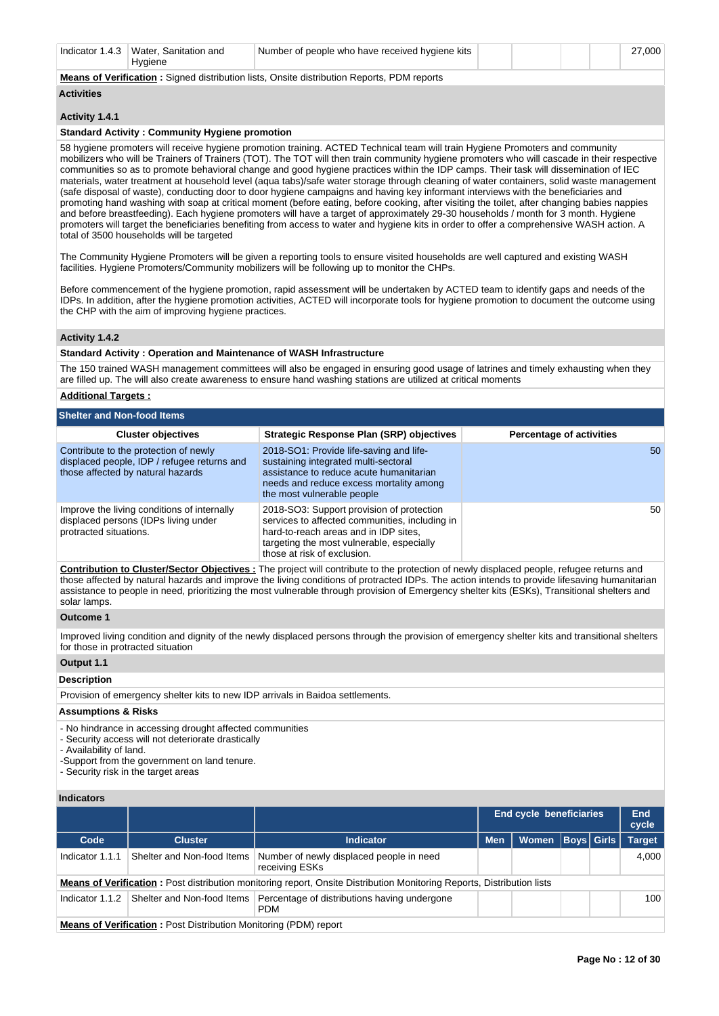|--|

# **Means of Verification :** Signed distribution lists, Onsite distribution Reports, PDM reports

# **Activities**

#### **Activity 1.4.1**

#### **Standard Activity : Community Hygiene promotion**

58 hygiene promoters will receive hygiene promotion training. ACTED Technical team will train Hygiene Promoters and community mobilizers who will be Trainers of Trainers (TOT). The TOT will then train community hygiene promoters who will cascade in their respective communities so as to promote behavioral change and good hygiene practices within the IDP camps. Their task will dissemination of IEC materials, water treatment at household level (aqua tabs)/safe water storage through cleaning of water containers, solid waste management (safe disposal of waste), conducting door to door hygiene campaigns and having key informant interviews with the beneficiaries and promoting hand washing with soap at critical moment (before eating, before cooking, after visiting the toilet, after changing babies nappies and before breastfeeding). Each hygiene promoters will have a target of approximately 29-30 households / month for 3 month. Hygiene promoters will target the beneficiaries benefiting from access to water and hygiene kits in order to offer a comprehensive WASH action. A total of 3500 households will be targeted

The Community Hygiene Promoters will be given a reporting tools to ensure visited households are well captured and existing WASH facilities. Hygiene Promoters/Community mobilizers will be following up to monitor the CHPs.

Before commencement of the hygiene promotion, rapid assessment will be undertaken by ACTED team to identify gaps and needs of the IDPs. In addition, after the hygiene promotion activities, ACTED will incorporate tools for hygiene promotion to document the outcome using the CHP with the aim of improving hygiene practices.

## **Activity 1.4.2**

#### **Standard Activity : Operation and Maintenance of WASH Infrastructure**

The 150 trained WASH management committees will also be engaged in ensuring good usage of latrines and timely exhausting when they are filled up. The will also create awareness to ensure hand washing stations are utilized at critical moments

## **Additional Targets :**

| <b>Shelter and Non-food Items</b>                                                                                         |                                                                                                                                                                                                                  |                                 |
|---------------------------------------------------------------------------------------------------------------------------|------------------------------------------------------------------------------------------------------------------------------------------------------------------------------------------------------------------|---------------------------------|
| <b>Cluster objectives</b>                                                                                                 | <b>Strategic Response Plan (SRP) objectives</b>                                                                                                                                                                  | <b>Percentage of activities</b> |
| Contribute to the protection of newly<br>displaced people, IDP / refugee returns and<br>those affected by natural hazards | 2018-SO1: Provide life-saving and life-<br>sustaining integrated multi-sectoral<br>assistance to reduce acute humanitarian<br>needs and reduce excess mortality among<br>the most vulnerable people              |                                 |
| Improve the living conditions of internally<br>displaced persons (IDPs living under<br>protracted situations.             | 2018-SO3: Support provision of protection<br>services to affected communities, including in<br>hard-to-reach areas and in IDP sites.<br>targeting the most vulnerable, especially<br>those at risk of exclusion. |                                 |

**Contribution to Cluster/Sector Objectives :** The project will contribute to the protection of newly displaced people, refugee returns and those affected by natural hazards and improve the living conditions of protracted IDPs. The action intends to provide lifesaving humanitarian assistance to people in need, prioritizing the most vulnerable through provision of Emergency shelter kits (ESKs), Transitional shelters and solar lamps.

## **Outcome 1**

Improved living condition and dignity of the newly displaced persons through the provision of emergency shelter kits and transitional shelters for those in protracted situation

#### **Output 1.1**

#### **Description**

Provision of emergency shelter kits to new IDP arrivals in Baidoa settlements.

## **Assumptions & Risks**

- No hindrance in accessing drought affected communities

- Security access will not deteriorate drastically

- Availability of land.

-Support from the government on land tenure.

- Security risk in the target areas

# **Indicators**

|                 |                                                                         |                                                                                                                               |            | <b>End cycle beneficiaries</b> |                   | End<br>cycle  |
|-----------------|-------------------------------------------------------------------------|-------------------------------------------------------------------------------------------------------------------------------|------------|--------------------------------|-------------------|---------------|
| Code            | <b>Cluster</b>                                                          | <b>Indicator</b>                                                                                                              | <b>Men</b> | Women                          | <b>Boys Girls</b> | <b>Target</b> |
| Indicator 1.1.1 | Shelter and Non-food Items                                              | Number of newly displaced people in need<br>receiving ESKs                                                                    |            |                                |                   | 4.000         |
|                 |                                                                         | <b>Means of Verification:</b> Post distribution monitoring report, Onsite Distribution Monitoring Reports, Distribution lists |            |                                |                   |               |
| Indicator 1.1.2 | Shelter and Non-food Items                                              | Percentage of distributions having undergone<br><b>PDM</b>                                                                    |            |                                |                   | 100           |
|                 | <b>Means of Verification: Post Distribution Monitoring (PDM) report</b> |                                                                                                                               |            |                                |                   |               |

50

50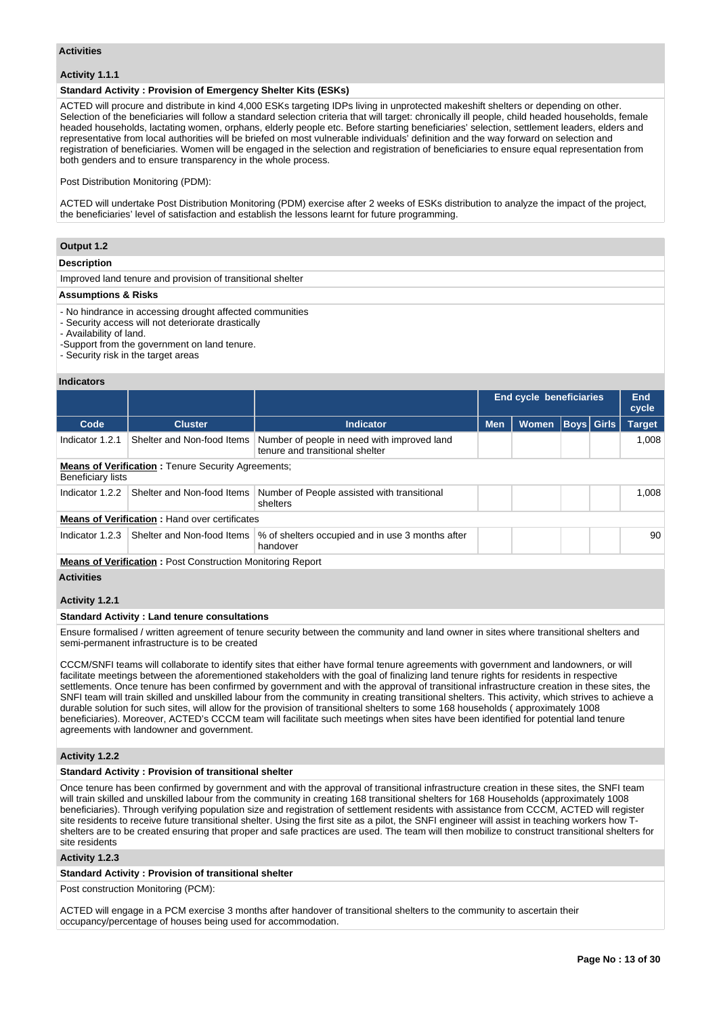#### **Activities**

## **Activity 1.1.1**

## **Standard Activity : Provision of Emergency Shelter Kits (ESKs)**

ACTED will procure and distribute in kind 4,000 ESKs targeting IDPs living in unprotected makeshift shelters or depending on other. Selection of the beneficiaries will follow a standard selection criteria that will target: chronically ill people, child headed households, female headed households, lactating women, orphans, elderly people etc. Before starting beneficiaries' selection, settlement leaders, elders and representative from local authorities will be briefed on most vulnerable individuals' definition and the way forward on selection and registration of beneficiaries. Women will be engaged in the selection and registration of beneficiaries to ensure equal representation from both genders and to ensure transparency in the whole process.

#### Post Distribution Monitoring (PDM):

ACTED will undertake Post Distribution Monitoring (PDM) exercise after 2 weeks of ESKs distribution to analyze the impact of the project, the beneficiaries' level of satisfaction and establish the lessons learnt for future programming.

## **Output 1.2**

#### **Description**

Improved land tenure and provision of transitional shelter

## **Assumptions & Risks**

- No hindrance in accessing drought affected communities

- Security access will not deteriorate drastically
- Availability of land.

-Support from the government on land tenure.

- Security risk in the target areas

#### **Indicators**

|                   |                                                                   |                                                                                |            | <b>End cycle beneficiaries</b> |  |             |               |  |  |
|-------------------|-------------------------------------------------------------------|--------------------------------------------------------------------------------|------------|--------------------------------|--|-------------|---------------|--|--|
| Code              | <b>Cluster</b>                                                    | <b>Indicator</b>                                                               | <b>Men</b> | <b>Women</b>                   |  | Boys  Girls | <b>Target</b> |  |  |
| Indicator 1.2.1   | Shelter and Non-food Items                                        | Number of people in need with improved land<br>tenure and transitional shelter |            |                                |  |             | 1,008         |  |  |
| Beneficiary lists | <b>Means of Verification:</b> Tenure Security Agreements;         |                                                                                |            |                                |  |             |               |  |  |
| Indicator 1.2.2   | Shelter and Non-food Items                                        | Number of People assisted with transitional<br>shelters                        |            |                                |  |             | 1.008         |  |  |
|                   | <b>Means of Verification: Hand over certificates</b>              |                                                                                |            |                                |  |             |               |  |  |
| Indicator 1.2.3   | Shelter and Non-food Items                                        | % of shelters occupied and in use 3 months after<br>handover                   |            |                                |  |             | 90            |  |  |
|                   | <b>Means of Verification: Post Construction Monitoring Report</b> |                                                                                |            |                                |  |             |               |  |  |

**Activities**

## **Activity 1.2.1**

## **Standard Activity : Land tenure consultations**

Ensure formalised / written agreement of tenure security between the community and land owner in sites where transitional shelters and semi-permanent infrastructure is to be created

CCCM/SNFI teams will collaborate to identify sites that either have formal tenure agreements with government and landowners, or will facilitate meetings between the aforementioned stakeholders with the goal of finalizing land tenure rights for residents in respective settlements. Once tenure has been confirmed by government and with the approval of transitional infrastructure creation in these sites, the SNFI team will train skilled and unskilled labour from the community in creating transitional shelters. This activity, which strives to achieve a durable solution for such sites, will allow for the provision of transitional shelters to some 168 households ( approximately 1008 beneficiaries). Moreover, ACTED's CCCM team will facilitate such meetings when sites have been identified for potential land tenure agreements with landowner and government.

## **Activity 1.2.2**

## **Standard Activity : Provision of transitional shelter**

Once tenure has been confirmed by government and with the approval of transitional infrastructure creation in these sites, the SNFI team will train skilled and unskilled labour from the community in creating 168 transitional shelters for 168 Households (approximately 1008 beneficiaries). Through verifying population size and registration of settlement residents with assistance from CCCM, ACTED will register site residents to receive future transitional shelter. Using the first site as a pilot, the SNFI engineer will assist in teaching workers how Tshelters are to be created ensuring that proper and safe practices are used. The team will then mobilize to construct transitional shelters for site residents

#### **Activity 1.2.3**

## **Standard Activity : Provision of transitional shelter**

Post construction Monitoring (PCM):

ACTED will engage in a PCM exercise 3 months after handover of transitional shelters to the community to ascertain their occupancy/percentage of houses being used for accommodation.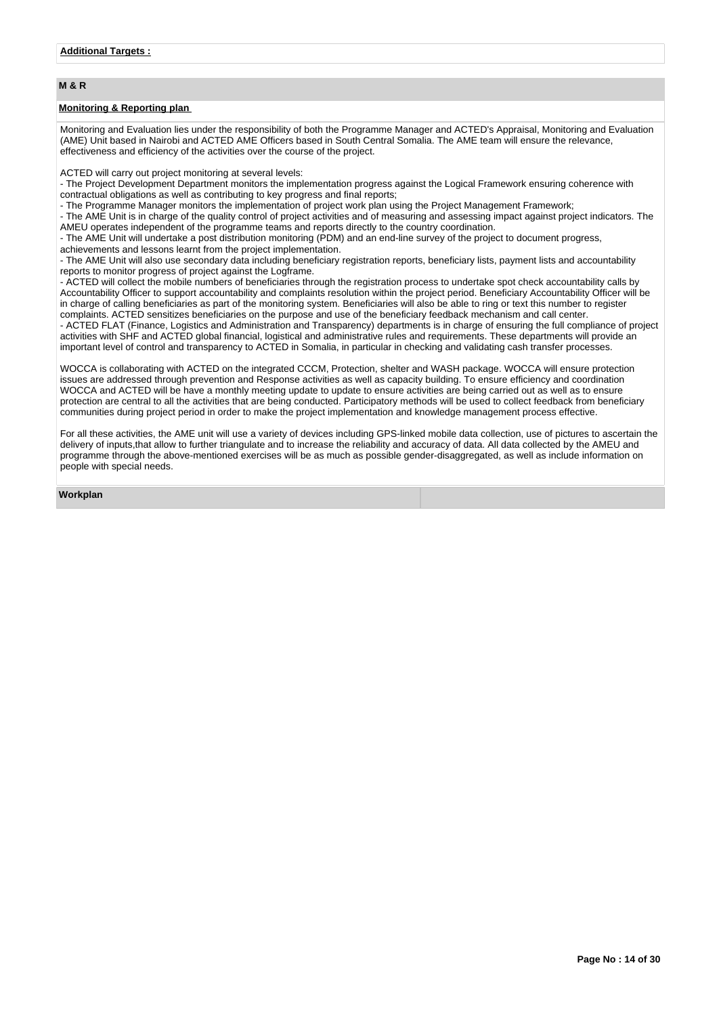# **M & R**

## **Monitoring & Reporting plan**

Monitoring and Evaluation lies under the responsibility of both the Programme Manager and ACTED's Appraisal, Monitoring and Evaluation (AME) Unit based in Nairobi and ACTED AME Officers based in South Central Somalia. The AME team will ensure the relevance, effectiveness and efficiency of the activities over the course of the project.

ACTED will carry out project monitoring at several levels:

- The Project Development Department monitors the implementation progress against the Logical Framework ensuring coherence with contractual obligations as well as contributing to key progress and final reports;

- The Programme Manager monitors the implementation of project work plan using the Project Management Framework;

- The AME Unit is in charge of the quality control of project activities and of measuring and assessing impact against project indicators. The AMEU operates independent of the programme teams and reports directly to the country coordination.

- The AME Unit will undertake a post distribution monitoring (PDM) and an end-line survey of the project to document progress,

achievements and lessons learnt from the project implementation.

- The AME Unit will also use secondary data including beneficiary registration reports, beneficiary lists, payment lists and accountability reports to monitor progress of project against the Logframe.

- ACTED will collect the mobile numbers of beneficiaries through the registration process to undertake spot check accountability calls by Accountability Officer to support accountability and complaints resolution within the project period. Beneficiary Accountability Officer will be in charge of calling beneficiaries as part of the monitoring system. Beneficiaries will also be able to ring or text this number to register complaints. ACTED sensitizes beneficiaries on the purpose and use of the beneficiary feedback mechanism and call center. - ACTED FLAT (Finance, Logistics and Administration and Transparency) departments is in charge of ensuring the full compliance of project activities with SHF and ACTED global financial, logistical and administrative rules and requirements. These departments will provide an important level of control and transparency to ACTED in Somalia, in particular in checking and validating cash transfer processes.

WOCCA is collaborating with ACTED on the integrated CCCM, Protection, shelter and WASH package. WOCCA will ensure protection issues are addressed through prevention and Response activities as well as capacity building. To ensure efficiency and coordination WOCCA and ACTED will be have a monthly meeting update to update to ensure activities are being carried out as well as to ensure protection are central to all the activities that are being conducted. Participatory methods will be used to collect feedback from beneficiary communities during project period in order to make the project implementation and knowledge management process effective.

For all these activities, the AME unit will use a variety of devices including GPS-linked mobile data collection, use of pictures to ascertain the delivery of inputs,that allow to further triangulate and to increase the reliability and accuracy of data. All data collected by the AMEU and programme through the above-mentioned exercises will be as much as possible gender-disaggregated, as well as include information on people with special needs.

**Workplan**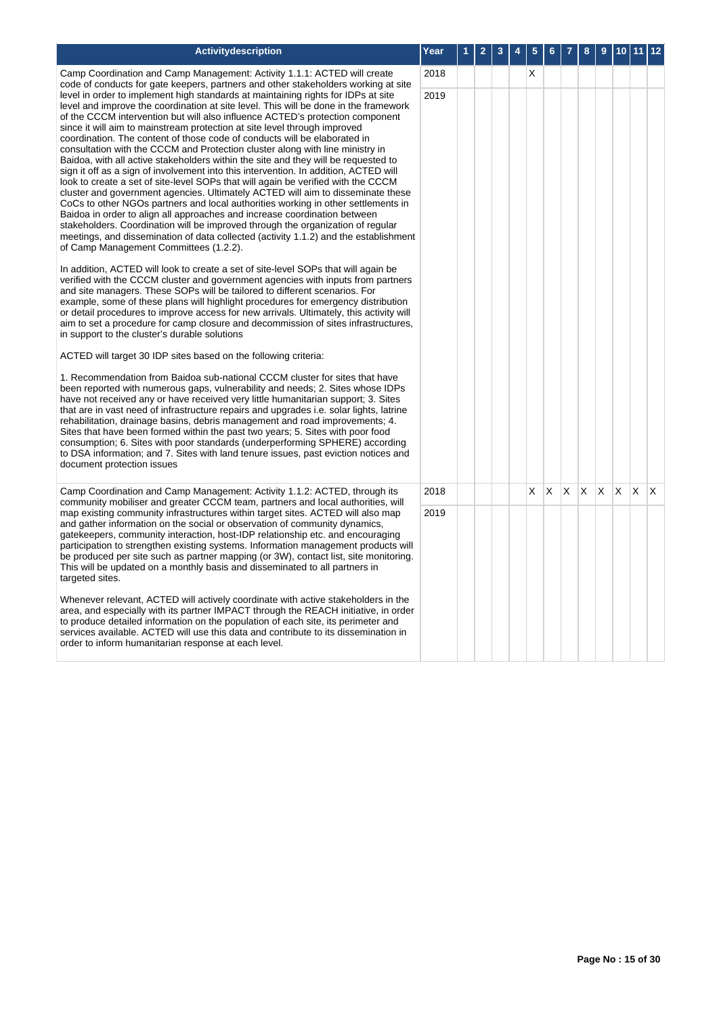| <b>Activitydescription</b>                                                                                                                                                                                                                                                                                                                                                                                                                                                                                                                                                                                                                                                                                                                                                                                                                                                                                                                                                                                                                                                                                                                                                                                                                                                                                                                                                                                                                                                                                                                                                                                                                                                                                                                                                                                                                                                                           | Year | 2 | 3 | 5        | 6 |   | 8  | 9        | 10 |   | $12$ |
|------------------------------------------------------------------------------------------------------------------------------------------------------------------------------------------------------------------------------------------------------------------------------------------------------------------------------------------------------------------------------------------------------------------------------------------------------------------------------------------------------------------------------------------------------------------------------------------------------------------------------------------------------------------------------------------------------------------------------------------------------------------------------------------------------------------------------------------------------------------------------------------------------------------------------------------------------------------------------------------------------------------------------------------------------------------------------------------------------------------------------------------------------------------------------------------------------------------------------------------------------------------------------------------------------------------------------------------------------------------------------------------------------------------------------------------------------------------------------------------------------------------------------------------------------------------------------------------------------------------------------------------------------------------------------------------------------------------------------------------------------------------------------------------------------------------------------------------------------------------------------------------------------|------|---|---|----------|---|---|----|----------|----|---|------|
| Camp Coordination and Camp Management: Activity 1.1.1: ACTED will create<br>code of conducts for gate keepers, partners and other stakeholders working at site                                                                                                                                                                                                                                                                                                                                                                                                                                                                                                                                                                                                                                                                                                                                                                                                                                                                                                                                                                                                                                                                                                                                                                                                                                                                                                                                                                                                                                                                                                                                                                                                                                                                                                                                       | 2018 |   |   | $\times$ |   |   |    |          |    |   |      |
| level in order to implement high standards at maintaining rights for IDPs at site<br>level and improve the coordination at site level. This will be done in the framework<br>of the CCCM intervention but will also influence ACTED's protection component<br>since it will aim to mainstream protection at site level through improved<br>coordination. The content of those code of conducts will be elaborated in<br>consultation with the CCCM and Protection cluster along with line ministry in<br>Baidoa, with all active stakeholders within the site and they will be requested to<br>sign it off as a sign of involvement into this intervention. In addition, ACTED will<br>look to create a set of site-level SOPs that will again be verified with the CCCM<br>cluster and government agencies. Ultimately ACTED will aim to disseminate these<br>CoCs to other NGOs partners and local authorities working in other settlements in<br>Baidoa in order to align all approaches and increase coordination between<br>stakeholders. Coordination will be improved through the organization of regular<br>meetings, and dissemination of data collected (activity 1.1.2) and the establishment<br>of Camp Management Committees (1.2.2).<br>In addition, ACTED will look to create a set of site-level SOPs that will again be<br>verified with the CCCM cluster and government agencies with inputs from partners<br>and site managers. These SOPs will be tailored to different scenarios. For<br>example, some of these plans will highlight procedures for emergency distribution<br>or detail procedures to improve access for new arrivals. Ultimately, this activity will<br>aim to set a procedure for camp closure and decommission of sites infrastructures,<br>in support to the cluster's durable solutions<br>ACTED will target 30 IDP sites based on the following criteria: | 2019 |   |   |          |   |   |    |          |    |   |      |
| 1. Recommendation from Baidoa sub-national CCCM cluster for sites that have<br>been reported with numerous gaps, vulnerability and needs; 2. Sites whose IDPs<br>have not received any or have received very little humanitarian support; 3. Sites<br>that are in vast need of infrastructure repairs and upgrades i.e. solar lights, latrine<br>rehabilitation, drainage basins, debris management and road improvements; 4.<br>Sites that have been formed within the past two years; 5. Sites with poor food<br>consumption; 6. Sites with poor standards (underperforming SPHERE) according<br>to DSA information; and 7. Sites with land tenure issues, past eviction notices and<br>document protection issues                                                                                                                                                                                                                                                                                                                                                                                                                                                                                                                                                                                                                                                                                                                                                                                                                                                                                                                                                                                                                                                                                                                                                                                 |      |   |   |          |   |   |    |          |    |   |      |
| Camp Coordination and Camp Management: Activity 1.1.2: ACTED, through its<br>community mobiliser and greater CCCM team, partners and local authorities, will                                                                                                                                                                                                                                                                                                                                                                                                                                                                                                                                                                                                                                                                                                                                                                                                                                                                                                                                                                                                                                                                                                                                                                                                                                                                                                                                                                                                                                                                                                                                                                                                                                                                                                                                         | 2018 |   |   | X        | X | X | X. | <b>X</b> | X. | X | IX.  |
| map existing community infrastructures within target sites. ACTED will also map<br>and gather information on the social or observation of community dynamics,<br>gatekeepers, community interaction, host-IDP relationship etc. and encouraging<br>participation to strengthen existing systems. Information management products will<br>be produced per site such as partner mapping (or 3W), contact list, site monitoring.<br>This will be updated on a monthly basis and disseminated to all partners in<br>targeted sites.<br>Whenever relevant, ACTED will actively coordinate with active stakeholders in the<br>area, and especially with its partner IMPACT through the REACH initiative, in order<br>to produce detailed information on the population of each site, its perimeter and<br>services available. ACTED will use this data and contribute to its dissemination in<br>order to inform humanitarian response at each level.                                                                                                                                                                                                                                                                                                                                                                                                                                                                                                                                                                                                                                                                                                                                                                                                                                                                                                                                                      | 2019 |   |   |          |   |   |    |          |    |   |      |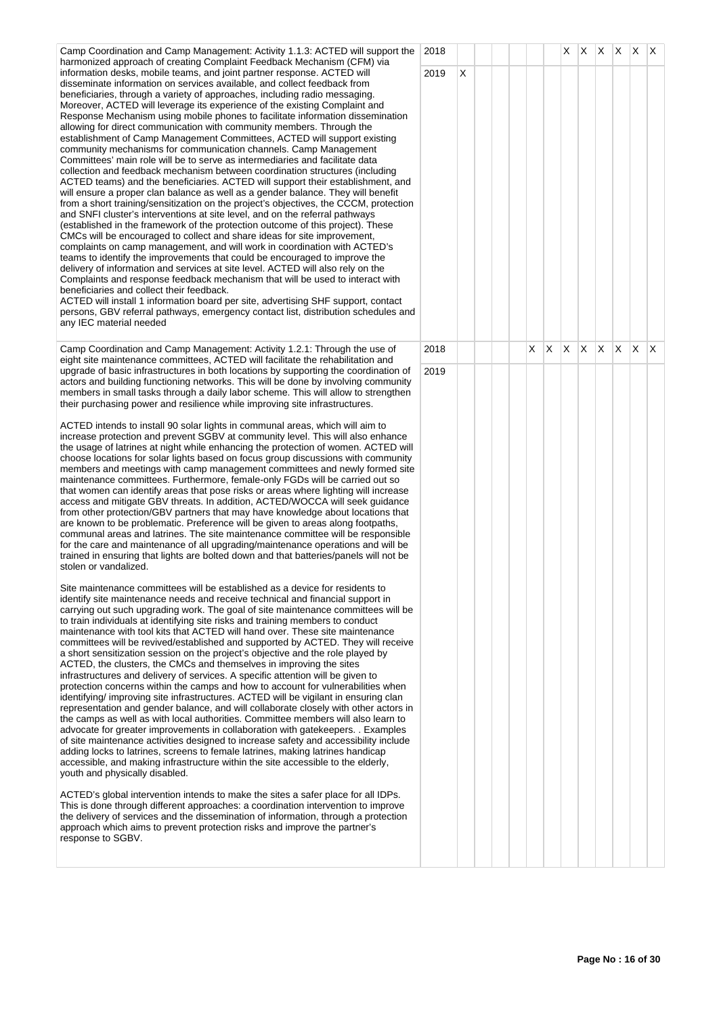| Camp Coordination and Camp Management: Activity 1.1.3: ACTED will support the<br>harmonized approach of creating Complaint Feedback Mechanism (CFM) via                                                                                                                                                                                                                                                                                                                                                                                                                                                                                                                                                                                                                                                                                                                                                                                                                                                                                                                                                                                                                                                                                                                                                                                                                                                                                                                                                                                                                                                                                                                                                                                                                                                                                                                                                                                                                                                                                                                                                                                                                                                                                                                                                                                                                                                                                                                                                                                                                                                                                                                                                                                                                                                                                                                                                                                                                                                                                                                                                                                                                                                                                                                                                                                                                     | 2018 |   |  |   |    | X. | X.  | $X$ $X$ $X$ $X$ |              |              |     |
|-----------------------------------------------------------------------------------------------------------------------------------------------------------------------------------------------------------------------------------------------------------------------------------------------------------------------------------------------------------------------------------------------------------------------------------------------------------------------------------------------------------------------------------------------------------------------------------------------------------------------------------------------------------------------------------------------------------------------------------------------------------------------------------------------------------------------------------------------------------------------------------------------------------------------------------------------------------------------------------------------------------------------------------------------------------------------------------------------------------------------------------------------------------------------------------------------------------------------------------------------------------------------------------------------------------------------------------------------------------------------------------------------------------------------------------------------------------------------------------------------------------------------------------------------------------------------------------------------------------------------------------------------------------------------------------------------------------------------------------------------------------------------------------------------------------------------------------------------------------------------------------------------------------------------------------------------------------------------------------------------------------------------------------------------------------------------------------------------------------------------------------------------------------------------------------------------------------------------------------------------------------------------------------------------------------------------------------------------------------------------------------------------------------------------------------------------------------------------------------------------------------------------------------------------------------------------------------------------------------------------------------------------------------------------------------------------------------------------------------------------------------------------------------------------------------------------------------------------------------------------------------------------------------------------------------------------------------------------------------------------------------------------------------------------------------------------------------------------------------------------------------------------------------------------------------------------------------------------------------------------------------------------------------------------------------------------------------------------------------------------------|------|---|--|---|----|----|-----|-----------------|--------------|--------------|-----|
| information desks, mobile teams, and joint partner response. ACTED will<br>disseminate information on services available, and collect feedback from<br>beneficiaries, through a variety of approaches, including radio messaging.<br>Moreover, ACTED will leverage its experience of the existing Complaint and<br>Response Mechanism using mobile phones to facilitate information dissemination<br>allowing for direct communication with community members. Through the<br>establishment of Camp Management Committees, ACTED will support existing<br>community mechanisms for communication channels. Camp Management<br>Committees' main role will be to serve as intermediaries and facilitate data<br>collection and feedback mechanism between coordination structures (including<br>ACTED teams) and the beneficiaries. ACTED will support their establishment, and<br>will ensure a proper clan balance as well as a gender balance. They will benefit<br>from a short training/sensitization on the project's objectives, the CCCM, protection<br>and SNFI cluster's interventions at site level, and on the referral pathways<br>(established in the framework of the protection outcome of this project). These<br>CMCs will be encouraged to collect and share ideas for site improvement,<br>complaints on camp management, and will work in coordination with ACTED's<br>teams to identify the improvements that could be encouraged to improve the<br>delivery of information and services at site level. ACTED will also rely on the<br>Complaints and response feedback mechanism that will be used to interact with<br>beneficiaries and collect their feedback.<br>ACTED will install 1 information board per site, advertising SHF support, contact<br>persons, GBV referral pathways, emergency contact list, distribution schedules and<br>any IEC material needed                                                                                                                                                                                                                                                                                                                                                                                                                                                                                                                                                                                                                                                                                                                                                                                                                                                                                                                                                                                                                                                                                                                                                                                                                                                                                                                                                                                                                                                                                 | 2019 | X |  |   |    |    |     |                 |              |              |     |
| Camp Coordination and Camp Management: Activity 1.2.1: Through the use of<br>eight site maintenance committees, ACTED will facilitate the rehabilitation and                                                                                                                                                                                                                                                                                                                                                                                                                                                                                                                                                                                                                                                                                                                                                                                                                                                                                                                                                                                                                                                                                                                                                                                                                                                                                                                                                                                                                                                                                                                                                                                                                                                                                                                                                                                                                                                                                                                                                                                                                                                                                                                                                                                                                                                                                                                                                                                                                                                                                                                                                                                                                                                                                                                                                                                                                                                                                                                                                                                                                                                                                                                                                                                                                | 2018 |   |  | X | X. | X. | ΙX. | $\mathsf{X}$    | $\mathsf{X}$ | $\mathsf{X}$ | IX. |
| upgrade of basic infrastructures in both locations by supporting the coordination of<br>actors and building functioning networks. This will be done by involving community<br>members in small tasks through a daily labor scheme. This will allow to strengthen<br>their purchasing power and resilience while improving site infrastructures.<br>ACTED intends to install 90 solar lights in communal areas, which will aim to<br>increase protection and prevent SGBV at community level. This will also enhance<br>the usage of latrines at night while enhancing the protection of women. ACTED will<br>choose locations for solar lights based on focus group discussions with community<br>members and meetings with camp management committees and newly formed site<br>maintenance committees. Furthermore, female-only FGDs will be carried out so<br>that women can identify areas that pose risks or areas where lighting will increase<br>access and mitigate GBV threats. In addition, ACTED/WOCCA will seek guidance<br>from other protection/GBV partners that may have knowledge about locations that<br>are known to be problematic. Preference will be given to areas along footpaths,<br>communal areas and latrines. The site maintenance committee will be responsible<br>for the care and maintenance of all upgrading/maintenance operations and will be<br>trained in ensuring that lights are bolted down and that batteries/panels will not be<br>stolen or vandalized.<br>Site maintenance committees will be established as a device for residents to<br>identify site maintenance needs and receive technical and financial support in<br>carrying out such upgrading work. The goal of site maintenance committees will be<br>to train individuals at identifying site risks and training members to conduct<br>maintenance with tool kits that ACTED will hand over. These site maintenance<br>committees will be revived/established and supported by ACTED. They will receive<br>a short sensitization session on the project's objective and the role played by<br>ACTED, the clusters, the CMCs and themselves in improving the sites<br>infrastructures and delivery of services. A specific attention will be given to<br>protection concerns within the camps and how to account for vulnerabilities when<br>identifying/ improving site infrastructures. ACTED will be vigilant in ensuring clan<br>representation and gender balance, and will collaborate closely with other actors in<br>the camps as well as with local authorities. Committee members will also learn to<br>advocate for greater improvements in collaboration with gatekeepers. . Examples<br>of site maintenance activities designed to increase safety and accessibility include<br>adding locks to latrines, screens to female latrines, making latrines handicap<br>accessible, and making infrastructure within the site accessible to the elderly,<br>youth and physically disabled.<br>ACTED's global intervention intends to make the sites a safer place for all IDPs.<br>This is done through different approaches: a coordination intervention to improve<br>the delivery of services and the dissemination of information, through a protection<br>approach which aims to prevent protection risks and improve the partner's<br>response to SGBV. | 2019 |   |  |   |    |    |     |                 |              |              |     |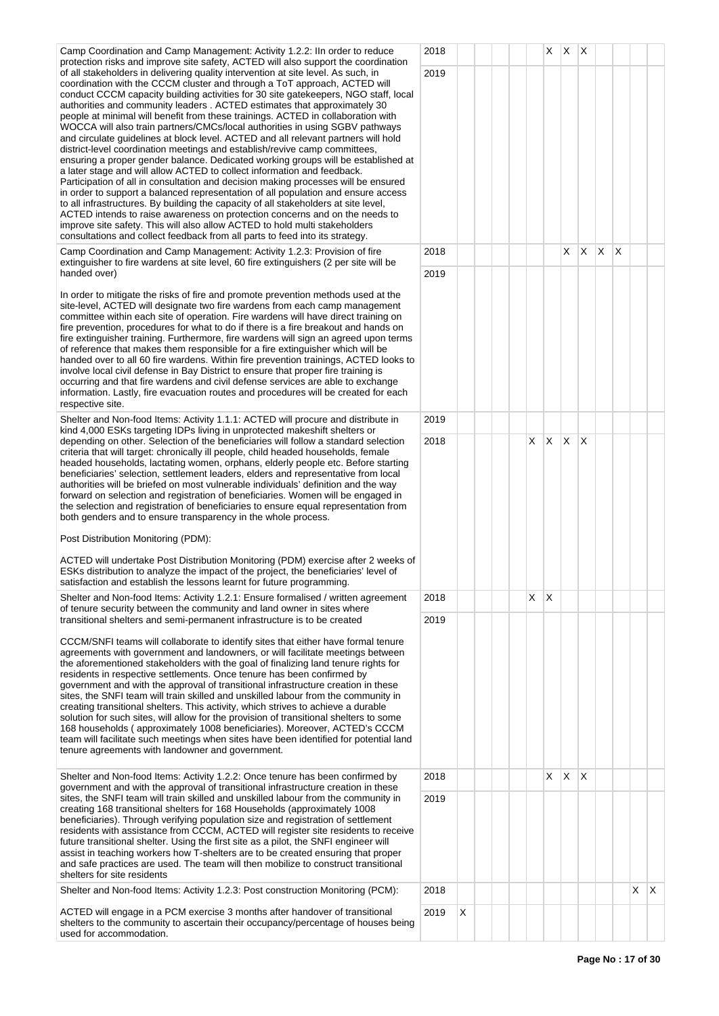Camp Coordination and Camp Management: Activity 1.2.2: IIn order to reduce protection risks and improve site safety, ACTED will also support the coordination of all stakeholders in delivering quality intervention at site level. As such, in coordination with the CCCM cluster and through a ToT approach, ACTED will conduct CCCM capacity building activities for 30 site gatekeepers, NGO staff, local authorities and community leaders . ACTED estimates that approximately 30 people at minimal will benefit from these trainings. ACTED in collaboration with WOCCA will also train partners/CMCs/local authorities in using SGBV pathways and circulate guidelines at block level. ACTED and all relevant partners will hold district-level coordination meetings and establish/revive camp committees ensuring a proper gender balance. Dedicated working groups will be established at a later stage and will allow ACTED to collect information and feedback. Participation of all in consultation and decision making processes will be ensured in order to support a balanced representation of all population and ensure access to all infrastructures. By building the capacity of all stakeholders at site level, ACTED intends to raise awareness on protection concerns and on the needs to improve site safety. This will also allow ACTED to hold multi stakeholders consultations and collect feedback from all parts to feed into its strategy.

Camp Coordination and Camp Management: Activity 1.2.3: Provision of fire extinguisher to fire wardens at site level, 60 fire extinguishers (2 per site will be handed over)

In order to mitigate the risks of fire and promote prevention methods used at the site-level, ACTED will designate two fire wardens from each camp management committee within each site of operation. Fire wardens will have direct training on fire prevention, procedures for what to do if there is a fire breakout and hands on fire extinguisher training. Furthermore, fire wardens will sign an agreed upon terms of reference that makes them responsible for a fire extinguisher which will be handed over to all 60 fire wardens. Within fire prevention trainings, ACTED looks to involve local civil defense in Bay District to ensure that proper fire training is occurring and that fire wardens and civil defense services are able to exchange information. Lastly, fire evacuation routes and procedures will be created for each respective site.

Shelter and Non-food Items: Activity 1.1.1: ACTED will procure and distribute in kind 4,000 ESKs targeting IDPs living in unprotected makeshift shelters or depending on other. Selection of the beneficiaries will follow a standard selection criteria that will target: chronically ill people, child headed households, female headed households, lactating women, orphans, elderly people etc. Before starting beneficiaries' selection, settlement leaders, elders and representative from local authorities will be briefed on most vulnerable individuals' definition and the way forward on selection and registration of beneficiaries. Women will be engaged in the selection and registration of beneficiaries to ensure equal representation from both genders and to ensure transparency in the whole process.

Post Distribution Monitoring (PDM):

ACTED will undertake Post Distribution Monitoring (PDM) exercise after 2 weeks of ESKs distribution to analyze the impact of the project, the beneficiaries' level of satisfaction and establish the lessons learnt for future programming.

Shelter and Non-food Items: Activity 1.2.1: Ensure formalised / written agreement of tenure security between the community and land owner in sites where transitional shelters and semi-permanent infrastructure is to be created

CCCM/SNFI teams will collaborate to identify sites that either have formal tenure agreements with government and landowners, or will facilitate meetings between the aforementioned stakeholders with the goal of finalizing land tenure rights for residents in respective settlements. Once tenure has been confirmed by government and with the approval of transitional infrastructure creation in these sites, the SNFI team will train skilled and unskilled labour from the community in creating transitional shelters. This activity, which strives to achieve a durable solution for such sites, will allow for the provision of transitional shelters to some 168 households ( approximately 1008 beneficiaries). Moreover, ACTED's CCCM team will facilitate such meetings when sites have been identified for potential land tenure agreements with landowner and government.

Shelter and Non-food Items: Activity 1.2.2: Once tenure has been confirmed by government and with the approval of transitional infrastructure creation in these sites, the SNFI team will train skilled and unskilled labour from the community in creating 168 transitional shelters for 168 Households (approximately 1008 beneficiaries). Through verifying population size and registration of settlement residents with assistance from CCCM, ACTED will register site residents to receive future transitional shelter. Using the first site as a pilot, the SNFI engineer will assist in teaching workers how T-shelters are to be created ensuring that proper and safe practices are used. The team will then mobilize to construct transitional shelters for site residents

Shelter and Non-food Items: Activity 1.2.3: Post construction Monitoring (PCM):

ACTED will engage in a PCM exercise 3 months after handover of transitional shelters to the community to ascertain their occupancy/percentage of houses being used for accommodation.

|              | 2018 |   |  |                         | X.                      | X                       | X              |                         |                         |             |   |
|--------------|------|---|--|-------------------------|-------------------------|-------------------------|----------------|-------------------------|-------------------------|-------------|---|
|              | 2019 |   |  |                         |                         |                         |                |                         |                         |             |   |
| ľ            |      |   |  |                         |                         |                         |                |                         |                         |             |   |
|              |      |   |  |                         |                         |                         |                |                         |                         |             |   |
|              |      |   |  |                         |                         |                         |                |                         |                         |             |   |
| $\mathsf{t}$ |      |   |  |                         |                         |                         |                |                         |                         |             |   |
|              |      |   |  |                         |                         |                         |                |                         |                         |             |   |
|              |      |   |  |                         |                         |                         |                |                         |                         |             |   |
|              |      |   |  |                         |                         |                         |                |                         |                         |             |   |
|              |      |   |  |                         |                         |                         |                |                         |                         |             |   |
|              | 2018 |   |  |                         |                         | $\overline{\mathsf{x}}$ | $\overline{X}$ | $\overline{\mathsf{x}}$ | $\overline{\mathsf{x}}$ |             |   |
|              | 2019 |   |  |                         |                         |                         |                |                         |                         |             |   |
|              |      |   |  |                         |                         |                         |                |                         |                         |             |   |
|              |      |   |  |                         |                         |                         |                |                         |                         |             |   |
|              |      |   |  |                         |                         |                         |                |                         |                         |             |   |
|              |      |   |  |                         |                         |                         |                |                         |                         |             |   |
| $\mathbf{r}$ |      |   |  |                         |                         |                         |                |                         |                         |             |   |
|              |      |   |  |                         |                         |                         |                |                         |                         |             |   |
|              |      |   |  |                         |                         |                         |                |                         |                         |             |   |
|              | 2019 |   |  |                         |                         |                         |                |                         |                         |             |   |
|              | 2018 |   |  | $\overline{\mathsf{x}}$ | $\overline{\mathsf{x}}$ | $\overline{\mathsf{x}}$ | X              |                         |                         |             |   |
|              |      |   |  |                         |                         |                         |                |                         |                         |             |   |
|              |      |   |  |                         |                         |                         |                |                         |                         |             |   |
|              |      |   |  |                         |                         |                         |                |                         |                         |             |   |
|              |      |   |  |                         |                         |                         |                |                         |                         |             |   |
|              |      |   |  |                         |                         |                         |                |                         |                         |             |   |
| f            |      |   |  |                         |                         |                         |                |                         |                         |             |   |
|              |      |   |  |                         |                         |                         |                |                         |                         |             |   |
|              | 2018 |   |  | X                       | X                       |                         |                |                         |                         |             |   |
|              | 2019 |   |  |                         |                         |                         |                |                         |                         |             |   |
|              |      |   |  |                         |                         |                         |                |                         |                         |             |   |
|              |      |   |  |                         |                         |                         |                |                         |                         |             |   |
|              |      |   |  |                         |                         |                         |                |                         |                         |             |   |
|              |      |   |  |                         |                         |                         |                |                         |                         |             |   |
|              |      |   |  |                         |                         |                         |                |                         |                         |             |   |
|              |      |   |  |                         |                         |                         |                |                         |                         |             |   |
|              |      |   |  |                         |                         |                         |                |                         |                         |             |   |
|              | 2018 |   |  |                         | $\overline{\mathsf{x}}$ | $\pmb{\mathsf{X}}$      | X              |                         |                         |             |   |
|              | 2019 |   |  |                         |                         |                         |                |                         |                         |             |   |
|              |      |   |  |                         |                         |                         |                |                         |                         |             |   |
| è            |      |   |  |                         |                         |                         |                |                         |                         |             |   |
|              |      |   |  |                         |                         |                         |                |                         |                         |             |   |
|              |      |   |  |                         |                         |                         |                |                         |                         |             |   |
|              | 2018 |   |  |                         |                         |                         |                |                         |                         | $\mathsf X$ | X |
|              | 2019 | X |  |                         |                         |                         |                |                         |                         |             |   |
| J            |      |   |  |                         |                         |                         |                |                         |                         |             |   |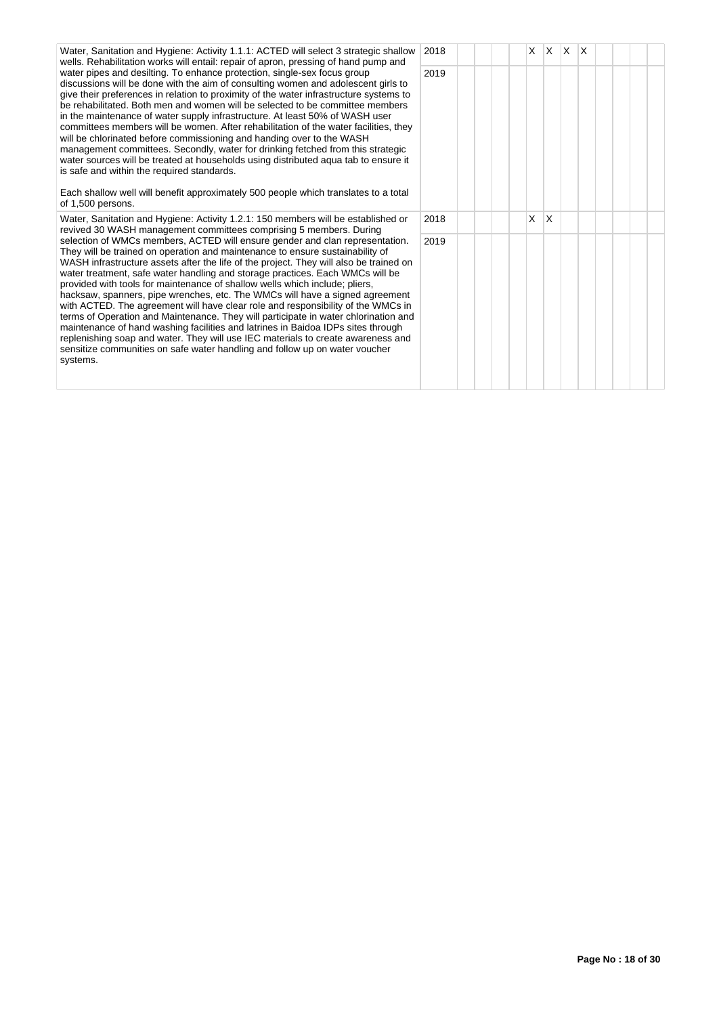Water, Sanitation and Hygiene: Activity 1.1.1: ACTED will select 3 strategic shallow wells. Rehabilitation works will entail: repair of apron, pressing of hand pump and water pipes and desilting. To enhance protection, single-sex focus group discussions will be done with the aim of consulting women and adolescent girls to give their preferences in relation to proximity of the water infrastructure systems to be rehabilitated. Both men and women will be selected to be committee members in the maintenance of water supply infrastructure. At least 50% of WASH user committees members will be women. After rehabilitation of the water facilities, they will be chlorinated before commissioning and handing over to the WASH management committees. Secondly, water for drinking fetched from this strategic water sources will be treated at households using distributed aqua tab to ensure it is safe and within the required standards.

Each shallow well will benefit approximately 500 people which translates to a total of 1,500 persons.

Water, Sanitation and Hygiene: Activity 1.2.1: 150 members will be established or revived 30 WASH management committees comprising 5 members. During selection of WMCs members, ACTED will ensure gender and clan representation. They will be trained on operation and maintenance to ensure sustainability of WASH infrastructure assets after the life of the project. They will also be trained on water treatment, safe water handling and storage practices. Each WMCs will be provided with tools for maintenance of shallow wells which include; pliers, hacksaw, spanners, pipe wrenches, etc. The WMCs will have a signed agreement with ACTED. The agreement will have clear role and responsibility of the WMCs in terms of Operation and Maintenance. They will participate in water chlorination and maintenance of hand washing facilities and latrines in Baidoa IDPs sites through replenishing soap and water. They will use IEC materials to create awareness and sensitize communities on safe water handling and follow up on water voucher systems.

| ŗ. | 2018 |  |  | $\overline{\mathsf{x}}$ |             | $x \mid x \mid x$ |  |  |  |
|----|------|--|--|-------------------------|-------------|-------------------|--|--|--|
|    | 2019 |  |  |                         |             |                   |  |  |  |
|    | 2018 |  |  | X                       | $\mathsf X$ |                   |  |  |  |
|    | 2019 |  |  |                         |             |                   |  |  |  |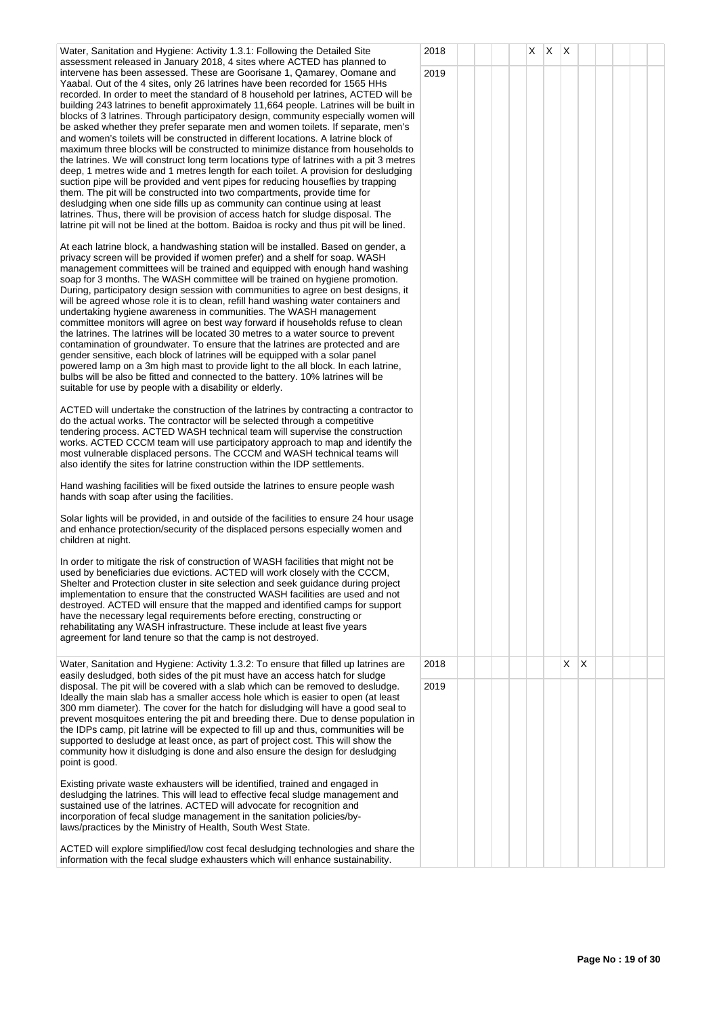| Water, Sanitation and Hygiene: Activity 1.3.1: Following the Detailed Site<br>assessment released in January 2018, 4 sites where ACTED has planned to                                                                                                                                                                                                                                                                                                                                                                                                                                                                                                                                                                                                                                                                                                                                                                                                                                                                                                                                                                                                                                                                                                                                                          | 2018 |  |  | $X$ $X$ $X$ |    |   |  |  |
|----------------------------------------------------------------------------------------------------------------------------------------------------------------------------------------------------------------------------------------------------------------------------------------------------------------------------------------------------------------------------------------------------------------------------------------------------------------------------------------------------------------------------------------------------------------------------------------------------------------------------------------------------------------------------------------------------------------------------------------------------------------------------------------------------------------------------------------------------------------------------------------------------------------------------------------------------------------------------------------------------------------------------------------------------------------------------------------------------------------------------------------------------------------------------------------------------------------------------------------------------------------------------------------------------------------|------|--|--|-------------|----|---|--|--|
| intervene has been assessed. These are Goorisane 1, Qamarey, Oomane and<br>Yaabal. Out of the 4 sites, only 26 latrines have been recorded for 1565 HHs<br>recorded. In order to meet the standard of 8 household per latrines, ACTED will be<br>building 243 latrines to benefit approximately 11,664 people. Latrines will be built in<br>blocks of 3 latrines. Through participatory design, community especially women will<br>be asked whether they prefer separate men and women toilets. If separate, men's<br>and women's toilets will be constructed in different locations. A latrine block of<br>maximum three blocks will be constructed to minimize distance from households to<br>the latrines. We will construct long term locations type of latrines with a pit 3 metres<br>deep, 1 metres wide and 1 metres length for each toilet. A provision for desludging<br>suction pipe will be provided and vent pipes for reducing houseflies by trapping<br>them. The pit will be constructed into two compartments, provide time for<br>desludging when one side fills up as community can continue using at least<br>latrines. Thus, there will be provision of access hatch for sludge disposal. The<br>latrine pit will not be lined at the bottom. Baidoa is rocky and thus pit will be lined. | 2019 |  |  |             |    |   |  |  |
| At each latrine block, a handwashing station will be installed. Based on gender, a<br>privacy screen will be provided if women prefer) and a shelf for soap. WASH<br>management committees will be trained and equipped with enough hand washing<br>soap for 3 months. The WASH committee will be trained on hygiene promotion.<br>During, participatory design session with communities to agree on best designs, it<br>will be agreed whose role it is to clean, refill hand washing water containers and<br>undertaking hygiene awareness in communities. The WASH management<br>committee monitors will agree on best way forward if households refuse to clean<br>the latrines. The latrines will be located 30 metres to a water source to prevent<br>contamination of groundwater. To ensure that the latrines are protected and are<br>gender sensitive, each block of latrines will be equipped with a solar panel<br>powered lamp on a 3m high mast to provide light to the all block. In each latrine,<br>bulbs will be also be fitted and connected to the battery. 10% latrines will be<br>suitable for use by people with a disability or elderly.                                                                                                                                               |      |  |  |             |    |   |  |  |
| ACTED will undertake the construction of the latrines by contracting a contractor to<br>do the actual works. The contractor will be selected through a competitive<br>tendering process. ACTED WASH technical team will supervise the construction<br>works. ACTED CCCM team will use participatory approach to map and identify the<br>most vulnerable displaced persons. The CCCM and WASH technical teams will<br>also identify the sites for latrine construction within the IDP settlements.                                                                                                                                                                                                                                                                                                                                                                                                                                                                                                                                                                                                                                                                                                                                                                                                              |      |  |  |             |    |   |  |  |
| Hand washing facilities will be fixed outside the latrines to ensure people wash<br>hands with soap after using the facilities.                                                                                                                                                                                                                                                                                                                                                                                                                                                                                                                                                                                                                                                                                                                                                                                                                                                                                                                                                                                                                                                                                                                                                                                |      |  |  |             |    |   |  |  |
| Solar lights will be provided, in and outside of the facilities to ensure 24 hour usage<br>and enhance protection/security of the displaced persons especially women and<br>children at night.                                                                                                                                                                                                                                                                                                                                                                                                                                                                                                                                                                                                                                                                                                                                                                                                                                                                                                                                                                                                                                                                                                                 |      |  |  |             |    |   |  |  |
| In order to mitigate the risk of construction of WASH facilities that might not be<br>used by beneficiaries due evictions. ACTED will work closely with the CCCM,<br>Shelter and Protection cluster in site selection and seek guidance during project<br>implementation to ensure that the constructed WASH facilities are used and not<br>destroyed. ACTED will ensure that the mapped and identified camps for support<br>have the necessary legal requirements before erecting, constructing or<br>rehabilitating any WASH infrastructure. These include at least five years<br>agreement for land tenure so that the camp is not destroyed.                                                                                                                                                                                                                                                                                                                                                                                                                                                                                                                                                                                                                                                               |      |  |  |             |    |   |  |  |
| Water, Sanitation and Hygiene: Activity 1.3.2: To ensure that filled up latrines are<br>easily desludged, both sides of the pit must have an access hatch for sludge                                                                                                                                                                                                                                                                                                                                                                                                                                                                                                                                                                                                                                                                                                                                                                                                                                                                                                                                                                                                                                                                                                                                           | 2018 |  |  |             | X. | Χ |  |  |
| disposal. The pit will be covered with a slab which can be removed to desludge.<br>Ideally the main slab has a smaller access hole which is easier to open (at least<br>300 mm diameter). The cover for the hatch for disludging will have a good seal to<br>prevent mosquitoes entering the pit and breeding there. Due to dense population in<br>the IDPs camp, pit latrine will be expected to fill up and thus, communities will be<br>supported to desludge at least once, as part of project cost. This will show the<br>community how it disludging is done and also ensure the design for desludging<br>point is good.                                                                                                                                                                                                                                                                                                                                                                                                                                                                                                                                                                                                                                                                                 | 2019 |  |  |             |    |   |  |  |
| Existing private waste exhausters will be identified, trained and engaged in<br>desludging the latrines. This will lead to effective fecal sludge management and<br>sustained use of the latrines. ACTED will advocate for recognition and<br>incorporation of fecal sludge management in the sanitation policies/by-<br>laws/practices by the Ministry of Health, South West State.                                                                                                                                                                                                                                                                                                                                                                                                                                                                                                                                                                                                                                                                                                                                                                                                                                                                                                                           |      |  |  |             |    |   |  |  |
| ACTED will explore simplified/low cost fecal desludging technologies and share the<br>information with the fecal sludge exhausters which will enhance sustainability.                                                                                                                                                                                                                                                                                                                                                                                                                                                                                                                                                                                                                                                                                                                                                                                                                                                                                                                                                                                                                                                                                                                                          |      |  |  |             |    |   |  |  |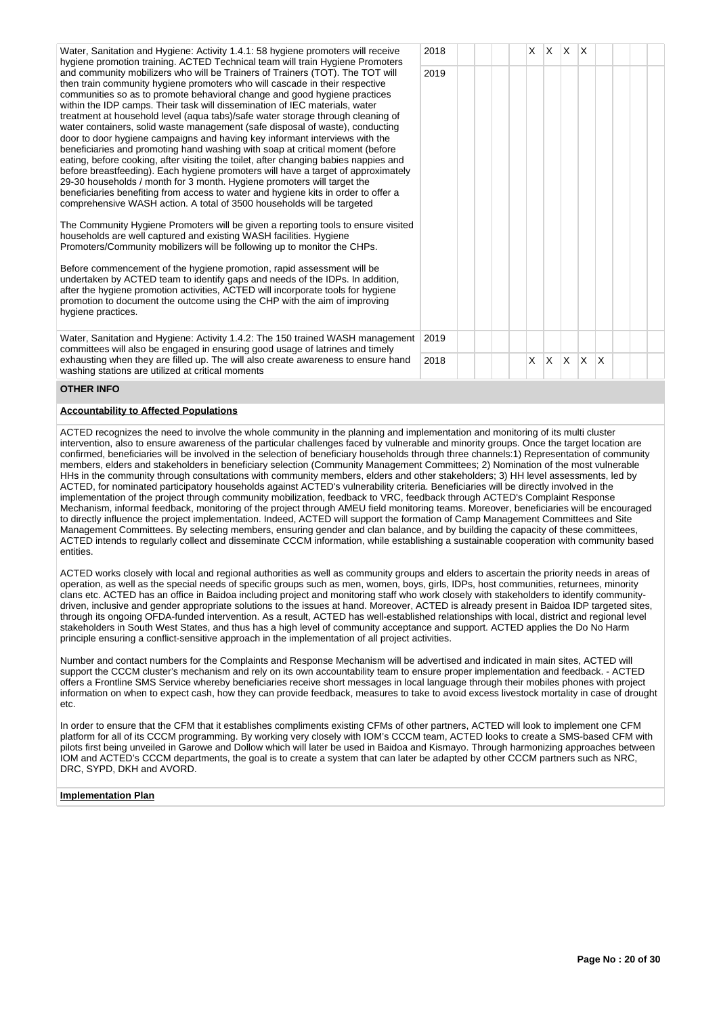Water, Sanitation and Hygiene: Activity 1.4.1: 58 hygiene promoters will receive hygiene promotion training. ACTED Technical team will train Hygiene Promoters and community mobilizers who will be Trainers of Trainers (TOT). The TOT will then train community hygiene promoters who will cascade in their respective communities so as to promote behavioral change and good hygiene practices within the IDP camps. Their task will dissemination of IEC materials, water treatment at household level (aqua tabs)/safe water storage through cleaning of water containers, solid waste management (safe disposal of waste), conducting door to door hygiene campaigns and having key informant interviews with the beneficiaries and promoting hand washing with soap at critical moment (before eating, before cooking, after visiting the toilet, after changing babies nappies and before breastfeeding). Each hygiene promoters will have a target of approximately 29-30 households / month for 3 month. Hygiene promoters will target the beneficiaries benefiting from access to water and hygiene kits in order to offer a comprehensive WASH action. A total of 3500 households will be targeted

The Community Hygiene Promoters will be given a reporting tools to ensure visite households are well captured and existing WASH facilities. Hygiene Promoters/Community mobilizers will be following up to monitor the CHPs.

Before commencement of the hygiene promotion, rapid assessment will be undertaken by ACTED team to identify gaps and needs of the IDPs. In addition, after the hygiene promotion activities, ACTED will incorporate tools for hygiene promotion to document the outcome using the CHP with the aim of improving hygiene practices.

Water, Sanitation and Hygiene: Activity 1.4.2: The 150 trained WASH management committees will also be engaged in ensuring good usage of latrines and timely exhausting when they are filled up. The will also create awareness to ensure hand washing stations are utilized at critical moments

|    | 2018 |  |  | $\mathsf{X}^-$ | $\overline{\mathsf{x}}$ | $x \times$ |             |   |  |  |
|----|------|--|--|----------------|-------------------------|------------|-------------|---|--|--|
|    | 2019 |  |  |                |                         |            |             |   |  |  |
|    |      |  |  |                |                         |            |             |   |  |  |
| y  |      |  |  |                |                         |            |             |   |  |  |
|    |      |  |  |                |                         |            |             |   |  |  |
| d  |      |  |  |                |                         |            |             |   |  |  |
|    |      |  |  |                |                         |            |             |   |  |  |
|    |      |  |  |                |                         |            |             |   |  |  |
| nt | 2019 |  |  |                |                         |            |             |   |  |  |
| Ł  | 2018 |  |  | X              | X                       | X.         | $\mathsf X$ | X |  |  |

#### **OTHER INFO**

#### **Accountability to Affected Populations**

ACTED recognizes the need to involve the whole community in the planning and implementation and monitoring of its multi cluster intervention, also to ensure awareness of the particular challenges faced by vulnerable and minority groups. Once the target location are confirmed, beneficiaries will be involved in the selection of beneficiary households through three channels:1) Representation of community members, elders and stakeholders in beneficiary selection (Community Management Committees; 2) Nomination of the most vulnerable HHs in the community through consultations with community members, elders and other stakeholders; 3) HH level assessments, led by ACTED, for nominated participatory households against ACTED's vulnerability criteria. Beneficiaries will be directly involved in the implementation of the project through community mobilization, feedback to VRC, feedback through ACTED's Complaint Response Mechanism, informal feedback, monitoring of the project through AMEU field monitoring teams. Moreover, beneficiaries will be encouraged to directly influence the project implementation. Indeed, ACTED will support the formation of Camp Management Committees and Site Management Committees. By selecting members, ensuring gender and clan balance, and by building the capacity of these committees, ACTED intends to regularly collect and disseminate CCCM information, while establishing a sustainable cooperation with community based entities.

ACTED works closely with local and regional authorities as well as community groups and elders to ascertain the priority needs in areas of operation, as well as the special needs of specific groups such as men, women, boys, girls, IDPs, host communities, returnees, minority clans etc. ACTED has an office in Baidoa including project and monitoring staff who work closely with stakeholders to identify communitydriven, inclusive and gender appropriate solutions to the issues at hand. Moreover, ACTED is already present in Baidoa IDP targeted sites, through its ongoing OFDA-funded intervention. As a result, ACTED has well-established relationships with local, district and regional level stakeholders in South West States, and thus has a high level of community acceptance and support. ACTED applies the Do No Harm principle ensuring a conflict-sensitive approach in the implementation of all project activities.

Number and contact numbers for the Complaints and Response Mechanism will be advertised and indicated in main sites, ACTED will support the CCCM cluster's mechanism and rely on its own accountability team to ensure proper implementation and feedback. - ACTED offers a Frontline SMS Service whereby beneficiaries receive short messages in local language through their mobiles phones with project information on when to expect cash, how they can provide feedback, measures to take to avoid excess livestock mortality in case of drought etc.

In order to ensure that the CFM that it establishes compliments existing CFMs of other partners, ACTED will look to implement one CFM platform for all of its CCCM programming. By working very closely with IOM's CCCM team, ACTED looks to create a SMS-based CFM with pilots first being unveiled in Garowe and Dollow which will later be used in Baidoa and Kismayo. Through harmonizing approaches between IOM and ACTED's CCCM departments, the goal is to create a system that can later be adapted by other CCCM partners such as NRC, DRC, SYPD, DKH and AVORD.

#### **Implementation Plan**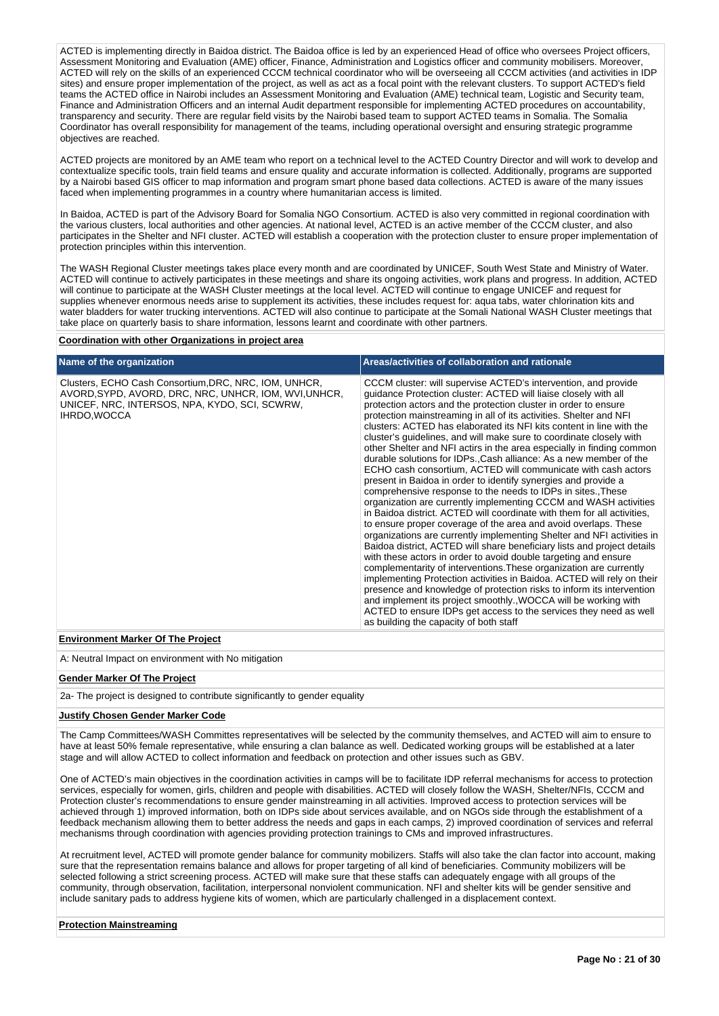ACTED is implementing directly in Baidoa district. The Baidoa office is led by an experienced Head of office who oversees Project officers. Assessment Monitoring and Evaluation (AME) officer, Finance, Administration and Logistics officer and community mobilisers. Moreover, ACTED will rely on the skills of an experienced CCCM technical coordinator who will be overseeing all CCCM activities (and activities in IDP sites) and ensure proper implementation of the project, as well as act as a focal point with the relevant clusters. To support ACTED's field teams the ACTED office in Nairobi includes an Assessment Monitoring and Evaluation (AME) technical team, Logistic and Security team, Finance and Administration Officers and an internal Audit department responsible for implementing ACTED procedures on accountability, transparency and security. There are regular field visits by the Nairobi based team to support ACTED teams in Somalia. The Somalia Coordinator has overall responsibility for management of the teams, including operational oversight and ensuring strategic programme objectives are reached.

ACTED projects are monitored by an AME team who report on a technical level to the ACTED Country Director and will work to develop and contextualize specific tools, train field teams and ensure quality and accurate information is collected. Additionally, programs are supported by a Nairobi based GIS officer to map information and program smart phone based data collections. ACTED is aware of the many issues faced when implementing programmes in a country where humanitarian access is limited.

In Baidoa, ACTED is part of the Advisory Board for Somalia NGO Consortium. ACTED is also very committed in regional coordination with the various clusters, local authorities and other agencies. At national level, ACTED is an active member of the CCCM cluster, and also participates in the Shelter and NFI cluster. ACTED will establish a cooperation with the protection cluster to ensure proper implementation of protection principles within this intervention.

The WASH Regional Cluster meetings takes place every month and are coordinated by UNICEF, South West State and Ministry of Water. ACTED will continue to actively participates in these meetings and share its ongoing activities, work plans and progress. In addition, ACTED will continue to participate at the WASH Cluster meetings at the local level. ACTED will continue to engage UNICEF and request for supplies whenever enormous needs arise to supplement its activities, these includes request for: aqua tabs, water chlorination kits and water bladders for water trucking interventions. ACTED will also continue to participate at the Somali National WASH Cluster meetings that take place on quarterly basis to share information, lessons learnt and coordinate with other partners.

#### **Coordination with other Organizations in project area**

| Name of the organization                                                                                                                                                        | Areas/activities of collaboration and rationale                                                                                                                                                                                                                                                                                                                                                                                                                                                                                                                                                                                                                                                                                                                                                                                                                                                                                                                                                                                                                                                                                                                                                                                                                                                                                                                                                                                                                                                                                                                                                                                 |
|---------------------------------------------------------------------------------------------------------------------------------------------------------------------------------|---------------------------------------------------------------------------------------------------------------------------------------------------------------------------------------------------------------------------------------------------------------------------------------------------------------------------------------------------------------------------------------------------------------------------------------------------------------------------------------------------------------------------------------------------------------------------------------------------------------------------------------------------------------------------------------------------------------------------------------------------------------------------------------------------------------------------------------------------------------------------------------------------------------------------------------------------------------------------------------------------------------------------------------------------------------------------------------------------------------------------------------------------------------------------------------------------------------------------------------------------------------------------------------------------------------------------------------------------------------------------------------------------------------------------------------------------------------------------------------------------------------------------------------------------------------------------------------------------------------------------------|
| Clusters, ECHO Cash Consortium, DRC, NRC, IOM, UNHCR,<br>AVORD, SYPD, AVORD, DRC, NRC, UNHCR, IOM, WVI, UNHCR,<br>UNICEF, NRC, INTERSOS, NPA, KYDO, SCI, SCWRW,<br>IHRDO, WOCCA | CCCM cluster: will supervise ACTED's intervention, and provide<br>guidance Protection cluster: ACTED will liaise closely with all<br>protection actors and the protection cluster in order to ensure<br>protection mainstreaming in all of its activities. Shelter and NFI<br>clusters: ACTED has elaborated its NFI kits content in line with the<br>cluster's guidelines, and will make sure to coordinate closely with<br>other Shelter and NFI actirs in the area especially in finding common<br>durable solutions for IDPs., Cash alliance: As a new member of the<br>ECHO cash consortium, ACTED will communicate with cash actors<br>present in Baidoa in order to identify synergies and provide a<br>comprehensive response to the needs to IDPs in sites. These<br>organization are currently implementing CCCM and WASH activities<br>in Baidoa district. ACTED will coordinate with them for all activities,<br>to ensure proper coverage of the area and avoid overlaps. These<br>organizations are currently implementing Shelter and NFI activities in<br>Baidoa district, ACTED will share beneficiary lists and project details<br>with these actors in order to avoid double targeting and ensure<br>complementarity of interventions. These organization are currently<br>implementing Protection activities in Baidoa. ACTED will rely on their<br>presence and knowledge of protection risks to inform its intervention<br>and implement its project smoothly., WOCCA will be working with<br>ACTED to ensure IDPs get access to the services they need as well<br>as building the capacity of both staff |

## **Environment Marker Of The Project**

A: Neutral Impact on environment with No mitigation

## **Gender Marker Of The Project**

2a- The project is designed to contribute significantly to gender equality

#### **Justify Chosen Gender Marker Code**

The Camp Committees/WASH Committes representatives will be selected by the community themselves, and ACTED will aim to ensure to have at least 50% female representative, while ensuring a clan balance as well. Dedicated working groups will be established at a later stage and will allow ACTED to collect information and feedback on protection and other issues such as GBV.

One of ACTED's main objectives in the coordination activities in camps will be to facilitate IDP referral mechanisms for access to protection services, especially for women, girls, children and people with disabilities. ACTED will closely follow the WASH, Shelter/NFIs, CCCM and Protection cluster's recommendations to ensure gender mainstreaming in all activities. Improved access to protection services will be achieved through 1) improved information, both on IDPs side about services available, and on NGOs side through the establishment of a feedback mechanism allowing them to better address the needs and gaps in each camps, 2) improved coordination of services and referral mechanisms through coordination with agencies providing protection trainings to CMs and improved infrastructures.

At recruitment level, ACTED will promote gender balance for community mobilizers. Staffs will also take the clan factor into account, making sure that the representation remains balance and allows for proper targeting of all kind of beneficiaries. Community mobilizers will be selected following a strict screening process. ACTED will make sure that these staffs can adequately engage with all groups of the community, through observation, facilitation, interpersonal nonviolent communication. NFI and shelter kits will be gender sensitive and include sanitary pads to address hygiene kits of women, which are particularly challenged in a displacement context.

#### **Protection Mainstreaming**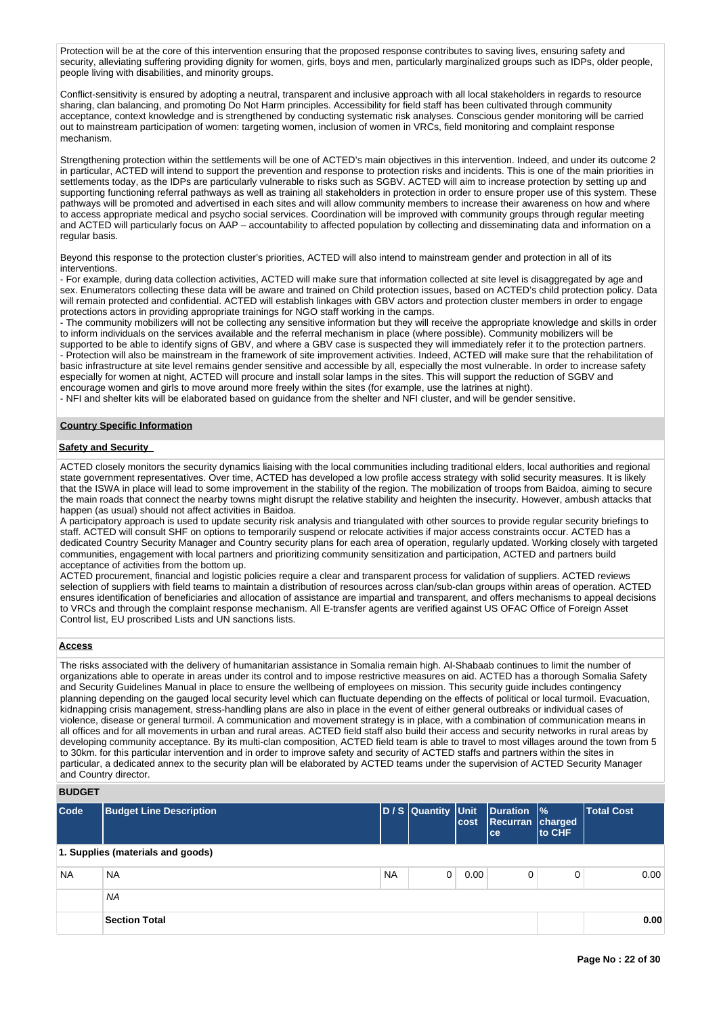Protection will be at the core of this intervention ensuring that the proposed response contributes to saving lives, ensuring safety and security, alleviating suffering providing dignity for women, girls, boys and men, particularly marginalized groups such as IDPs, older people, people living with disabilities, and minority groups.

Conflict-sensitivity is ensured by adopting a neutral, transparent and inclusive approach with all local stakeholders in regards to resource sharing, clan balancing, and promoting Do Not Harm principles. Accessibility for field staff has been cultivated through community acceptance, context knowledge and is strengthened by conducting systematic risk analyses. Conscious gender monitoring will be carried out to mainstream participation of women: targeting women, inclusion of women in VRCs, field monitoring and complaint response mechanism.

Strengthening protection within the settlements will be one of ACTED's main objectives in this intervention. Indeed, and under its outcome 2 in particular, ACTED will intend to support the prevention and response to protection risks and incidents. This is one of the main priorities in settlements today, as the IDPs are particularly vulnerable to risks such as SGBV. ACTED will aim to increase protection by setting up and supporting functioning referral pathways as well as training all stakeholders in protection in order to ensure proper use of this system. These pathways will be promoted and advertised in each sites and will allow community members to increase their awareness on how and where to access appropriate medical and psycho social services. Coordination will be improved with community groups through regular meeting and ACTED will particularly focus on AAP – accountability to affected population by collecting and disseminating data and information on a regular basis.

Beyond this response to the protection cluster's priorities, ACTED will also intend to mainstream gender and protection in all of its interventions.

- For example, during data collection activities, ACTED will make sure that information collected at site level is disaggregated by age and sex. Enumerators collecting these data will be aware and trained on Child protection issues, based on ACTED's child protection policy. Data will remain protected and confidential. ACTED will establish linkages with GBV actors and protection cluster members in order to engage protections actors in providing appropriate trainings for NGO staff working in the camps.

- The community mobilizers will not be collecting any sensitive information but they will receive the appropriate knowledge and skills in order to inform individuals on the services available and the referral mechanism in place (where possible). Community mobilizers will be supported to be able to identify signs of GBV, and where a GBV case is suspected they will immediately refer it to the protection partners. - Protection will also be mainstream in the framework of site improvement activities. Indeed, ACTED will make sure that the rehabilitation of basic infrastructure at site level remains gender sensitive and accessible by all, especially the most vulnerable. In order to increase safety especially for women at night, ACTED will procure and install solar lamps in the sites. This will support the reduction of SGBV and encourage women and girls to move around more freely within the sites (for example, use the latrines at night). - NFI and shelter kits will be elaborated based on guidance from the shelter and NFI cluster, and will be gender sensitive.

## **Country Specific Information**

## **Safety and Security**

ACTED closely monitors the security dynamics liaising with the local communities including traditional elders, local authorities and regional state government representatives. Over time, ACTED has developed a low profile access strategy with solid security measures. It is likely that the ISWA in place will lead to some improvement in the stability of the region. The mobilization of troops from Baidoa, aiming to secure the main roads that connect the nearby towns might disrupt the relative stability and heighten the insecurity. However, ambush attacks that happen (as usual) should not affect activities in Baidoa.

A participatory approach is used to update security risk analysis and triangulated with other sources to provide regular security briefings to staff. ACTED will consult SHF on options to temporarily suspend or relocate activities if major access constraints occur. ACTED has a dedicated Country Security Manager and Country security plans for each area of operation, regularly updated. Working closely with targeted communities, engagement with local partners and prioritizing community sensitization and participation, ACTED and partners build acceptance of activities from the bottom up.

ACTED procurement, financial and logistic policies require a clear and transparent process for validation of suppliers. ACTED reviews selection of suppliers with field teams to maintain a distribution of resources across clan/sub-clan groups within areas of operation. ACTED ensures identification of beneficiaries and allocation of assistance are impartial and transparent, and offers mechanisms to appeal decisions to VRCs and through the complaint response mechanism. All E-transfer agents are verified against US OFAC Office of Foreign Asset Control list, EU proscribed Lists and UN sanctions lists.

## **Access**

The risks associated with the delivery of humanitarian assistance in Somalia remain high. Al-Shabaab continues to limit the number of organizations able to operate in areas under its control and to impose restrictive measures on aid. ACTED has a thorough Somalia Safety and Security Guidelines Manual in place to ensure the wellbeing of employees on mission. This security guide includes contingency planning depending on the gauged local security level which can fluctuate depending on the effects of political or local turmoil. Evacuation, kidnapping crisis management, stress-handling plans are also in place in the event of either general outbreaks or individual cases of violence, disease or general turmoil. A communication and movement strategy is in place, with a combination of communication means in all offices and for all movements in urban and rural areas. ACTED field staff also build their access and security networks in rural areas by developing community acceptance. By its multi-clan composition, ACTED field team is able to travel to most villages around the town from 5 to 30km. for this particular intervention and in order to improve safety and security of ACTED staffs and partners within the sites in particular, a dedicated annex to the security plan will be elaborated by ACTED teams under the supervision of ACTED Security Manager and Country director.

## **BUDGET**

| Code      | <b>Budget Line Description</b>    |           | D / S Quantity Unit | cost | Duration  %<br>Recurran charged<br><b>ce</b> | to CHF | <b>Total Cost</b> |
|-----------|-----------------------------------|-----------|---------------------|------|----------------------------------------------|--------|-------------------|
|           | 1. Supplies (materials and goods) |           |                     |      |                                              |        |                   |
| <b>NA</b> | <b>NA</b>                         | <b>NA</b> | $\Omega$            | 0.00 | 0                                            | 0      | 0.00              |
|           | <b>NA</b>                         |           |                     |      |                                              |        |                   |
|           | <b>Section Total</b>              |           |                     |      |                                              |        | 0.00              |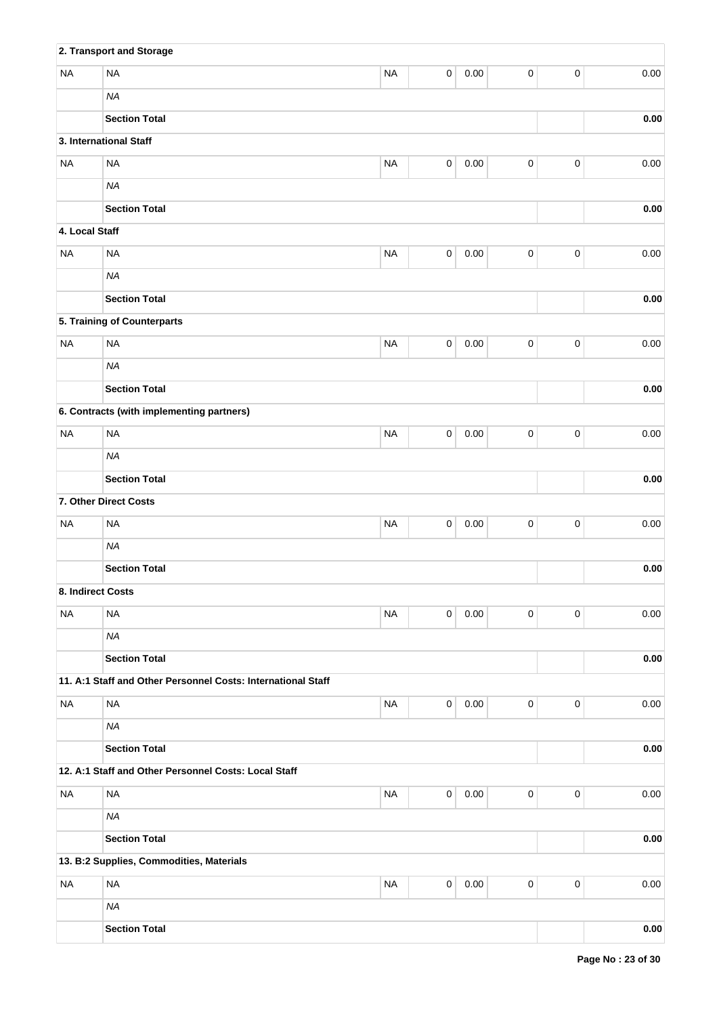|                   | 2. Transport and Storage                                     |           |             |          |             |           |          |
|-------------------|--------------------------------------------------------------|-----------|-------------|----------|-------------|-----------|----------|
| <b>NA</b>         | <b>NA</b>                                                    | <b>NA</b> | 0           | 0.00     | $\mathsf 0$ | $\pmb{0}$ | 0.00     |
|                   | <b>NA</b>                                                    |           |             |          |             |           |          |
|                   | <b>Section Total</b>                                         |           |             |          |             |           | 0.00     |
|                   | 3. International Staff                                       |           |             |          |             |           |          |
| <b>NA</b>         | <b>NA</b>                                                    | <b>NA</b> | $\pmb{0}$   | 0.00     | $\pmb{0}$   | $\pmb{0}$ | 0.00     |
|                   | <b>NA</b>                                                    |           |             |          |             |           |          |
|                   | <b>Section Total</b>                                         |           |             |          |             |           | 0.00     |
| 4. Local Staff    |                                                              |           |             |          |             |           |          |
| <b>NA</b>         | <b>NA</b>                                                    | <b>NA</b> | $\mathsf 0$ | 0.00     | $\mathsf 0$ | $\pmb{0}$ | 0.00     |
|                   | <b>NA</b>                                                    |           |             |          |             |           |          |
|                   | <b>Section Total</b>                                         |           |             |          |             |           | 0.00     |
|                   | 5. Training of Counterparts                                  |           |             |          |             |           |          |
| <b>NA</b>         | <b>NA</b>                                                    | <b>NA</b> | 0           | 0.00     | 0           | $\pmb{0}$ | 0.00     |
|                   | <b>NA</b>                                                    |           |             |          |             |           |          |
|                   | <b>Section Total</b>                                         |           |             |          |             |           | $0.00\,$ |
|                   | 6. Contracts (with implementing partners)                    |           |             |          |             |           |          |
| <b>NA</b>         | <b>NA</b>                                                    | <b>NA</b> | 0           | 0.00     | 0           | $\pmb{0}$ | 0.00     |
|                   | <b>NA</b>                                                    |           |             |          |             |           |          |
|                   | <b>Section Total</b>                                         |           |             |          |             |           | $0.00\,$ |
|                   | 7. Other Direct Costs                                        |           |             |          |             |           |          |
| <b>NA</b>         | <b>NA</b>                                                    | <b>NA</b> | $\pmb{0}$   | 0.00     | $\mathsf 0$ | $\pmb{0}$ | 0.00     |
|                   | <b>NA</b>                                                    |           |             |          |             |           |          |
|                   | <b>Section Total</b>                                         |           |             |          |             |           | 0.00     |
| 8. Indirect Costs |                                                              |           |             |          |             |           |          |
| <b>NA</b>         | <b>NA</b>                                                    | <b>NA</b> | 0           | $0.00\,$ | 0           | $\pmb{0}$ | 0.00     |
|                   | <b>NA</b>                                                    |           |             |          |             |           |          |
|                   | <b>Section Total</b>                                         |           |             |          |             |           | $0.00\,$ |
|                   | 11. A:1 Staff and Other Personnel Costs: International Staff |           |             |          |             |           |          |
| <b>NA</b>         | <b>NA</b>                                                    | <b>NA</b> | 0           | 0.00     | $\mathsf 0$ | $\pmb{0}$ | 0.00     |
|                   | <b>NA</b>                                                    |           |             |          |             |           |          |
|                   | <b>Section Total</b>                                         |           |             |          |             |           | 0.00     |
|                   | 12. A:1 Staff and Other Personnel Costs: Local Staff         |           |             |          |             |           |          |
| <b>NA</b>         | <b>NA</b>                                                    | <b>NA</b> | $\pmb{0}$   | $0.00\,$ | $\mathsf 0$ | $\pmb{0}$ | 0.00     |
|                   | <b>NA</b>                                                    |           |             |          |             |           |          |
|                   | <b>Section Total</b>                                         |           |             |          |             |           | 0.00     |
|                   | 13. B:2 Supplies, Commodities, Materials                     |           |             |          |             |           |          |
| <b>NA</b>         | <b>NA</b>                                                    | <b>NA</b> | $\pmb{0}$   | 0.00     | $\pmb{0}$   | $\pmb{0}$ | 0.00     |
|                   | <b>NA</b>                                                    |           |             |          |             |           |          |
|                   | <b>Section Total</b>                                         |           |             |          |             |           | $0.00\,$ |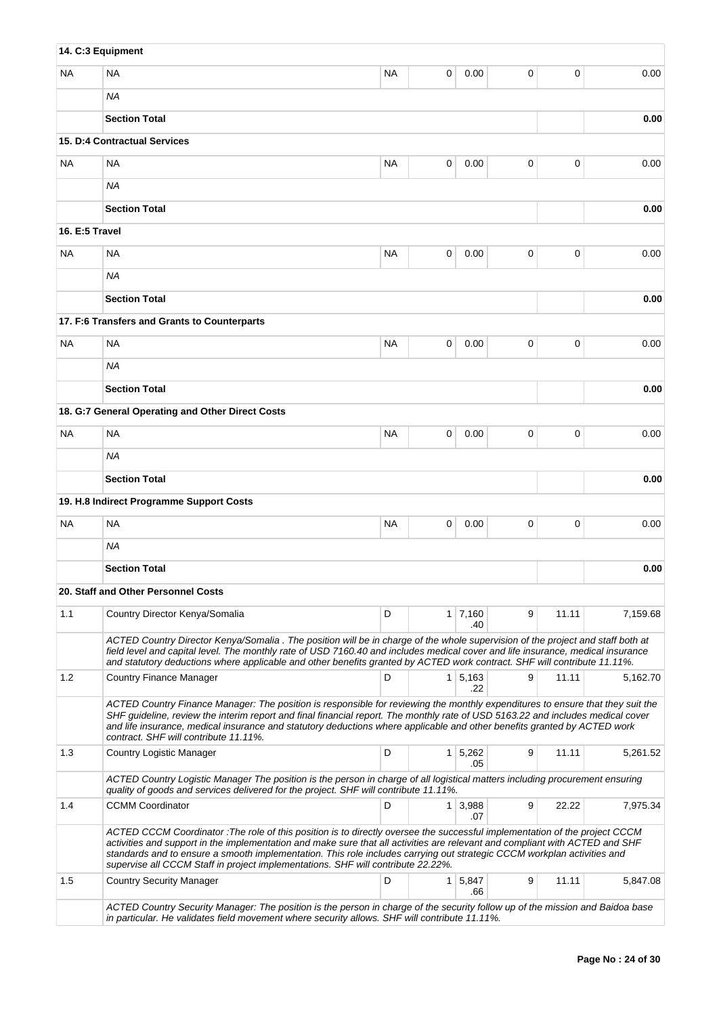|                | 14. C:3 Equipment                                                                                                                                                                                                                                                                                                                                                                                                                                                         |           |                |                       |             |       |          |
|----------------|---------------------------------------------------------------------------------------------------------------------------------------------------------------------------------------------------------------------------------------------------------------------------------------------------------------------------------------------------------------------------------------------------------------------------------------------------------------------------|-----------|----------------|-----------------------|-------------|-------|----------|
| NA             | <b>NA</b>                                                                                                                                                                                                                                                                                                                                                                                                                                                                 | <b>NA</b> | 0              | 0.00                  | 0           | 0     | 0.00     |
|                | ΝA                                                                                                                                                                                                                                                                                                                                                                                                                                                                        |           |                |                       |             |       |          |
|                | <b>Section Total</b>                                                                                                                                                                                                                                                                                                                                                                                                                                                      |           |                |                       |             |       | 0.00     |
|                | 15. D:4 Contractual Services                                                                                                                                                                                                                                                                                                                                                                                                                                              |           |                |                       |             |       |          |
| NA.            | <b>NA</b>                                                                                                                                                                                                                                                                                                                                                                                                                                                                 | <b>NA</b> | 0              | 0.00                  | 0           | 0     | 0.00     |
|                | ΝA                                                                                                                                                                                                                                                                                                                                                                                                                                                                        |           |                |                       |             |       |          |
|                | <b>Section Total</b>                                                                                                                                                                                                                                                                                                                                                                                                                                                      |           |                |                       |             |       | 0.00     |
| 16. E:5 Travel |                                                                                                                                                                                                                                                                                                                                                                                                                                                                           |           |                |                       |             |       |          |
| NA.            | <b>NA</b>                                                                                                                                                                                                                                                                                                                                                                                                                                                                 | <b>NA</b> | 0              | 0.00                  | $\mathbf 0$ | 0     | 0.00     |
|                | <b>NA</b>                                                                                                                                                                                                                                                                                                                                                                                                                                                                 |           |                |                       |             |       |          |
|                | <b>Section Total</b>                                                                                                                                                                                                                                                                                                                                                                                                                                                      |           |                |                       |             |       | 0.00     |
|                | 17. F:6 Transfers and Grants to Counterparts                                                                                                                                                                                                                                                                                                                                                                                                                              |           |                |                       |             |       |          |
| NA             | <b>NA</b>                                                                                                                                                                                                                                                                                                                                                                                                                                                                 | <b>NA</b> | 0              | 0.00                  | 0           | 0     | 0.00     |
|                | ΝA                                                                                                                                                                                                                                                                                                                                                                                                                                                                        |           |                |                       |             |       |          |
|                | <b>Section Total</b>                                                                                                                                                                                                                                                                                                                                                                                                                                                      |           |                |                       |             |       | 0.00     |
|                | 18. G:7 General Operating and Other Direct Costs                                                                                                                                                                                                                                                                                                                                                                                                                          |           |                |                       |             |       |          |
| ΝA             | <b>NA</b>                                                                                                                                                                                                                                                                                                                                                                                                                                                                 | <b>NA</b> | 0              | 0.00                  | 0           | 0     | 0.00     |
|                | ΝA                                                                                                                                                                                                                                                                                                                                                                                                                                                                        |           |                |                       |             |       |          |
|                | <b>Section Total</b>                                                                                                                                                                                                                                                                                                                                                                                                                                                      |           |                |                       |             |       | 0.00     |
|                | 19. H.8 Indirect Programme Support Costs                                                                                                                                                                                                                                                                                                                                                                                                                                  |           |                |                       |             |       |          |
| NA.            | <b>NA</b>                                                                                                                                                                                                                                                                                                                                                                                                                                                                 | <b>NA</b> | 0              | 0.00                  | 0           | 0     | 0.00     |
|                | NA                                                                                                                                                                                                                                                                                                                                                                                                                                                                        |           |                |                       |             |       |          |
|                | <b>Section Total</b>                                                                                                                                                                                                                                                                                                                                                                                                                                                      |           |                |                       |             |       | 0.00     |
|                | 20. Staff and Other Personnel Costs                                                                                                                                                                                                                                                                                                                                                                                                                                       |           |                |                       |             |       |          |
| 1.1            | Country Director Kenya/Somalia                                                                                                                                                                                                                                                                                                                                                                                                                                            | D         |                | $1 \mid 7,160$<br>.40 | 9           | 11.11 | 7,159.68 |
|                | ACTED Country Director Kenya/Somalia . The position will be in charge of the whole supervision of the project and staff both at<br>field level and capital level. The monthly rate of USD 7160.40 and includes medical cover and life insurance, medical insurance<br>and statutory deductions where applicable and other benefits granted by ACTED work contract. SHF will contribute 11.11%.                                                                            |           |                |                       |             |       |          |
| 1.2            | <b>Country Finance Manager</b>                                                                                                                                                                                                                                                                                                                                                                                                                                            | D         |                | $1 \mid 5,163$<br>.22 | 9           | 11.11 | 5,162.70 |
|                | ACTED Country Finance Manager: The position is responsible for reviewing the monthly expenditures to ensure that they suit the<br>SHF guideline, review the interim report and final financial report. The monthly rate of USD 5163.22 and includes medical cover<br>and life insurance, medical insurance and statutory deductions where applicable and other benefits granted by ACTED work<br>contract. SHF will contribute 11.11%.                                    |           |                |                       |             |       |          |
| 1.3            | Country Logistic Manager                                                                                                                                                                                                                                                                                                                                                                                                                                                  | D         |                | $1 \mid 5,262$<br>.05 | 9           | 11.11 | 5,261.52 |
|                | ACTED Country Logistic Manager The position is the person in charge of all logistical matters including procurement ensuring<br>quality of goods and services delivered for the project. SHF will contribute 11.11%.                                                                                                                                                                                                                                                      |           |                |                       |             |       |          |
| 1.4            | <b>CCMM Coordinator</b>                                                                                                                                                                                                                                                                                                                                                                                                                                                   | D         |                | $1 \mid 3,988$<br>.07 | 9           | 22.22 | 7,975.34 |
|                | ACTED CCCM Coordinator: The role of this position is to directly oversee the successful implementation of the project CCCM<br>activities and support in the implementation and make sure that all activities are relevant and compliant with ACTED and SHF<br>standards and to ensure a smooth implementation. This role includes carrying out strategic CCCM workplan activities and<br>supervise all CCCM Staff in project implementations. SHF will contribute 22.22%. |           |                |                       |             |       |          |
| 1.5            | <b>Country Security Manager</b>                                                                                                                                                                                                                                                                                                                                                                                                                                           | D         | 1 <sup>1</sup> | 5,847<br>.66          | 9           | 11.11 | 5,847.08 |
|                | ACTED Country Security Manager: The position is the person in charge of the security follow up of the mission and Baidoa base<br>in particular. He validates field movement where security allows. SHF will contribute 11.11%.                                                                                                                                                                                                                                            |           |                |                       |             |       |          |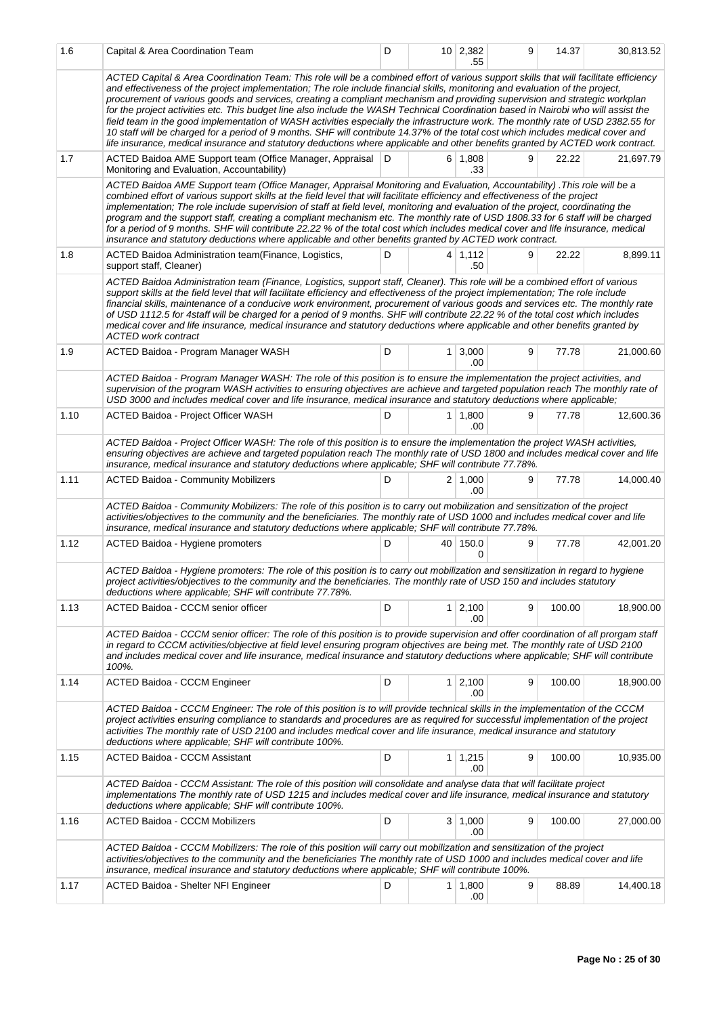| 1.6  | Capital & Area Coordination Team                                                                                                                                                                                                                                                                                                                                                                                                                                                                                                                                                                                                                                                                                                                                                                                                                                                                                                                     | D |                | $10 \mid 2,382$<br>.55 | 9 | 14.37  | 30,813.52 |
|------|------------------------------------------------------------------------------------------------------------------------------------------------------------------------------------------------------------------------------------------------------------------------------------------------------------------------------------------------------------------------------------------------------------------------------------------------------------------------------------------------------------------------------------------------------------------------------------------------------------------------------------------------------------------------------------------------------------------------------------------------------------------------------------------------------------------------------------------------------------------------------------------------------------------------------------------------------|---|----------------|------------------------|---|--------|-----------|
|      | ACTED Capital & Area Coordination Team: This role will be a combined effort of various support skills that will facilitate efficiency<br>and effectiveness of the project implementation; The role include financial skills, monitoring and evaluation of the project,<br>procurement of various goods and services, creating a compliant mechanism and providing supervision and strategic workplan<br>for the project activities etc. This budget line also include the WASH Technical Coordination based in Nairobi who will assist the<br>field team in the good implementation of WASH activities especially the infrastructure work. The monthly rate of USD 2382.55 for<br>10 staff will be charged for a period of 9 months. SHF will contribute 14.37% of the total cost which includes medical cover and<br>life insurance, medical insurance and statutory deductions where applicable and other benefits granted by ACTED work contract. |   |                |                        |   |        |           |
| 1.7  | ACTED Baidoa AME Support team (Office Manager, Appraisal D<br>Monitoring and Evaluation, Accountability)                                                                                                                                                                                                                                                                                                                                                                                                                                                                                                                                                                                                                                                                                                                                                                                                                                             |   |                | $6 \mid 1,808$<br>.33  | 9 | 22.22  | 21,697.79 |
|      | ACTED Baidoa AME Support team (Office Manager, Appraisal Monitoring and Evaluation, Accountability). This role will be a<br>combined effort of various support skills at the field level that will facilitate efficiency and effectiveness of the project<br>implementation; The role include supervision of staff at field level, monitoring and evaluation of the project, coordinating the<br>program and the support staff, creating a compliant mechanism etc. The monthly rate of USD 1808.33 for 6 staff will be charged<br>for a period of 9 months. SHF will contribute 22.22 % of the total cost which includes medical cover and life insurance, medical<br>insurance and statutory deductions where applicable and other benefits granted by ACTED work contract.                                                                                                                                                                        |   |                |                        |   |        |           |
| 1.8  | ACTED Baidoa Administration team (Finance, Logistics,<br>support staff, Cleaner)                                                                                                                                                                                                                                                                                                                                                                                                                                                                                                                                                                                                                                                                                                                                                                                                                                                                     | D |                | $4 \mid 1,112$<br>.50  | 9 | 22.22  | 8,899.11  |
|      | ACTED Baidoa Administration team (Finance, Logistics, support staff, Cleaner). This role will be a combined effort of various<br>support skills at the field level that will facilitate efficiency and effectiveness of the project implementation; The role include<br>financial skills, maintenance of a conducive work environment, procurement of various goods and services etc. The monthly rate<br>of USD 1112.5 for 4staff will be charged for a period of 9 months. SHF will contribute 22.22 % of the total cost which includes<br>medical cover and life insurance, medical insurance and statutory deductions where applicable and other benefits granted by<br><b>ACTED work contract</b>                                                                                                                                                                                                                                               |   |                |                        |   |        |           |
| 1.9  | ACTED Baidoa - Program Manager WASH                                                                                                                                                                                                                                                                                                                                                                                                                                                                                                                                                                                                                                                                                                                                                                                                                                                                                                                  | D | 1 <sup>1</sup> | 3,000<br>.00           | 9 | 77.78  | 21,000.60 |
|      | ACTED Baidoa - Program Manager WASH: The role of this position is to ensure the implementation the project activities, and<br>supervision of the program WASH activities to ensuring objectives are achieve and targeted population reach The monthly rate of<br>USD 3000 and includes medical cover and life insurance, medical insurance and statutory deductions where applicable;                                                                                                                                                                                                                                                                                                                                                                                                                                                                                                                                                                |   |                |                        |   |        |           |
| 1.10 | ACTED Baidoa - Project Officer WASH                                                                                                                                                                                                                                                                                                                                                                                                                                                                                                                                                                                                                                                                                                                                                                                                                                                                                                                  | D | 1 <sup>1</sup> | 1,800<br>.00           | 9 | 77.78  | 12,600.36 |
|      | ACTED Baidoa - Project Officer WASH: The role of this position is to ensure the implementation the project WASH activities,<br>ensuring objectives are achieve and targeted population reach The monthly rate of USD 1800 and includes medical cover and life<br>insurance, medical insurance and statutory deductions where applicable; SHF will contribute 77.78%.                                                                                                                                                                                                                                                                                                                                                                                                                                                                                                                                                                                 |   |                |                        |   |        |           |
| 1.11 | <b>ACTED Baidoa - Community Mobilizers</b>                                                                                                                                                                                                                                                                                                                                                                                                                                                                                                                                                                                                                                                                                                                                                                                                                                                                                                           | D |                | $2 \mid 1,000$<br>.00  | 9 | 77.78  | 14,000.40 |
|      | ACTED Baidoa - Community Mobilizers: The role of this position is to carry out mobilization and sensitization of the project<br>activities/objectives to the community and the beneficiaries. The monthly rate of USD 1000 and includes medical cover and life<br>insurance, medical insurance and statutory deductions where applicable; SHF will contribute 77.78%.                                                                                                                                                                                                                                                                                                                                                                                                                                                                                                                                                                                |   |                |                        |   |        |           |
| 1.12 | ACTED Baidoa - Hygiene promoters                                                                                                                                                                                                                                                                                                                                                                                                                                                                                                                                                                                                                                                                                                                                                                                                                                                                                                                     | D |                | 40 150.0<br>0          | 9 | 77.78  | 42,001.20 |
|      | ACTED Baidoa - Hygiene promoters: The role of this position is to carry out mobilization and sensitization in regard to hygiene<br>project activities/objectives to the community and the beneficiaries. The monthly rate of USD 150 and includes statutory<br>deductions where applicable; SHF will contribute 77.78%.                                                                                                                                                                                                                                                                                                                                                                                                                                                                                                                                                                                                                              |   |                |                        |   |        |           |
| 1.13 | ACTED Baidoa - CCCM senior officer                                                                                                                                                                                                                                                                                                                                                                                                                                                                                                                                                                                                                                                                                                                                                                                                                                                                                                                   | D | 1 <sup>1</sup> | 2,100<br>.00           | 9 | 100.00 | 18,900.00 |
|      | ACTED Baidoa - CCCM senior officer: The role of this position is to provide supervision and offer coordination of all prorgam staff<br>in regard to CCCM activities/objective at field level ensuring program objectives are being met. The monthly rate of USD 2100<br>and includes medical cover and life insurance, medical insurance and statutory deductions where applicable; SHF will contribute<br>100%.                                                                                                                                                                                                                                                                                                                                                                                                                                                                                                                                     |   |                |                        |   |        |           |
| 1.14 | ACTED Baidoa - CCCM Engineer                                                                                                                                                                                                                                                                                                                                                                                                                                                                                                                                                                                                                                                                                                                                                                                                                                                                                                                         | D |                | $1 \mid 2,100$<br>.00  | 9 | 100.00 | 18,900.00 |
|      | ACTED Baidoa - CCCM Engineer: The role of this position is to will provide technical skills in the implementation of the CCCM<br>project activities ensuring compliance to standards and procedures are as required for successful implementation of the project<br>activities The monthly rate of USD 2100 and includes medical cover and life insurance, medical insurance and statutory<br>deductions where applicable; SHF will contribute 100%.                                                                                                                                                                                                                                                                                                                                                                                                                                                                                                 |   |                |                        |   |        |           |
| 1.15 | <b>ACTED Baidoa - CCCM Assistant</b>                                                                                                                                                                                                                                                                                                                                                                                                                                                                                                                                                                                                                                                                                                                                                                                                                                                                                                                 | D | 1              | 1,215<br>.00           | 9 | 100.00 | 10,935.00 |
|      | ACTED Baidoa - CCCM Assistant: The role of this position will consolidate and analyse data that will facilitate project<br>implementations The monthly rate of USD 1215 and includes medical cover and life insurance, medical insurance and statutory<br>deductions where applicable; SHF will contribute 100%.                                                                                                                                                                                                                                                                                                                                                                                                                                                                                                                                                                                                                                     |   |                |                        |   |        |           |
| 1.16 | <b>ACTED Baidoa - CCCM Mobilizers</b>                                                                                                                                                                                                                                                                                                                                                                                                                                                                                                                                                                                                                                                                                                                                                                                                                                                                                                                | D |                | $3 \mid 1,000$<br>.00  | 9 | 100.00 | 27,000.00 |
|      | ACTED Baidoa - CCCM Mobilizers: The role of this position will carry out mobilization and sensitization of the project<br>activities/objectives to the community and the beneficiaries The monthly rate of USD 1000 and includes medical cover and life<br>insurance, medical insurance and statutory deductions where applicable; SHF will contribute 100%.                                                                                                                                                                                                                                                                                                                                                                                                                                                                                                                                                                                         |   |                |                        |   |        |           |
| 1.17 | ACTED Baidoa - Shelter NFI Engineer                                                                                                                                                                                                                                                                                                                                                                                                                                                                                                                                                                                                                                                                                                                                                                                                                                                                                                                  | D |                | $1 \mid 1,800$<br>.00  | 9 | 88.89  | 14,400.18 |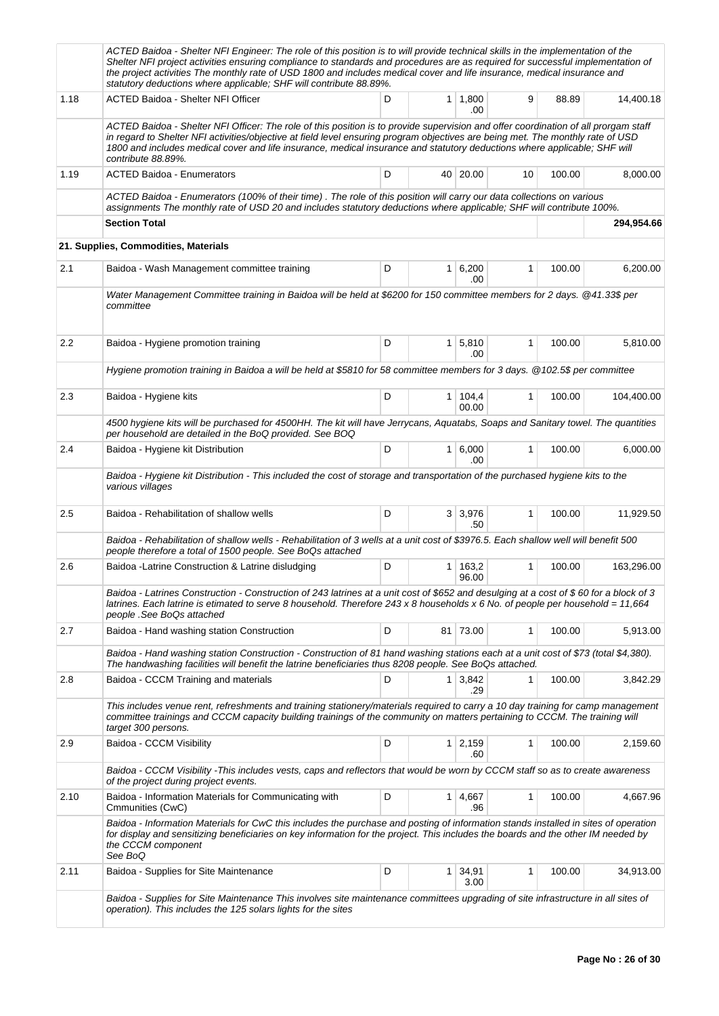|      | ACTED Baidoa - Shelter NFI Engineer: The role of this position is to will provide technical skills in the implementation of the<br>Shelter NFI project activities ensuring compliance to standards and procedures are as required for successful implementation of<br>the project activities The monthly rate of USD 1800 and includes medical cover and life insurance, medical insurance and<br>statutory deductions where applicable; SHF will contribute 88.89%. |   |                |                  |              |        |            |
|------|----------------------------------------------------------------------------------------------------------------------------------------------------------------------------------------------------------------------------------------------------------------------------------------------------------------------------------------------------------------------------------------------------------------------------------------------------------------------|---|----------------|------------------|--------------|--------|------------|
| 1.18 | ACTED Baidoa - Shelter NFI Officer                                                                                                                                                                                                                                                                                                                                                                                                                                   | D | $\mathbf{1}$   | 1,800<br>.00     | 9            | 88.89  | 14,400.18  |
|      | ACTED Baidoa - Shelter NFI Officer: The role of this position is to provide supervision and offer coordination of all prorgam staff<br>in regard to Shelter NFI activities/objective at field level ensuring program objectives are being met. The monthly rate of USD<br>1800 and includes medical cover and life insurance, medical insurance and statutory deductions where applicable; SHF will<br>contribute 88.89%.                                            |   |                |                  |              |        |            |
| 1.19 | <b>ACTED Baidoa - Enumerators</b>                                                                                                                                                                                                                                                                                                                                                                                                                                    | D |                | 40 20.00         | 10           | 100.00 | 8,000.00   |
|      | ACTED Baidoa - Enumerators (100% of their time). The role of this position will carry our data collections on various<br>assignments The monthly rate of USD 20 and includes statutory deductions where applicable; SHF will contribute 100%.                                                                                                                                                                                                                        |   |                |                  |              |        |            |
|      | <b>Section Total</b>                                                                                                                                                                                                                                                                                                                                                                                                                                                 |   |                |                  |              |        | 294,954.66 |
|      | 21. Supplies, Commodities, Materials                                                                                                                                                                                                                                                                                                                                                                                                                                 |   |                |                  |              |        |            |
| 2.1  | Baidoa - Wash Management committee training                                                                                                                                                                                                                                                                                                                                                                                                                          | D | $\mathbf{1}$   | 6,200<br>.00     | $\mathbf{1}$ | 100.00 | 6,200.00   |
|      | Water Management Committee training in Baidoa will be held at \$6200 for 150 committee members for 2 days. @41.33\$ per<br>committee                                                                                                                                                                                                                                                                                                                                 |   |                |                  |              |        |            |
| 2.2  | Baidoa - Hygiene promotion training                                                                                                                                                                                                                                                                                                                                                                                                                                  | D |                | 1   5,810<br>.00 | $\mathbf{1}$ | 100.00 | 5,810.00   |
|      | Hygiene promotion training in Baidoa a will be held at \$5810 for 58 committee members for 3 days. @102.5\$ per committee                                                                                                                                                                                                                                                                                                                                            |   |                |                  |              |        |            |
| 2.3  | Baidoa - Hygiene kits                                                                                                                                                                                                                                                                                                                                                                                                                                                | D | 1              | 104,4<br>00.00   | $\mathbf{1}$ | 100.00 | 104,400.00 |
|      | 4500 hygiene kits will be purchased for 4500HH. The kit will have Jerrycans, Aquatabs, Soaps and Sanitary towel. The quantities<br>per household are detailed in the BoQ provided. See BOQ                                                                                                                                                                                                                                                                           |   |                |                  |              |        |            |
| 2.4  | Baidoa - Hygiene kit Distribution                                                                                                                                                                                                                                                                                                                                                                                                                                    | D | 1 <sup>1</sup> | 6,000<br>.00     | $\mathbf{1}$ | 100.00 | 6,000.00   |
|      | Baidoa - Hygiene kit Distribution - This included the cost of storage and transportation of the purchased hygiene kits to the<br>various villages                                                                                                                                                                                                                                                                                                                    |   |                |                  |              |        |            |
| 2.5  | Baidoa - Rehabilitation of shallow wells                                                                                                                                                                                                                                                                                                                                                                                                                             | D |                | 3 3,976<br>.50   | $\mathbf{1}$ | 100.00 | 11,929.50  |
|      | Baidoa - Rehabilitation of shallow wells - Rehabilitation of 3 wells at a unit cost of \$3976.5. Each shallow well will benefit 500<br>people therefore a total of 1500 people. See BoQs attached                                                                                                                                                                                                                                                                    |   |                |                  |              |        |            |
| 2.6  | Baidoa - Latrine Construction & Latrine disludging                                                                                                                                                                                                                                                                                                                                                                                                                   | D | 1              | 163,2<br>96.00   | 1            | 100.00 | 163,296.00 |
|      | Baidoa - Latrines Construction - Construction of 243 latrines at a unit cost of \$652 and desulging at a cost of \$60 for a block of 3<br>latrines. Each latrine is etimated to serve 8 household. Therefore 243 x 8 households x 6 No. of people per household = 11,664<br>people .See BoQs attached                                                                                                                                                                |   |                |                  |              |        |            |
| 2.7  | Baidoa - Hand washing station Construction                                                                                                                                                                                                                                                                                                                                                                                                                           | D |                | 81 73.00         | 1            | 100.00 | 5,913.00   |
|      | Baidoa - Hand washing station Construction - Construction of 81 hand washing stations each at a unit cost of \$73 (total \$4,380).<br>The handwashing facilities will benefit the latrine beneficiaries thus 8208 people. See BoQs attached.                                                                                                                                                                                                                         |   |                |                  |              |        |            |
| 2.8  | Baidoa - CCCM Training and materials                                                                                                                                                                                                                                                                                                                                                                                                                                 | D | 1 <sup>1</sup> | 3,842<br>.29     | 1            | 100.00 | 3,842.29   |
|      | This includes venue rent, refreshments and training stationery/materials required to carry a 10 day training for camp management<br>committee trainings and CCCM capacity building trainings of the community on matters pertaining to CCCM. The training will<br>target 300 persons.                                                                                                                                                                                |   |                |                  |              |        |            |
| 2.9  | Baidoa - CCCM Visibility                                                                                                                                                                                                                                                                                                                                                                                                                                             | D | 1              | 2,159<br>.60     | 1            | 100.00 | 2,159.60   |
|      | Baidoa - CCCM Visibility - This includes vests, caps and reflectors that would be worn by CCCM staff so as to create awareness<br>of the project during project events.                                                                                                                                                                                                                                                                                              |   |                |                  |              |        |            |
| 2.10 | Baidoa - Information Materials for Communicating with<br>Cmmunities (CwC)                                                                                                                                                                                                                                                                                                                                                                                            | D | 1              | 4,667<br>.96     | $\mathbf{1}$ | 100.00 | 4,667.96   |
|      | Baidoa - Information Materials for CwC this includes the purchase and posting of information stands installed in sites of operation<br>for display and sensitizing beneficiaries on key information for the project. This includes the boards and the other IM needed by<br>the CCCM component<br>See BoQ                                                                                                                                                            |   |                |                  |              |        |            |
| 2.11 | Baidoa - Supplies for Site Maintenance                                                                                                                                                                                                                                                                                                                                                                                                                               | D | 1              | 34,91<br>3.00    | 1            | 100.00 | 34,913.00  |
|      | Baidoa - Supplies for Site Maintenance This involves site maintenance committees upgrading of site infrastructure in all sites of<br>operation). This includes the 125 solars lights for the sites                                                                                                                                                                                                                                                                   |   |                |                  |              |        |            |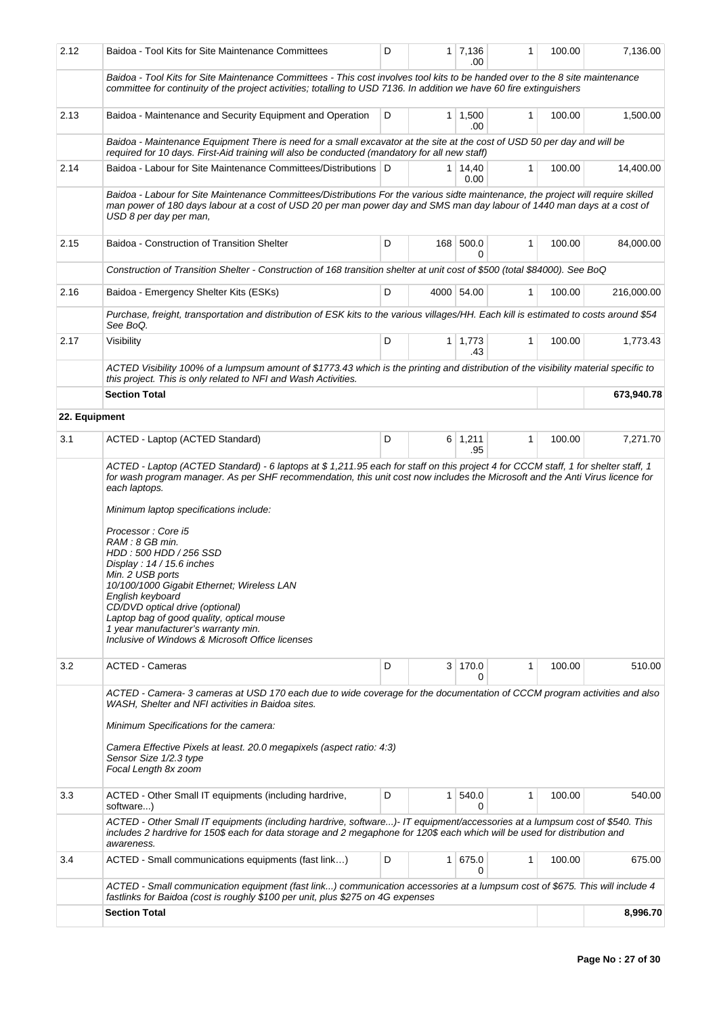| 2.12          | Baidoa - Tool Kits for Site Maintenance Committees                                                                                                                                                                                                                                                                                                                                                                                                                                                                                                                                                                                                                                              | D |                | 1 7,136<br>.00         | 1            | 100.00 | 7,136.00   |  |  |
|---------------|-------------------------------------------------------------------------------------------------------------------------------------------------------------------------------------------------------------------------------------------------------------------------------------------------------------------------------------------------------------------------------------------------------------------------------------------------------------------------------------------------------------------------------------------------------------------------------------------------------------------------------------------------------------------------------------------------|---|----------------|------------------------|--------------|--------|------------|--|--|
|               | Baidoa - Tool Kits for Site Maintenance Committees - This cost involves tool kits to be handed over to the 8 site maintenance<br>committee for continuity of the project activities; totalling to USD 7136. In addition we have 60 fire extinguishers                                                                                                                                                                                                                                                                                                                                                                                                                                           |   |                |                        |              |        |            |  |  |
| 2.13          | Baidoa - Maintenance and Security Equipment and Operation<br>D<br>$1 \mid 1,500$<br>1<br>100.00<br>1,500.00<br>.00                                                                                                                                                                                                                                                                                                                                                                                                                                                                                                                                                                              |   |                |                        |              |        |            |  |  |
|               | Baidoa - Maintenance Equipment There is need for a small excavator at the site at the cost of USD 50 per day and will be<br>required for 10 days. First-Aid training will also be conducted (mandatory for all new staff)                                                                                                                                                                                                                                                                                                                                                                                                                                                                       |   |                |                        |              |        |            |  |  |
| 2.14          | Baidoa - Labour for Site Maintenance Committees/Distributions   D                                                                                                                                                                                                                                                                                                                                                                                                                                                                                                                                                                                                                               |   |                | $1 \mid 14,40$<br>0.00 | 1            | 100.00 | 14,400.00  |  |  |
|               | Baidoa - Labour for Site Maintenance Committees/Distributions For the various sidte maintenance, the project will require skilled<br>man power of 180 days labour at a cost of USD 20 per man power day and SMS man day labour of 1440 man days at a cost of<br>USD 8 per day per man,                                                                                                                                                                                                                                                                                                                                                                                                          |   |                |                        |              |        |            |  |  |
| 2.15          | Baidoa - Construction of Transition Shelter                                                                                                                                                                                                                                                                                                                                                                                                                                                                                                                                                                                                                                                     | D |                | 168 500.0<br>0         | $\mathbf{1}$ | 100.00 | 84,000.00  |  |  |
|               | Construction of Transition Shelter - Construction of 168 transition shelter at unit cost of \$500 (total \$84000). See BoQ                                                                                                                                                                                                                                                                                                                                                                                                                                                                                                                                                                      |   |                |                        |              |        |            |  |  |
| 2.16          | Baidoa - Emergency Shelter Kits (ESKs)                                                                                                                                                                                                                                                                                                                                                                                                                                                                                                                                                                                                                                                          | D |                | 4000 54.00             | 1            | 100.00 | 216,000.00 |  |  |
|               | Purchase, freight, transportation and distribution of ESK kits to the various villages/HH. Each kill is estimated to costs around \$54<br>See BoQ.                                                                                                                                                                                                                                                                                                                                                                                                                                                                                                                                              |   |                |                        |              |        |            |  |  |
| 2.17          | Visibility                                                                                                                                                                                                                                                                                                                                                                                                                                                                                                                                                                                                                                                                                      | D |                | $1 \mid 1,773$<br>.43  | 1            | 100.00 | 1,773.43   |  |  |
|               | ACTED Visibility 100% of a lumpsum amount of \$1773.43 which is the printing and distribution of the visibility material specific to<br>this project. This is only related to NFI and Wash Activities.                                                                                                                                                                                                                                                                                                                                                                                                                                                                                          |   |                |                        |              |        |            |  |  |
|               | <b>Section Total</b>                                                                                                                                                                                                                                                                                                                                                                                                                                                                                                                                                                                                                                                                            |   |                |                        |              |        | 673,940.78 |  |  |
| 22. Equipment |                                                                                                                                                                                                                                                                                                                                                                                                                                                                                                                                                                                                                                                                                                 |   |                |                        |              |        |            |  |  |
| 3.1           | ACTED - Laptop (ACTED Standard)                                                                                                                                                                                                                                                                                                                                                                                                                                                                                                                                                                                                                                                                 | D |                | $6 \mid 1,211$<br>.95  | $\mathbf{1}$ | 100.00 | 7,271.70   |  |  |
|               | ACTED - Laptop (ACTED Standard) - 6 laptops at \$1,211.95 each for staff on this project 4 for CCCM staff, 1 for shelter staff, 1<br>for wash program manager. As per SHF recommendation, this unit cost now includes the Microsoft and the Anti Virus licence for<br>each laptops.<br>Minimum laptop specifications include:<br>Processor: Core i5<br>RAM : 8 GB min.<br>HDD : 500 HDD / 256 SSD<br>Display: 14 / 15.6 inches<br>Min. 2 USB ports<br>10/100/1000 Gigabit Ethernet; Wireless LAN<br>English keyboard<br>CD/DVD optical drive (optional)<br>Laptop bag of good quality, optical mouse<br>1 year manufacturer's warranty min.<br>Inclusive of Windows & Microsoft Office licenses |   |                |                        |              |        |            |  |  |
| 3.2           | <b>ACTED - Cameras</b>                                                                                                                                                                                                                                                                                                                                                                                                                                                                                                                                                                                                                                                                          | D |                | 3 170.0<br>0           | 1            | 100.00 | 510.00     |  |  |
|               | ACTED - Camera-3 cameras at USD 170 each due to wide coverage for the documentation of CCCM program activities and also<br>WASH. Shelter and NFI activities in Baidoa sites.<br>Minimum Specifications for the camera:<br>Camera Effective Pixels at least. 20.0 megapixels (aspect ratio: 4:3)<br>Sensor Size 1/2.3 type<br>Focal Length 8x zoom                                                                                                                                                                                                                                                                                                                                               |   |                |                        |              |        |            |  |  |
| 3.3           | ACTED - Other Small IT equipments (including hardrive,<br>software)                                                                                                                                                                                                                                                                                                                                                                                                                                                                                                                                                                                                                             | D | 1              | 540.0<br>0             | $\mathbf{1}$ | 100.00 | 540.00     |  |  |
|               | ACTED - Other Small IT equipments (including hardrive, software)- IT equipment/accessories at a lumpsum cost of \$540. This<br>includes 2 hardrive for 150\$ each for data storage and 2 megaphone for 120\$ each which will be used for distribution and<br>awareness.                                                                                                                                                                                                                                                                                                                                                                                                                         |   |                |                        |              |        |            |  |  |
| 3.4           | ACTED - Small communications equipments (fast link)                                                                                                                                                                                                                                                                                                                                                                                                                                                                                                                                                                                                                                             | D | 1 <sup>1</sup> | 675.0<br>0             | 1            | 100.00 | 675.00     |  |  |
|               | ACTED - Small communication equipment (fast link) communication accessories at a lumpsum cost of \$675. This will include 4<br>fastlinks for Baidoa (cost is roughly \$100 per unit, plus \$275 on 4G expenses                                                                                                                                                                                                                                                                                                                                                                                                                                                                                  |   |                |                        |              |        |            |  |  |
|               | <b>Section Total</b>                                                                                                                                                                                                                                                                                                                                                                                                                                                                                                                                                                                                                                                                            |   |                |                        |              |        | 8,996.70   |  |  |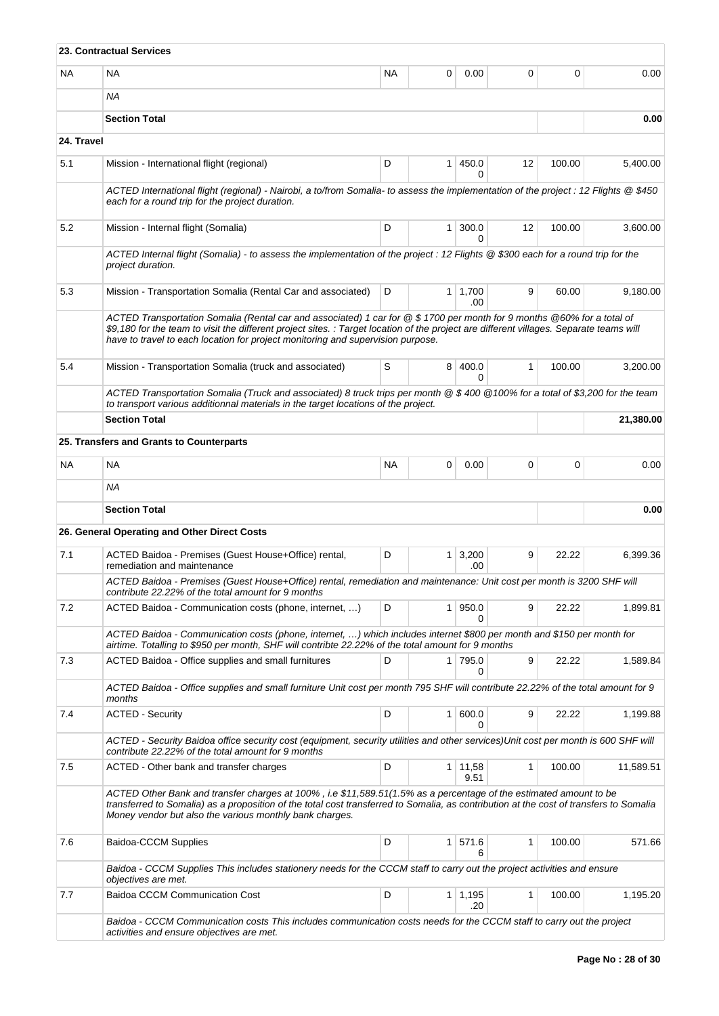|            | <b>23. Contractual Services</b>                                                                                                                                                                                                                                                                                                                      |           |                |                        |              |        |           |
|------------|------------------------------------------------------------------------------------------------------------------------------------------------------------------------------------------------------------------------------------------------------------------------------------------------------------------------------------------------------|-----------|----------------|------------------------|--------------|--------|-----------|
| NA.        | <b>NA</b>                                                                                                                                                                                                                                                                                                                                            | <b>NA</b> | 0              | 0.00                   | 0            | 0      | 0.00      |
|            | ΝA                                                                                                                                                                                                                                                                                                                                                   |           |                |                        |              |        |           |
|            | <b>Section Total</b>                                                                                                                                                                                                                                                                                                                                 |           |                |                        |              |        | 0.00      |
| 24. Travel |                                                                                                                                                                                                                                                                                                                                                      |           |                |                        |              |        |           |
| 5.1        | Mission - International flight (regional)                                                                                                                                                                                                                                                                                                            | D         | $\mathbf{1}$   | 450.0<br>0             | 12           | 100.00 | 5,400.00  |
|            | ACTED International flight (regional) - Nairobi, a to/from Somalia- to assess the implementation of the project : 12 Flights @ \$450<br>each for a round trip for the project duration.                                                                                                                                                              |           |                |                        |              |        |           |
| 5.2        | Mission - Internal flight (Somalia)                                                                                                                                                                                                                                                                                                                  | D         | 1 <sup>1</sup> | 300.0<br>0             | 12           | 100.00 | 3,600.00  |
|            | ACTED Internal flight (Somalia) - to assess the implementation of the project : 12 Flights @ \$300 each for a round trip for the<br>project duration.                                                                                                                                                                                                |           |                |                        |              |        |           |
| 5.3        | Mission - Transportation Somalia (Rental Car and associated)                                                                                                                                                                                                                                                                                         | D         |                | $1 \mid 1,700$<br>.00  | 9            | 60.00  | 9,180.00  |
|            | ACTED Transportation Somalia (Rental car and associated) 1 car for @ \$1700 per month for 9 months @60% for a total of<br>\$9,180 for the team to visit the different project sites. : Target location of the project are different villages. Separate teams will<br>have to travel to each location for project monitoring and supervision purpose. |           |                |                        |              |        |           |
| 5.4        | Mission - Transportation Somalia (truck and associated)                                                                                                                                                                                                                                                                                              | S         | 8              | 400.0<br>0             | $\mathbf{1}$ | 100.00 | 3,200.00  |
|            | ACTED Transportation Somalia (Truck and associated) 8 truck trips per month @ \$ 400 @100% for a total of \$3,200 for the team<br>to transport various additionnal materials in the target locations of the project.                                                                                                                                 |           |                |                        |              |        |           |
|            | <b>Section Total</b>                                                                                                                                                                                                                                                                                                                                 |           |                |                        |              |        | 21,380.00 |
|            | 25. Transfers and Grants to Counterparts                                                                                                                                                                                                                                                                                                             |           |                |                        |              |        |           |
| NA.        | <b>NA</b>                                                                                                                                                                                                                                                                                                                                            | <b>NA</b> | 0              | 0.00                   | 0            | 0      | 0.00      |
|            | ΝA                                                                                                                                                                                                                                                                                                                                                   |           |                |                        |              |        |           |
|            | <b>Section Total</b>                                                                                                                                                                                                                                                                                                                                 |           |                |                        |              |        | 0.00      |
|            | 26. General Operating and Other Direct Costs                                                                                                                                                                                                                                                                                                         |           |                |                        |              |        |           |
| 7.1        | ACTED Baidoa - Premises (Guest House+Office) rental,<br>remediation and maintenance                                                                                                                                                                                                                                                                  | D         | 1 <sup>1</sup> | 3,200<br>.00           | 9            | 22.22  | 6.399.36  |
|            | ACTED Baidoa - Premises (Guest House+Office) rental, remediation and maintenance: Unit cost per month is 3200 SHF will<br>contribute 22.22% of the total amount for 9 months                                                                                                                                                                         |           |                |                        |              |        |           |
| 7.2        | ACTED Baidoa - Communication costs (phone, internet, )                                                                                                                                                                                                                                                                                               | D         | $\mathbf{1}$   | 950.0<br>0             | 9            | 22.22  | 1.899.81  |
|            | ACTED Baidoa - Communication costs (phone, internet, ) which includes internet \$800 per month and \$150 per month for<br>airtime. Totalling to \$950 per month, SHF will contribte 22.22% of the total amount for 9 months                                                                                                                          |           |                |                        |              |        |           |
| 7.3        | ACTED Baidoa - Office supplies and small furnitures                                                                                                                                                                                                                                                                                                  | D         | 1 <sup>1</sup> | 795.0<br>0             | 9            | 22.22  | 1,589.84  |
|            | ACTED Baidoa - Office supplies and small furniture Unit cost per month 795 SHF will contribute 22.22% of the total amount for 9<br>months                                                                                                                                                                                                            |           |                |                        |              |        |           |
| 7.4        | <b>ACTED - Security</b>                                                                                                                                                                                                                                                                                                                              | D         | 1 <sup>1</sup> | 600.0<br>0             | 9            | 22.22  | 1,199.88  |
|            | ACTED - Security Baidoa office security cost (equipment, security utilities and other services)Unit cost per month is 600 SHF will<br>contribute 22.22% of the total amount for 9 months                                                                                                                                                             |           |                |                        |              |        |           |
| 7.5        | ACTED - Other bank and transfer charges                                                                                                                                                                                                                                                                                                              | D         |                | $1 \mid 11,58$<br>9.51 | $\mathbf{1}$ | 100.00 | 11,589.51 |
|            | ACTED Other Bank and transfer charges at 100%, i.e \$11,589.51(1.5% as a percentage of the estimated amount to be<br>transferred to Somalia) as a proposition of the total cost transferred to Somalia, as contribution at the cost of transfers to Somalia<br>Money vendor but also the various monthly bank charges.                               |           |                |                        |              |        |           |
| 7.6        | Baidoa-CCCM Supplies                                                                                                                                                                                                                                                                                                                                 | D         | 1              | 571.6<br>6             | $\mathbf{1}$ | 100.00 | 571.66    |
|            | Baidoa - CCCM Supplies This includes stationery needs for the CCCM staff to carry out the project activities and ensure<br>objectives are met.                                                                                                                                                                                                       |           |                |                        |              |        |           |
| 7.7        | Baidoa CCCM Communication Cost                                                                                                                                                                                                                                                                                                                       | D         |                | $1 \mid 1,195$<br>.20  | 1            | 100.00 | 1,195.20  |
|            | Baidoa - CCCM Communication costs This includes communication costs needs for the CCCM staff to carry out the project<br>activities and ensure objectives are met.                                                                                                                                                                                   |           |                |                        |              |        |           |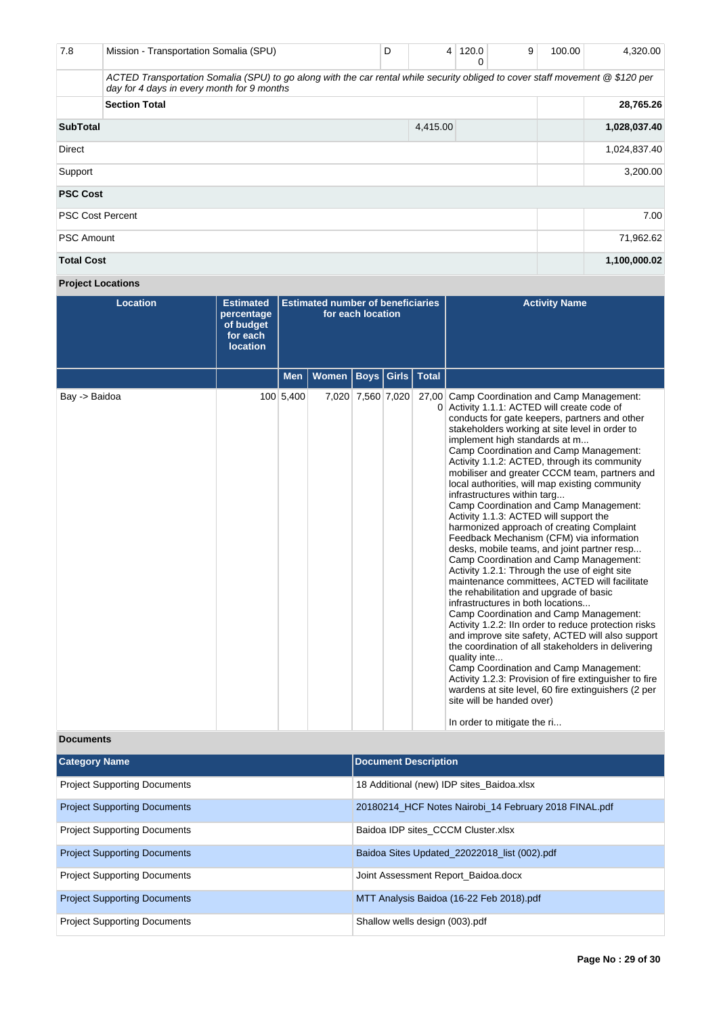| 7.8                     | Mission - Transportation Somalia (SPU)                                                                                                                                      | D |          | 4 120.0<br>0 | 9 | 100.00 | 4,320.00     |
|-------------------------|-----------------------------------------------------------------------------------------------------------------------------------------------------------------------------|---|----------|--------------|---|--------|--------------|
|                         | ACTED Transportation Somalia (SPU) to go along with the car rental while security obliged to cover staff movement @ \$120 per<br>day for 4 days in every month for 9 months |   |          |              |   |        |              |
|                         | <b>Section Total</b>                                                                                                                                                        |   |          |              |   |        | 28,765.26    |
| <b>SubTotal</b>         |                                                                                                                                                                             |   | 4,415.00 |              |   |        | 1,028,037.40 |
| Direct                  |                                                                                                                                                                             |   |          |              |   |        | 1,024,837.40 |
| Support                 |                                                                                                                                                                             |   |          |              |   |        | 3,200.00     |
| <b>PSC Cost</b>         |                                                                                                                                                                             |   |          |              |   |        |              |
| <b>PSC Cost Percent</b> |                                                                                                                                                                             |   |          |              |   |        | 7.00         |
| <b>PSC Amount</b>       |                                                                                                                                                                             |   |          |              |   |        | 71,962.62    |
| <b>Total Cost</b>       |                                                                                                                                                                             |   |          |              |   |        | 1,100,000.02 |

# **Project Locations**

| <b>Location</b> | <b>Estimated</b><br>percentage<br>of budget<br>for each<br><b>location</b> | <b>Estimated number of beneficiaries</b><br>for each location |              |                   |              |              | <b>Activity Name</b>                                                                                                                                                                                                                                                                                                                                                                                                                                                                                                                                                                                                                                                                                                                                                                                                                                                                                                                                                                                                                                                                                                                                                                                                                                                                                                                                                   |
|-----------------|----------------------------------------------------------------------------|---------------------------------------------------------------|--------------|-------------------|--------------|--------------|------------------------------------------------------------------------------------------------------------------------------------------------------------------------------------------------------------------------------------------------------------------------------------------------------------------------------------------------------------------------------------------------------------------------------------------------------------------------------------------------------------------------------------------------------------------------------------------------------------------------------------------------------------------------------------------------------------------------------------------------------------------------------------------------------------------------------------------------------------------------------------------------------------------------------------------------------------------------------------------------------------------------------------------------------------------------------------------------------------------------------------------------------------------------------------------------------------------------------------------------------------------------------------------------------------------------------------------------------------------------|
|                 |                                                                            | <b>Men</b>                                                    | <b>Women</b> |                   | Boys   Girls | <b>Total</b> |                                                                                                                                                                                                                                                                                                                                                                                                                                                                                                                                                                                                                                                                                                                                                                                                                                                                                                                                                                                                                                                                                                                                                                                                                                                                                                                                                                        |
| Bay -> Baidoa   |                                                                            | 100 5,400                                                     |              | 7,020 7,560 7,020 |              |              | 27,00 Camp Coordination and Camp Management:<br>0 Activity 1.1.1: ACTED will create code of<br>conducts for gate keepers, partners and other<br>stakeholders working at site level in order to<br>implement high standards at m<br>Camp Coordination and Camp Management:<br>Activity 1.1.2: ACTED, through its community<br>mobiliser and greater CCCM team, partners and<br>local authorities, will map existing community<br>infrastructures within targ<br>Camp Coordination and Camp Management:<br>Activity 1.1.3: ACTED will support the<br>harmonized approach of creating Complaint<br>Feedback Mechanism (CFM) via information<br>desks, mobile teams, and joint partner resp<br>Camp Coordination and Camp Management:<br>Activity 1.2.1: Through the use of eight site<br>maintenance committees, ACTED will facilitate<br>the rehabilitation and upgrade of basic<br>infrastructures in both locations<br>Camp Coordination and Camp Management:<br>Activity 1.2.2: IIn order to reduce protection risks<br>and improve site safety, ACTED will also support<br>the coordination of all stakeholders in delivering<br>quality inte<br>Camp Coordination and Camp Management:<br>Activity 1.2.3: Provision of fire extinguisher to fire<br>wardens at site level, 60 fire extinguishers (2 per<br>site will be handed over)<br>In order to mitigate the ri |

# **Documents**

| <b>Category Name</b>                | <b>Document Description</b>                           |
|-------------------------------------|-------------------------------------------------------|
| <b>Project Supporting Documents</b> | 18 Additional (new) IDP sites_Baidoa.xlsx             |
| <b>Project Supporting Documents</b> | 20180214 HCF Notes Nairobi 14 February 2018 FINAL.pdf |
| <b>Project Supporting Documents</b> | Baidoa IDP sites CCCM Cluster.xlsx                    |
| <b>Project Supporting Documents</b> | Baidoa Sites Updated 22022018 list (002).pdf          |
| <b>Project Supporting Documents</b> | Joint Assessment Report Baidoa.docx                   |
| <b>Project Supporting Documents</b> | MTT Analysis Baidoa (16-22 Feb 2018).pdf              |
| <b>Project Supporting Documents</b> | Shallow wells design (003).pdf                        |